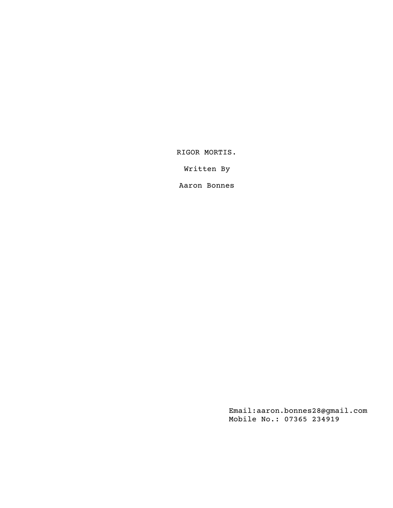RIGOR MORTIS.

Written By

Aaron Bonnes

Email:aaron.bonnes28@gmail.com Mobile No.: 07365 234919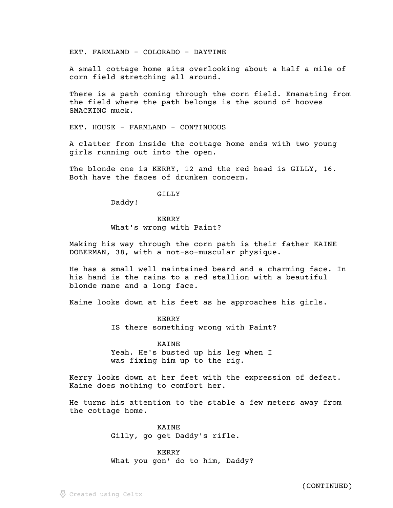EXT. FARMLAND - COLORADO - DAYTIME

A small cottage home sits overlooking about a half a mile of corn field stretching all around.

There is a path coming through the corn field. Emanating from the field where the path belongs is the sound of hooves SMACKING muck.

EXT. HOUSE - FARMLAND - CONTINUOUS

A clatter from inside the cottage home ends with two young girls running out into the open.

The blonde one is KERRY, 12 and the red head is GILLY, 16. Both have the faces of drunken concern.

# GILLY

Daddy!

# KERRY

## What's wrong with Paint?

Making his way through the corn path is their father KAINE DOBERMAN, 38, with a not-so-muscular physique.

He has a small well maintained beard and a charming face. In his hand is the rains to a red stallion with a beautiful blonde mane and a long face.

Kaine looks down at his feet as he approaches his girls.

KERRY IS there something wrong with Paint?

### KAINE

Yeah. He's busted up his leg when I was fixing him up to the rig.

Kerry looks down at her feet with the expression of defeat. Kaine does nothing to comfort her.

He turns his attention to the stable a few meters away from the cottage home.

## KAINE

Gilly, go get Daddy's rifle.

## KERRY

What you gon' do to him, Daddy?

(CONTINUED)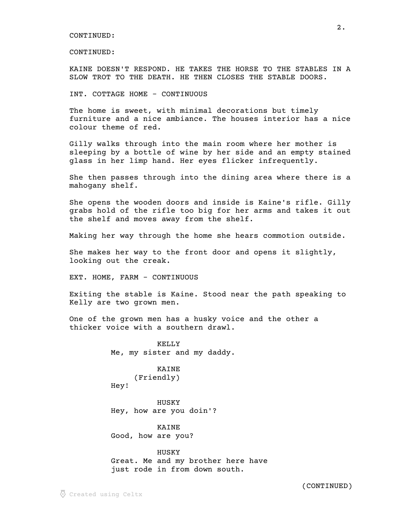CONTINUED:

KAINE DOESN'T RESPOND. HE TAKES THE HORSE TO THE STABLES IN A SLOW TROT TO THE DEATH. HE THEN CLOSES THE STABLE DOORS.

INT. COTTAGE HOME - CONTINUOUS

The home is sweet, with minimal decorations but timely furniture and a nice ambiance. The houses interior has a nice colour theme of red.

Gilly walks through into the main room where her mother is sleeping by a bottle of wine by her side and an empty stained glass in her limp hand. Her eyes flicker infrequently.

She then passes through into the dining area where there is a mahogany shelf.

She opens the wooden doors and inside is Kaine's rifle. Gilly grabs hold of the rifle too big for her arms and takes it out the shelf and moves away from the shelf.

Making her way through the home she hears commotion outside.

She makes her way to the front door and opens it slightly, looking out the creak.

EXT. HOME, FARM - CONTINUOUS

Exiting the stable is Kaine. Stood near the path speaking to Kelly are two grown men.

One of the grown men has a husky voice and the other a thicker voice with a southern drawl.

> KELLY Me, my sister and my daddy.

KAINE (Friendly) Hey!

HUSKY Hey, how are you doin'?

KAINE Good, how are you?

HUSKY Great. Me and my brother here have just rode in from down south.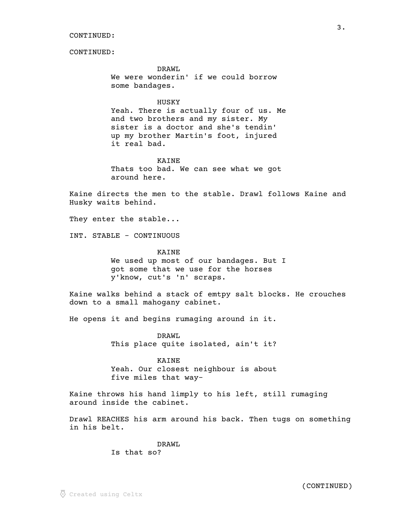DRAWL We were wonderin' if we could borrow some bandages.

### HUSKY

Yeah. There is actually four of us. Me and two brothers and my sister. My sister is a doctor and she's tendin' up my brother Martin's foot, injured it real bad.

KAINE Thats too bad. We can see what we got around here.

Kaine directs the men to the stable. Drawl follows Kaine and Husky waits behind.

They enter the stable...

INT. STABLE - CONTINUOUS

#### KAINE

We used up most of our bandages. But I got some that we use for the horses y'know, cut's 'n' scraps.

Kaine walks behind a stack of emtpy salt blocks. He crouches down to a small mahogany cabinet.

He opens it and begins rumaging around in it.

DRAWL This place quite isolated, ain't it?

KAINE Yeah. Our closest neighbour is about five miles that way-

Kaine throws his hand limply to his left, still rumaging around inside the cabinet.

Drawl REACHES his arm around his back. Then tugs on something in his belt.

> DRAWL Is that so?

(CONTINUED)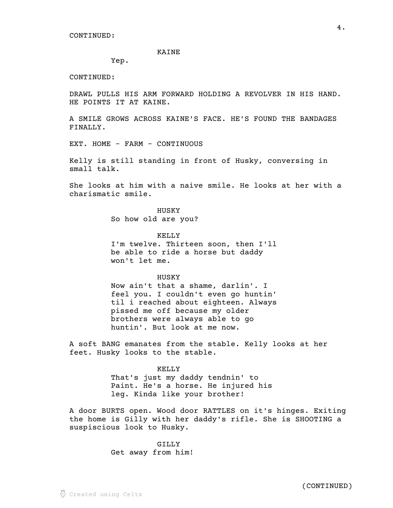#### KAINE

Yep.

CONTINUED:

DRAWL PULLS HIS ARM FORWARD HOLDING A REVOLVER IN HIS HAND. HE POINTS IT AT KAINE.

A SMILE GROWS ACROSS KAINE'S FACE. HE'S FOUND THE BANDAGES FINALLY.

EXT. HOME - FARM - CONTINUOUS

Kelly is still standing in front of Husky, conversing in small talk.

She looks at him with a naive smile. He looks at her with a charismatic smile.

> HUSKY So how old are you?

KELLY I'm twelve. Thirteen soon, then I'll be able to ride a horse but daddy won't let me.

## **HUSKY**

Now ain't that a shame, darlin'. I feel you. I couldn't even go huntin' til i reached about eighteen. Always pissed me off because my older brothers were always able to go huntin'. But look at me now.

A soft BANG emanates from the stable. Kelly looks at her feet. Husky looks to the stable.

#### KELLY

That's just my daddy tendnin' to Paint. He's a horse. He injured his leg. Kinda like your brother!

A door BURTS open. Wood door RATTLES on it's hinges. Exiting the home is Gilly with her daddy's rifle. She is SHOOTING a suspiscious look to Husky.

> GILLY Get away from him!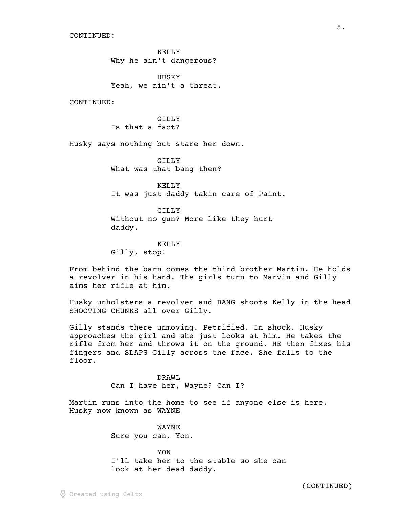KELLY Why he ain't dangerous?

HUSKY Yeah, we ain't a threat.

CONTINUED:

GILLY Is that a fact?

Husky says nothing but stare her down.

GILLY What was that bang then?

KELLY It was just daddy takin care of Paint.

GILLY Without no gun? More like they hurt daddy.

KELLY Gilly, stop!

From behind the barn comes the third brother Martin. He holds a revolver in his hand. The girls turn to Marvin and Gilly aims her rifle at him.

Husky unholsters a revolver and BANG shoots Kelly in the head SHOOTING CHUNKS all over Gilly.

Gilly stands there unmoving. Petrified. In shock. Husky approaches the girl and she just looks at him. He takes the rifle from her and throws it on the ground. HE then fixes his fingers and SLAPS Gilly across the face. She falls to the floor.

> DRAWL Can I have her, Wayne? Can I?

Martin runs into the home to see if anyone else is here. Husky now known as WAYNE

> WAYNE Sure you can, Yon.

YON I'll take her to the stable so she can look at her dead daddy.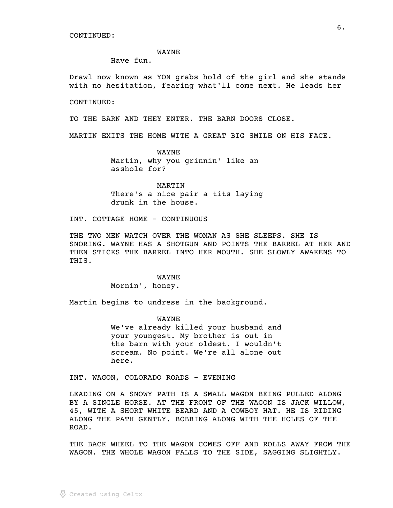WAYNE

Have fun.

Drawl now known as YON grabs hold of the girl and she stands with no hesitation, fearing what'll come next. He leads her

CONTINUED:

TO THE BARN AND THEY ENTER. THE BARN DOORS CLOSE.

MARTIN EXITS THE HOME WITH A GREAT BIG SMILE ON HIS FACE.

WAYNE Martin, why you grinnin' like an asshole for?

MARTIN There's a nice pair a tits laying drunk in the house.

INT. COTTAGE HOME - CONTINUOUS

THE TWO MEN WATCH OVER THE WOMAN AS SHE SLEEPS. SHE IS SNORING. WAYNE HAS A SHOTGUN AND POINTS THE BARREL AT HER AND THEN STICKS THE BARREL INTO HER MOUTH. SHE SLOWLY AWAKENS TO THIS.

> WAYNE Mornin', honey.

Martin begins to undress in the background.

WAYNE We've already killed your husband and your youngest. My brother is out in the barn with your oldest. I wouldn't scream. No point. We're all alone out here.

INT. WAGON, COLORADO ROADS - EVENING

LEADING ON A SNOWY PATH IS A SMALL WAGON BEING PULLED ALONG BY A SINGLE HORSE. AT THE FRONT OF THE WAGON IS JACK WILLOW, 45, WITH A SHORT WHITE BEARD AND A COWBOY HAT. HE IS RIDING ALONG THE PATH GENTLY. BOBBING ALONG WITH THE HOLES OF THE ROAD.

THE BACK WHEEL TO THE WAGON COMES OFF AND ROLLS AWAY FROM THE WAGON. THE WHOLE WAGON FALLS TO THE SIDE, SAGGING SLIGHTLY.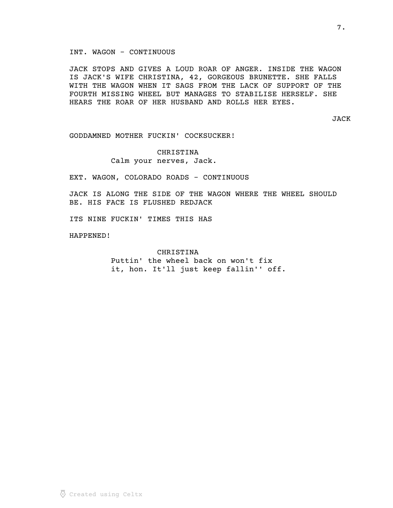JACK STOPS AND GIVES A LOUD ROAR OF ANGER. INSIDE THE WAGON IS JACK'S WIFE CHRISTINA, 42, GORGEOUS BRUNETTE. SHE FALLS WITH THE WAGON WHEN IT SAGS FROM THE LACK OF SUPPORT OF THE FOURTH MISSING WHEEL BUT MANAGES TO STABILISE HERSELF. SHE HEARS THE ROAR OF HER HUSBAND AND ROLLS HER EYES.

JACK

GODDAMNED MOTHER FUCKIN' COCKSUCKER!

CHRISTINA Calm your nerves, Jack.

EXT. WAGON, COLORADO ROADS - CONTINUOUS

JACK IS ALONG THE SIDE OF THE WAGON WHERE THE WHEEL SHOULD BE. HIS FACE IS FLUSHED REDJACK

ITS NINE FUCKIN' TIMES THIS HAS

HAPPENED!

CHRISTINA Puttin' the wheel back on won't fix

it, hon. It'll just keep fallin'' off.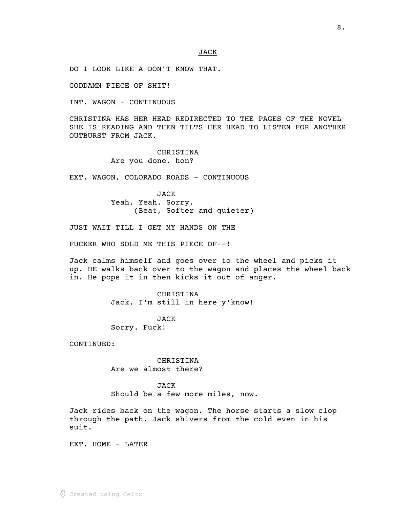DO I LOOK LIKE A DON'T KNOW THAT.

GODDAMN PIECE OF SHIT!

INT. WAGON - CONTINUOUS

CHRISTINA HAS HER HEAD REDIRECTED TO THE PAGES OF THE NOVEL SHE IS READING AND THEN TILTS HER HEAD TO LISTEN FOR ANOTHER OUTBURST FROM JACK.

> CHRISTINA Are you done, hon?

EXT. WAGON, COLORADO ROADS - CONTINUOUS

JACK Yeah. Yeah. Sorry. (Beat, Softer and quieter)

JUST WAIT TILL I GET MY HANDS ON THE

FUCKER WHO SOLD ME THIS PIECE OF--!

Jack calms himself and goes over to the wheel and picks it up. HE walks back over to the wagon and places the wheel back in. He pops it in then kicks it out of anger.

> CHRISTINA Jack, I'm still in here y'know!

JACK Sorry. Fuck!

CONTINUED:

CHRISTINA Are we almost there?

## JACK

Should be a few more miles, now.

Jack rides back on the wagon. The horse starts a slow clop through the path. Jack shivers from the cold even in his suit.

EXT. HOME - LATER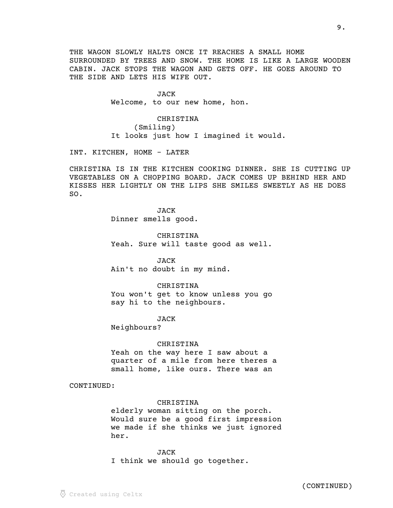THE WAGON SLOWLY HALTS ONCE IT REACHES A SMALL HOME SURROUNDED BY TREES AND SNOW. THE HOME IS LIKE A LARGE WOODEN CABIN. JACK STOPS THE WAGON AND GETS OFF. HE GOES AROUND TO THE SIDE AND LETS HIS WIFE OUT.

> JACK Welcome, to our new home, hon.

CHRISTINA (Smiling) It looks just how I imagined it would.

INT. KITCHEN, HOME - LATER

CHRISTINA IS IN THE KITCHEN COOKING DINNER. SHE IS CUTTING UP VEGETABLES ON A CHOPPING BOARD. JACK COMES UP BEHIND HER AND KISSES HER LIGHTLY ON THE LIPS SHE SMILES SWEETLY AS HE DOES SO.

> JACK Dinner smells good.

CHRISTINA Yeah. Sure will taste good as well.

JACK Ain't no doubt in my mind.

CHRISTINA You won't get to know unless you go say hi to the neighbours.

JACK

Neighbours?

CHRISTINA

Yeah on the way here I saw about a quarter of a mile from here theres a small home, like ours. There was an

CONTINUED:

## CHRISTINA

elderly woman sitting on the porch. Would sure be a good first impression we made if she thinks we just ignored her.

JACK I think we should go together.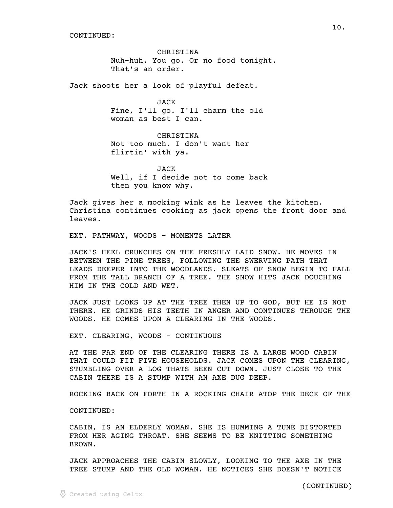CHRISTINA Nuh-huh. You go. Or no food tonight. That's an order.

Jack shoots her a look of playful defeat.

JACK Fine, I'll go. I'll charm the old woman as best I can.

CHRISTINA Not too much. I don't want her flirtin' with ya.

JACK Well, if I decide not to come back then you know why.

Jack gives her a mocking wink as he leaves the kitchen. Christina continues cooking as jack opens the front door and leaves.

EXT. PATHWAY, WOODS - MOMENTS LATER

JACK'S HEEL CRUNCHES ON THE FRESHLY LAID SNOW. HE MOVES IN BETWEEN THE PINE TREES, FOLLOWING THE SWERVING PATH THAT LEADS DEEPER INTO THE WOODLANDS. SLEATS OF SNOW BEGIN TO FALL FROM THE TALL BRANCH OF A TREE. THE SNOW HITS JACK DOUCHING HIM IN THE COLD AND WET.

JACK JUST LOOKS UP AT THE TREE THEN UP TO GOD, BUT HE IS NOT THERE. HE GRINDS HIS TEETH IN ANGER AND CONTINUES THROUGH THE WOODS. HE COMES UPON A CLEARING IN THE WOODS.

EXT. CLEARING, WOODS - CONTINUOUS

AT THE FAR END OF THE CLEARING THERE IS A LARGE WOOD CABIN THAT COULD FIT FIVE HOUSEHOLDS. JACK COMES UPON THE CLEARING, STUMBLING OVER A LOG THATS BEEN CUT DOWN. JUST CLOSE TO THE CABIN THERE IS A STUMP WITH AN AXE DUG DEEP.

ROCKING BACK ON FORTH IN A ROCKING CHAIR ATOP THE DECK OF THE

CONTINUED:

CABIN, IS AN ELDERLY WOMAN. SHE IS HUMMING A TUNE DISTORTED FROM HER AGING THROAT. SHE SEEMS TO BE KNITTING SOMETHING BROWN.

JACK APPROACHES THE CABIN SLOWLY, LOOKING TO THE AXE IN THE TREE STUMP AND THE OLD WOMAN. HE NOTICES SHE DOESN'T NOTICE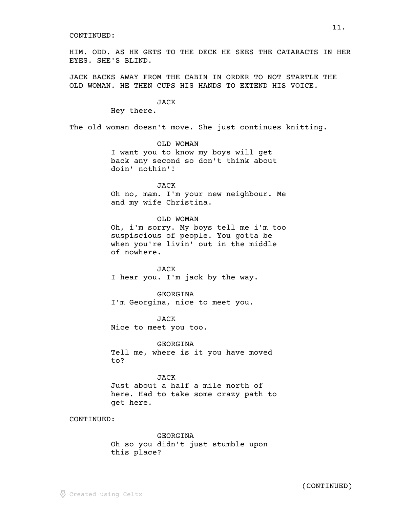HIM. ODD. AS HE GETS TO THE DECK HE SEES THE CATARACTS IN HER EYES. SHE'S BLIND.

JACK BACKS AWAY FROM THE CABIN IN ORDER TO NOT STARTLE THE OLD WOMAN. HE THEN CUPS HIS HANDS TO EXTEND HIS VOICE.

### **JACK**

Hey there.

The old woman doesn't move. She just continues knitting.

OLD WOMAN I want you to know my boys will get back any second so don't think about doin' nothin'!

JACK Oh no, mam. I'm your new neighbour. Me and my wife Christina.

OLD WOMAN Oh, i'm sorry. My boys tell me i'm too suspiscious of people. You gotta be when you're livin' out in the middle of nowhere.

JACK I hear you. I'm jack by the way.

GEORGINA

I'm Georgina, nice to meet you.

JACK Nice to meet you too.

GEORGINA

Tell me, where is it you have moved to?

JACK Just about a half a mile north of here. Had to take some crazy path to get here.

CONTINUED:

GEORGINA Oh so you didn't just stumble upon this place?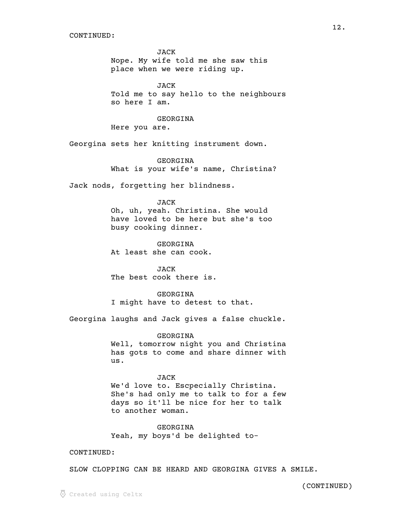JACK Nope. My wife told me she saw this place when we were riding up.

JACK Told me to say hello to the neighbours so here I am.

GEORGINA

Here you are.

Georgina sets her knitting instrument down.

GEORGINA What is your wife's name, Christina?

Jack nods, forgetting her blindness.

#### JACK

Oh, uh, yeah. Christina. She would have loved to be here but she's too busy cooking dinner.

GEORGINA At least she can cook.

JACK The best cook there is.

GEORGINA I might have to detest to that.

Georgina laughs and Jack gives a false chuckle.

GEORGINA

Well, tomorrow night you and Christina has gots to come and share dinner with us.

#### JACK

We'd love to. Escpecially Christina. She's had only me to talk to for a few days so it'll be nice for her to talk to another woman.

GEORGINA Yeah, my boys'd be delighted to-

## CONTINUED:

SLOW CLOPPING CAN BE HEARD AND GEORGINA GIVES A SMILE.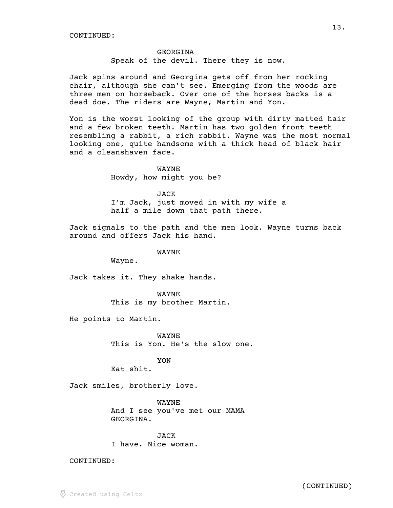#### GEORGINA

Speak of the devil. There they is now.

Jack spins around and Georgina gets off from her rocking chair, although she can't see. Emerging from the woods are three men on horseback. Over one of the horses backs is a dead doe. The riders are Wayne, Martin and Yon.

Yon is the worst looking of the group with dirty matted hair and a few broken teeth. Martin has two golden front teeth resembling a rabbit, a rich rabbit. Wayne was the most normal looking one, quite handsome with a thick head of black hair and a cleanshaven face.

> WAYNE Howdy, how might you be?

JACK I'm Jack, just moved in with my wife a half a mile down that path there.

Jack signals to the path and the men look. Wayne turns back around and offers Jack his hand.

WAYNE

Wayne.

Jack takes it. They shake hands.

WAYNE This is my brother Martin.

He points to Martin.

WAYNE This is Yon. He's the slow one.

YON

Eat shit.

Jack smiles, brotherly love.

WAYNE And I see you've met our MAMA GEORGINA.

JACK I have. Nice woman.

CONTINUED: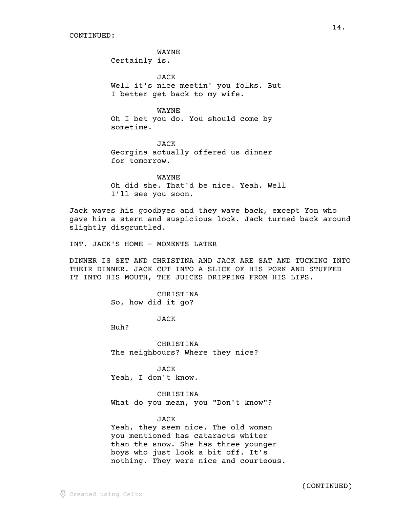WAYNE

Certainly is.

JACK Well it's nice meetin' you folks. But I better get back to my wife.

WAYNE Oh I bet you do. You should come by sometime.

JACK Georgina actually offered us dinner for tomorrow.

WAYNE Oh did she. That'd be nice. Yeah. Well I'll see you soon.

Jack waves his goodbyes and they wave back, except Yon who gave him a stern and suspicious look. Jack turned back around slightly disgruntled.

INT. JACK'S HOME - MOMENTS LATER

DINNER IS SET AND CHRISTINA AND JACK ARE SAT AND TUCKING INTO THEIR DINNER. JACK CUT INTO A SLICE OF HIS PORK AND STUFFED IT INTO HIS MOUTH, THE JUICES DRIPPING FROM HIS LIPS.

> CHRISTINA So, how did it go?

> > JACK

Huh?

CHRISTINA The neighbours? Where they nice?

JACK Yeah, I don't know.

CHRISTINA What do you mean, you "Don't know"?

JACK

Yeah, they seem nice. The old woman you mentioned has cataracts whiter than the snow. She has three younger boys who just look a bit off. It's nothing. They were nice and courteous.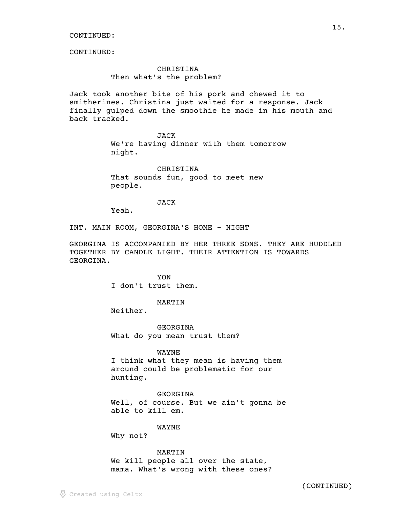CONTINUED:

## CHRISTINA Then what's the problem?

Jack took another bite of his pork and chewed it to smitherines. Christina just waited for a response. Jack finally gulped down the smoothie he made in his mouth and back tracked.

JACK

We're having dinner with them tomorrow night.

CHRISTINA That sounds fun, good to meet new people.

## JACK

Yeah.

INT. MAIN ROOM, GEORGINA'S HOME - NIGHT

GEORGINA IS ACCOMPANIED BY HER THREE SONS. THEY ARE HUDDLED TOGETHER BY CANDLE LIGHT. THEIR ATTENTION IS TOWARDS GEORGINA.

> YON I don't trust them.

## MARTIN

Neither.

GEORGINA What do you mean trust them?

### WAYNE

I think what they mean is having them around could be problematic for our hunting.

GEORGINA Well, of course. But we ain't gonna be able to kill em.

## WAYNE

Why not?

## MARTIN

We kill people all over the state, mama. What's wrong with these ones?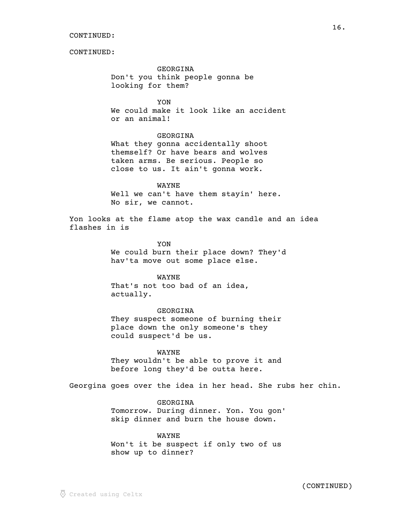GEORGINA Don't you think people gonna be looking for them?

YON We could make it look like an accident or an animal!

## GEORGINA

What they gonna accidentally shoot themself? Or have bears and wolves taken arms. Be serious. People so close to us. It ain't gonna work.

## WAYNE

Well we can't have them stayin' here. No sir, we cannot.

Yon looks at the flame atop the wax candle and an idea flashes in is

> YON We could burn their place down? They'd hav'ta move out some place else.

> > WAYNE

That's not too bad of an idea, actually.

GEORGINA They suspect someone of burning their place down the only someone's they could suspect'd be us.

WAYNE

They wouldn't be able to prove it and before long they'd be outta here.

Georgina goes over the idea in her head. She rubs her chin.

GEORGINA Tomorrow. During dinner. Yon. You gon' skip dinner and burn the house down.

WAYNE Won't it be suspect if only two of us show up to dinner?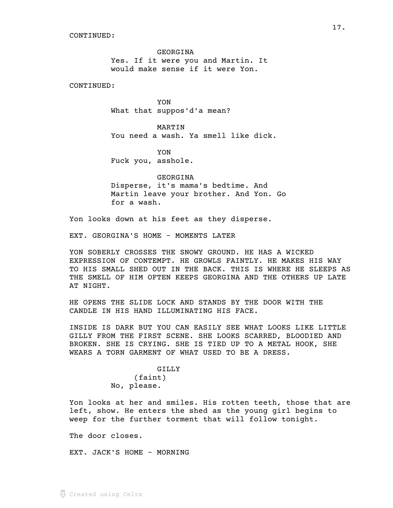GEORGINA Yes. If it were you and Martin. It would make sense if it were Yon.

CONTINUED:

YON What that suppos'd'a mean?

MARTIN You need a wash. Ya smell like dick.

YON Fuck you, asshole.

GEORGINA Disperse, it's mama's bedtime. And Martin leave your brother. And Yon. Go for a wash.

Yon looks down at his feet as they disperse.

EXT. GEORGINA'S HOME - MOMENTS LATER

YON SOBERLY CROSSES THE SNOWY GROUND. HE HAS A WICKED EXPRESSION OF CONTEMPT. HE GROWLS FAINTLY. HE MAKES HIS WAY TO HIS SMALL SHED OUT IN THE BACK. THIS IS WHERE HE SLEEPS AS THE SMELL OF HIM OFTEN KEEPS GEORGINA AND THE OTHERS UP LATE AT NIGHT.

HE OPENS THE SLIDE LOCK AND STANDS BY THE DOOR WITH THE CANDLE IN HIS HAND ILLUMINATING HIS FACE.

INSIDE IS DARK BUT YOU CAN EASILY SEE WHAT LOOKS LIKE LITTLE GILLY FROM THE FIRST SCENE. SHE LOOKS SCARRED, BLOODIED AND BROKEN. SHE IS CRYING. SHE IS TIED UP TO A METAL HOOK, SHE WEARS A TORN GARMENT OF WHAT USED TO BE A DRESS.

> GILLY (faint) No, please.

Yon looks at her and smiles. His rotten teeth, those that are left, show. He enters the shed as the young girl begins to weep for the further torment that will follow tonight.

The door closes.

EXT. JACK'S HOME - MORNING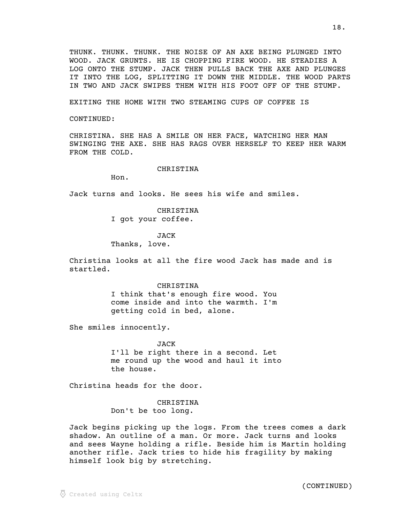THUNK. THUNK. THUNK. THE NOISE OF AN AXE BEING PLUNGED INTO WOOD. JACK GRUNTS. HE IS CHOPPING FIRE WOOD. HE STEADIES A LOG ONTO THE STUMP. JACK THEN PULLS BACK THE AXE AND PLUNGES IT INTO THE LOG, SPLITTING IT DOWN THE MIDDLE. THE WOOD PARTS IN TWO AND JACK SWIPES THEM WITH HIS FOOT OFF OF THE STUMP.

EXITING THE HOME WITH TWO STEAMING CUPS OF COFFEE IS

CONTINUED:

CHRISTINA. SHE HAS A SMILE ON HER FACE, WATCHING HER MAN SWINGING THE AXE. SHE HAS RAGS OVER HERSELF TO KEEP HER WARM FROM THE COLD.

### CHRISTINA

Hon.

Jack turns and looks. He sees his wife and smiles.

CHRISTINA I got your coffee.

JACK Thanks, love.

Christina looks at all the fire wood Jack has made and is startled.

> CHRISTINA I think that's enough fire wood. You come inside and into the warmth. I'm getting cold in bed, alone.

She smiles innocently.

JACK I'll be right there in a second. Let me round up the wood and haul it into the house.

Christina heads for the door.

CHRISTINA Don't be too long.

Jack begins picking up the logs. From the trees comes a dark shadow. An outline of a man. Or more. Jack turns and looks and sees Wayne holding a rifle. Beside him is Martin holding another rifle. Jack tries to hide his fragility by making himself look big by stretching.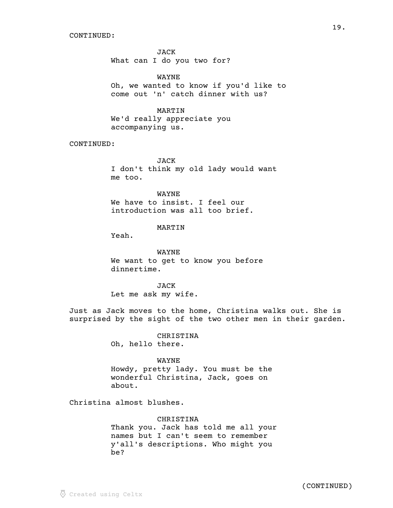JACK What can I do you two for?

WAYNE Oh, we wanted to know if you'd like to come out 'n' catch dinner with us?

## MARTIN

We'd really appreciate you accompanying us.

## CONTINUED:

JACK I don't think my old lady would want me too.

WAYNE We have to insist. I feel our introduction was all too brief.

## MARTIN

Yeah.

WAYNE We want to get to know you before dinnertime.

JACK Let me ask my wife.

Just as Jack moves to the home, Christina walks out. She is surprised by the sight of the two other men in their garden.

> CHRISTINA Oh, hello there.

#### WAYNE

Howdy, pretty lady. You must be the wonderful Christina, Jack, goes on about.

Christina almost blushes.

CHRISTINA Thank you. Jack has told me all your names but I can't seem to remember y'all's descriptions. Who might you be?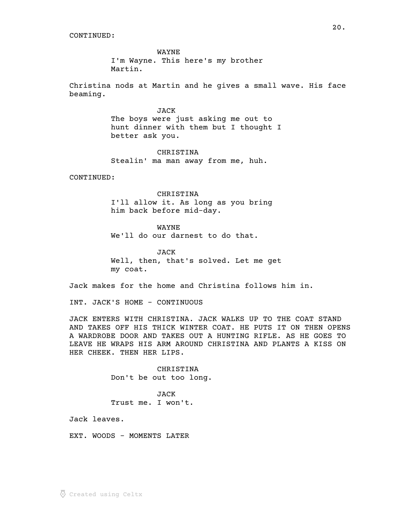WAYNE I'm Wayne. This here's my brother Martin.

Christina nods at Martin and he gives a small wave. His face beaming.

> JACK The boys were just asking me out to hunt dinner with them but I thought I better ask you.

CHRISTINA Stealin' ma man away from me, huh.

CONTINUED:

CHRISTINA I'll allow it. As long as you bring him back before mid-day.

WAYNE We'll do our darnest to do that.

JACK Well, then, that's solved. Let me get my coat.

Jack makes for the home and Christina follows him in.

INT. JACK'S HOME - CONTINUOUS

JACK ENTERS WITH CHRISTINA. JACK WALKS UP TO THE COAT STAND AND TAKES OFF HIS THICK WINTER COAT. HE PUTS IT ON THEN OPENS A WARDROBE DOOR AND TAKES OUT A HUNTING RIFLE. AS HE GOES TO LEAVE HE WRAPS HIS ARM AROUND CHRISTINA AND PLANTS A KISS ON HER CHEEK. THEN HER LIPS.

> CHRISTINA Don't be out too long.

JACK Trust me. I won't.

Jack leaves.

EXT. WOODS - MOMENTS LATER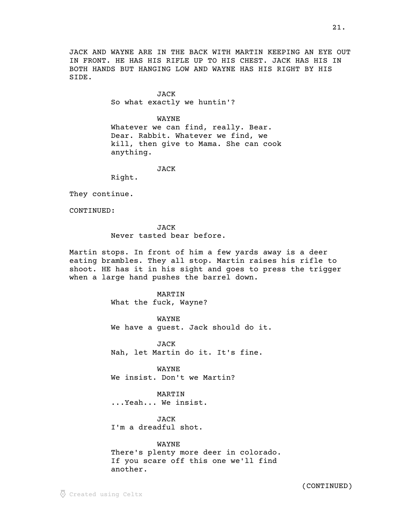JACK AND WAYNE ARE IN THE BACK WITH MARTIN KEEPING AN EYE OUT IN FRONT. HE HAS HIS RIFLE UP TO HIS CHEST. JACK HAS HIS IN BOTH HANDS BUT HANGING LOW AND WAYNE HAS HIS RIGHT BY HIS SIDE.

> JACK So what exactly we huntin'?

> > WAYNE

Whatever we can find, really. Bear. Dear. Rabbit. Whatever we find, we kill, then give to Mama. She can cook anything.

JACK

Right.

They continue.

CONTINUED:

**JACK** Never tasted bear before.

Martin stops. In front of him a few yards away is a deer eating brambles. They all stop. Martin raises his rifle to shoot. HE has it in his sight and goes to press the trigger when a large hand pushes the barrel down.

> MARTIN What the fuck, Wayne?

WAYNE We have a guest. Jack should do it.

JACK Nah, let Martin do it. It's fine.

WAYNE We insist. Don't we Martin?

MARTIN ...Yeah... We insist.

JACK I'm a dreadful shot.

WAYNE There's plenty more deer in colorado. If you scare off this one we'll find another.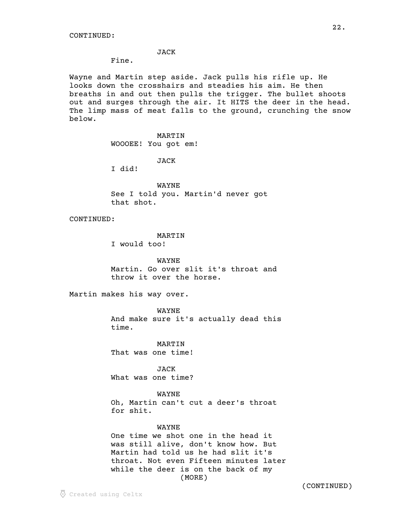## JACK

Fine.

Wayne and Martin step aside. Jack pulls his rifle up. He looks down the crosshairs and steadies his aim. He then breaths in and out then pulls the trigger. The bullet shoots out and surges through the air. It HITS the deer in the head. The limp mass of meat falls to the ground, crunching the snow below.

### MARTIN

WOOOEE! You got em!

JACK

I did!

WAYNE See I told you. Martin'd never got that shot.

CONTINUED:

MARTIN

I would too!

WAYNE Martin. Go over slit it's throat and throw it over the horse.

Martin makes his way over.

WAYNE And make sure it's actually dead this time.

MARTIN That was one time!

JACK What was one time?

WAYNE Oh, Martin can't cut a deer's throat for shit.

### WAYNE

One time we shot one in the head it was still alive, don't know how. But Martin had told us he had slit it's throat. Not even Fifteen minutes later while the deer is on the back of my (MORE)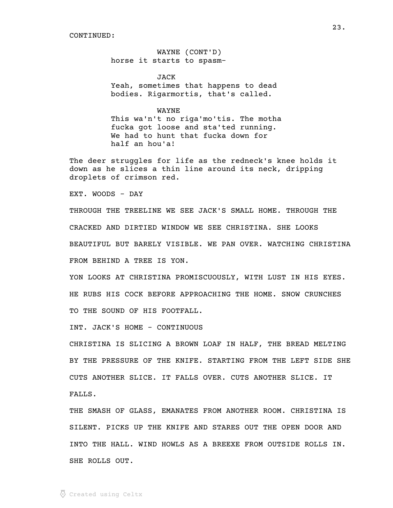WAYNE (CONT'D) horse it starts to spasm-

**JACK** Yeah, sometimes that happens to dead bodies. Rigarmortis, that's called.

WAYNE This wa'n't no riga'mo'tis. The motha fucka got loose and sta'ted running. We had to hunt that fucka down for half an hou'a!

The deer struggles for life as the redneck's knee holds it down as he slices a thin line around its neck, dripping droplets of crimson red.

EXT. WOODS - DAY

THROUGH THE TREELINE WE SEE JACK'S SMALL HOME. THROUGH THE CRACKED AND DIRTIED WINDOW WE SEE CHRISTINA. SHE LOOKS BEAUTIFUL BUT BARELY VISIBLE. WE PAN OVER. WATCHING CHRISTINA FROM BEHIND A TREE IS YON.

YON LOOKS AT CHRISTINA PROMISCUOUSLY, WITH LUST IN HIS EYES. HE RUBS HIS COCK BEFORE APPROACHING THE HOME. SNOW CRUNCHES TO THE SOUND OF HIS FOOTFALL.

INT. JACK'S HOME - CONTINUOUS

CHRISTINA IS SLICING A BROWN LOAF IN HALF, THE BREAD MELTING BY THE PRESSURE OF THE KNIFE. STARTING FROM THE LEFT SIDE SHE CUTS ANOTHER SLICE. IT FALLS OVER. CUTS ANOTHER SLICE. IT FALLS.

THE SMASH OF GLASS, EMANATES FROM ANOTHER ROOM. CHRISTINA IS SILENT. PICKS UP THE KNIFE AND STARES OUT THE OPEN DOOR AND INTO THE HALL. WIND HOWLS AS A BREEXE FROM OUTSIDE ROLLS IN. SHE ROLLS OUT.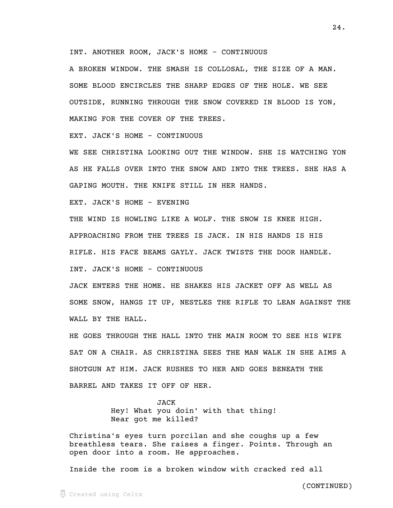INT. ANOTHER ROOM, JACK'S HOME - CONTINUOUS

A BROKEN WINDOW. THE SMASH IS COLLOSAL, THE SIZE OF A MAN. SOME BLOOD ENCIRCLES THE SHARP EDGES OF THE HOLE. WE SEE OUTSIDE, RUNNING THROUGH THE SNOW COVERED IN BLOOD IS YON, MAKING FOR THE COVER OF THE TREES.

EXT. JACK'S HOME - CONTINUOUS

WE SEE CHRISTINA LOOKING OUT THE WINDOW. SHE IS WATCHING YON AS HE FALLS OVER INTO THE SNOW AND INTO THE TREES. SHE HAS A GAPING MOUTH. THE KNIFE STILL IN HER HANDS.

EXT. JACK'S HOME - EVENING

THE WIND IS HOWLING LIKE A WOLF. THE SNOW IS KNEE HIGH. APPROACHING FROM THE TREES IS JACK. IN HIS HANDS IS HIS RIFLE. HIS FACE BEAMS GAYLY. JACK TWISTS THE DOOR HANDLE. INT. JACK'S HOME - CONTINUOUS

JACK ENTERS THE HOME. HE SHAKES HIS JACKET OFF AS WELL AS SOME SNOW, HANGS IT UP, NESTLES THE RIFLE TO LEAN AGAINST THE WALL BY THE HALL.

HE GOES THROUGH THE HALL INTO THE MAIN ROOM TO SEE HIS WIFE SAT ON A CHAIR. AS CHRISTINA SEES THE MAN WALK IN SHE AIMS A SHOTGUN AT HIM. JACK RUSHES TO HER AND GOES BENEATH THE BARREL AND TAKES IT OFF OF HER.

> JACK Hey! What you doin' with that thing! Near got me killed?

Christina's eyes turn porcilan and she coughs up a few breathless tears. She raises a finger. Points. Through an open door into a room. He approaches.

Inside the room is a broken window with cracked red all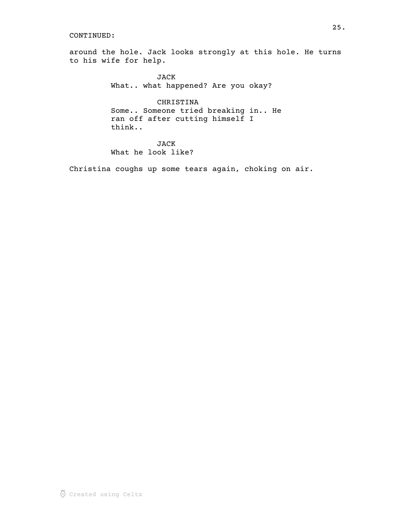around the hole. Jack looks strongly at this hole. He turns to his wife for help.

> JACK What.. what happened? Are you okay?

CHRISTINA Some.. Someone tried breaking in.. He ran off after cutting himself I think..

JACK What he look like?

Christina coughs up some tears again, choking on air.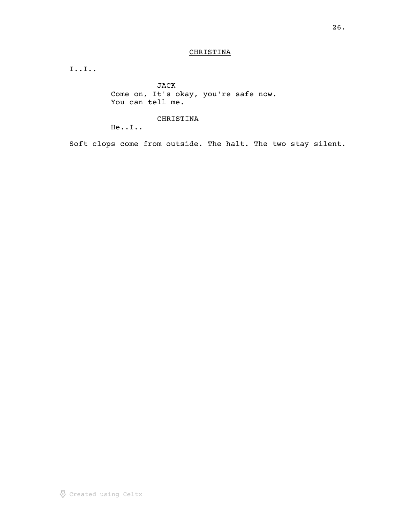## CHRISTINA

I..I..

JACK Come on, It's okay, you're safe now. You can tell me.

## CHRISTINA

He..I..

Soft clops come from outside. The halt. The two stay silent.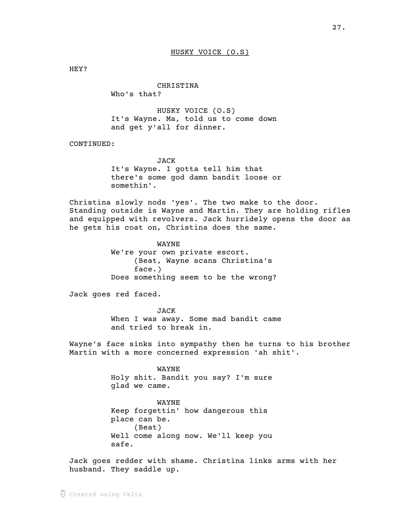HEY?

CHRISTINA Who's that?

HUSKY VOICE (O.S) It's Wayne. Ma, told us to come down and get y'all for dinner.

CONTINUED:

JACK It's Wayne. I gotta tell him that there's some god damn bandit loose or somethin'.

Christina slowly nods 'yes'. The two make to the door. Standing outside is Wayne and Martin. They are holding rifles and equipped with revolvers. Jack hurridely opens the door as he gets his coat on, Christina does the same.

> WAYNE We're your own private escort. (Beat, Wayne scans Christina's face.) Does something seem to be the wrong?

Jack goes red faced.

JACK When I was away. Some mad bandit came and tried to break in.

Wayne's face sinks into sympathy then he turns to his brother Martin with a more concerned expression 'ah shit'.

> WAYNE Holy shit. Bandit you say? I'm sure glad we came.

> WAYNE Keep forgettin' how dangerous this place can be. (Beat) Well come along now. We'll keep you safe.

Jack goes redder with shame. Christina links arms with her husband. They saddle up.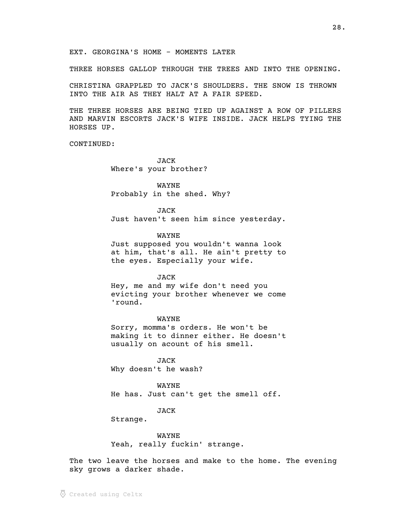EXT. GEORGINA'S HOME - MOMENTS LATER

THREE HORSES GALLOP THROUGH THE TREES AND INTO THE OPENING.

CHRISTINA GRAPPLED TO JACK'S SHOULDERS. THE SNOW IS THROWN INTO THE AIR AS THEY HALT AT A FAIR SPEED.

THE THREE HORSES ARE BEING TIED UP AGAINST A ROW OF PILLERS AND MARVIN ESCORTS JACK'S WIFE INSIDE. JACK HELPS TYING THE HORSES UP.

CONTINUED:

JACK Where's your brother?

WAYNE Probably in the shed. Why?

JACK Just haven't seen him since yesterday.

WAYNE

Just supposed you wouldn't wanna look at him, that's all. He ain't pretty to the eyes. Especially your wife.

JACK

Hey, me and my wife don't need you evicting your brother whenever we come 'round.

WAYNE

Sorry, momma's orders. He won't be making it to dinner either. He doesn't usually on acount of his smell.

JACK Why doesn't he wash?

WAYNE He has. Just can't get the smell off.

JACK

Strange.

WAYNE Yeah, really fuckin' strange.

The two leave the horses and make to the home. The evening sky grows a darker shade.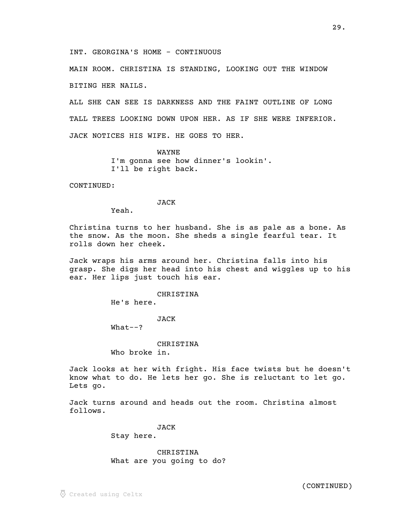INT. GEORGINA'S HOME - CONTINUOUS

MAIN ROOM. CHRISTINA IS STANDING, LOOKING OUT THE WINDOW BITING HER NAILS.

ALL SHE CAN SEE IS DARKNESS AND THE FAINT OUTLINE OF LONG TALL TREES LOOKING DOWN UPON HER. AS IF SHE WERE INFERIOR. JACK NOTICES HIS WIFE. HE GOES TO HER.

> WAYNE I'm gonna see how dinner's lookin'. I'll be right back.

CONTINUED:

## JACK

Yeah.

Christina turns to her husband. She is as pale as a bone. As the snow. As the moon. She sheds a single fearful tear. It rolls down her cheek.

Jack wraps his arms around her. Christina falls into his grasp. She digs her head into his chest and wiggles up to his ear. Her lips just touch his ear.

CHRISTINA

He's here.

## JACK

 $What--?$ 

CHRISTINA Who broke in.

Jack looks at her with fright. His face twists but he doesn't know what to do. He lets her go. She is reluctant to let go. Lets go.

Jack turns around and heads out the room. Christina almost follows.

JACK

Stay here.

CHRISTINA What are you going to do?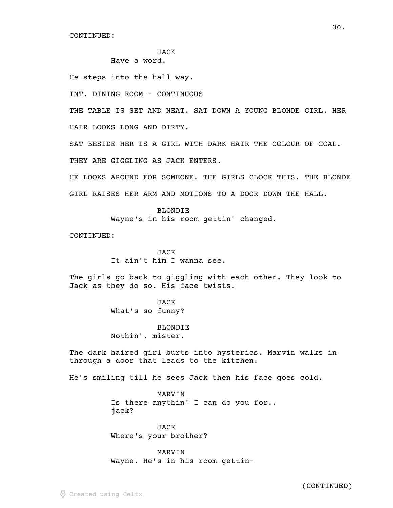# JACK

Have a word.

He steps into the hall way.

INT. DINING ROOM - CONTINUOUS

THE TABLE IS SET AND NEAT. SAT DOWN A YOUNG BLONDE GIRL. HER

HAIR LOOKS LONG AND DIRTY.

SAT BESIDE HER IS A GIRL WITH DARK HAIR THE COLOUR OF COAL.

THEY ARE GIGGLING AS JACK ENTERS.

HE LOOKS AROUND FOR SOMEONE. THE GIRLS CLOCK THIS. THE BLONDE GIRL RAISES HER ARM AND MOTIONS TO A DOOR DOWN THE HALL.

> BLONDIE Wayne's in his room gettin' changed.

CONTINUED:

**JACK** It ain't him I wanna see.

The girls go back to giggling with each other. They look to Jack as they do so. His face twists.

> JACK What's so funny?

BLONDIE Nothin', mister.

The dark haired girl burts into hysterics. Marvin walks in through a door that leads to the kitchen.

He's smiling till he sees Jack then his face goes cold.

MARVIN Is there anythin' I can do you for.. jack?

JACK Where's your brother?

MARVIN Wayne. He's in his room gettin-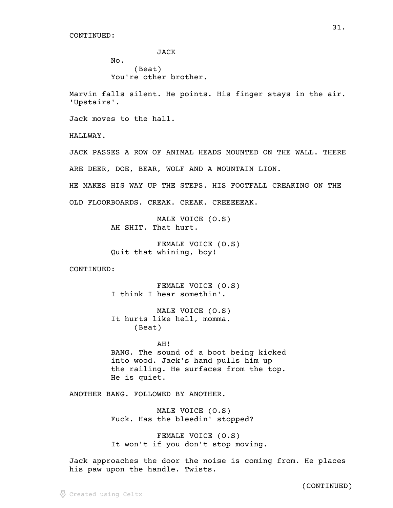JACK No. (Beat) You're other brother.

Marvin falls silent. He points. His finger stays in the air. 'Upstairs'.

Jack moves to the hall.

HALLWAY.

JACK PASSES A ROW OF ANIMAL HEADS MOUNTED ON THE WALL. THERE ARE DEER, DOE, BEAR, WOLF AND A MOUNTAIN LION.

HE MAKES HIS WAY UP THE STEPS. HIS FOOTFALL CREAKING ON THE OLD FLOORBOARDS. CREAK. CREAK. CREEEEEAK.

> MALE VOICE (O.S) AH SHIT. That hurt.

FEMALE VOICE (O.S) Quit that whining, boy!

CONTINUED:

FEMALE VOICE (O.S) I think I hear somethin'.

MALE VOICE (O.S) It hurts like hell, momma. (Beat)

AH! BANG. The sound of a boot being kicked into wood. Jack's hand pulls him up the railing. He surfaces from the top. He is quiet.

ANOTHER BANG. FOLLOWED BY ANOTHER.

MALE VOICE (O.S) Fuck. Has the bleedin' stopped?

FEMALE VOICE (O.S) It won't if you don't stop moving.

Jack approaches the door the noise is coming from. He places his paw upon the handle. Twists.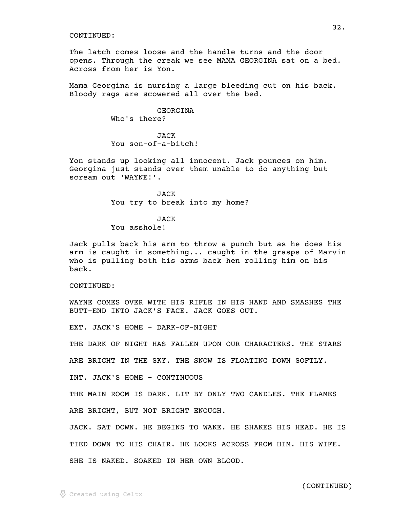The latch comes loose and the handle turns and the door opens. Through the creak we see MAMA GEORGINA sat on a bed. Across from her is Yon.

Mama Georgina is nursing a large bleeding cut on his back. Bloody rags are scowered all over the bed.

### GEORGINA Who's there?

## JACK You son-of-a-bitch!

Yon stands up looking all innocent. Jack pounces on him. Georgina just stands over them unable to do anything but scream out 'WAYNE!'.

> JACK You try to break into my home?

### JACK

## You asshole!

Jack pulls back his arm to throw a punch but as he does his arm is caught in something... caught in the grasps of Marvin who is pulling both his arms back hen rolling him on his back.

CONTINUED:

WAYNE COMES OVER WITH HIS RIFLE IN HIS HAND AND SMASHES THE BUTT-END INTO JACK'S FACE. JACK GOES OUT.

EXT. JACK'S HOME - DARK-OF-NIGHT

THE DARK OF NIGHT HAS FALLEN UPON OUR CHARACTERS. THE STARS

ARE BRIGHT IN THE SKY. THE SNOW IS FLOATING DOWN SOFTLY.

INT. JACK'S HOME - CONTINUOUS

THE MAIN ROOM IS DARK. LIT BY ONLY TWO CANDLES. THE FLAMES

ARE BRIGHT, BUT NOT BRIGHT ENOUGH.

JACK. SAT DOWN. HE BEGINS TO WAKE. HE SHAKES HIS HEAD. HE IS

TIED DOWN TO HIS CHAIR. HE LOOKS ACROSS FROM HIM. HIS WIFE.

SHE IS NAKED. SOAKED IN HER OWN BLOOD.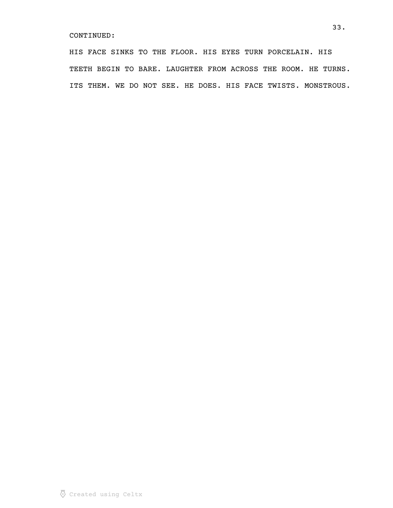HIS FACE SINKS TO THE FLOOR. HIS EYES TURN PORCELAIN. HIS TEETH BEGIN TO BARE. LAUGHTER FROM ACROSS THE ROOM. HE TURNS. ITS THEM. WE DO NOT SEE. HE DOES. HIS FACE TWISTS. MONSTROUS.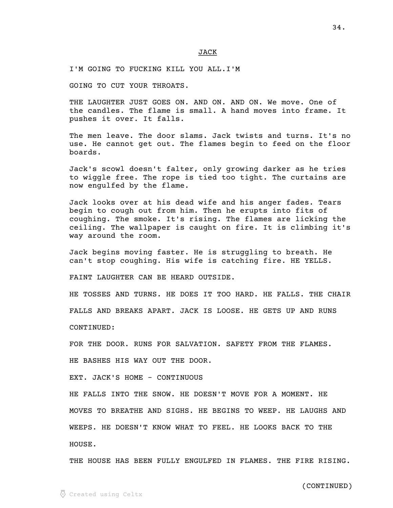#### JACK \_\_\_\_

I'M GOING TO FUCKING KILL YOU ALL.I'M

GOING TO CUT YOUR THROATS.

THE LAUGHTER JUST GOES ON. AND ON. AND ON. We move. One of the candles. The flame is small. A hand moves into frame. It pushes it over. It falls.

The men leave. The door slams. Jack twists and turns. It's no use. He cannot get out. The flames begin to feed on the floor boards.

Jack's scowl doesn't falter, only growing darker as he tries to wiggle free. The rope is tied too tight. The curtains are now engulfed by the flame.

Jack looks over at his dead wife and his anger fades. Tears begin to cough out from him. Then he erupts into fits of coughing. The smoke. It's rising. The flames are licking the ceiling. The wallpaper is caught on fire. It is climbing it's way around the room.

Jack begins moving faster. He is struggling to breath. He can't stop coughing. His wife is catching fire. HE YELLS.

FAINT LAUGHTER CAN BE HEARD OUTSIDE.

HE TOSSES AND TURNS. HE DOES IT TOO HARD. HE FALLS. THE CHAIR

FALLS AND BREAKS APART. JACK IS LOOSE. HE GETS UP AND RUNS

CONTINUED:

FOR THE DOOR. RUNS FOR SALVATION. SAFETY FROM THE FLAMES.

HE BASHES HIS WAY OUT THE DOOR.

EXT. JACK'S HOME - CONTINUOUS

HE FALLS INTO THE SNOW. HE DOESN'T MOVE FOR A MOMENT. HE MOVES TO BREATHE AND SIGHS. HE BEGINS TO WEEP. HE LAUGHS AND WEEPS. HE DOESN'T KNOW WHAT TO FEEL. HE LOOKS BACK TO THE HOUSE.

THE HOUSE HAS BEEN FULLY ENGULFED IN FLAMES. THE FIRE RISING.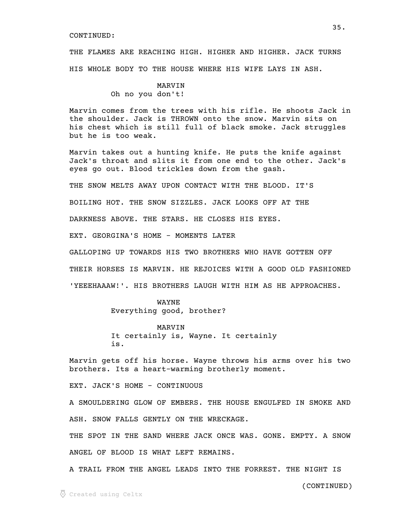THE FLAMES ARE REACHING HIGH. HIGHER AND HIGHER. JACK TURNS HIS WHOLE BODY TO THE HOUSE WHERE HIS WIFE LAYS IN ASH.

> MARVIN Oh no you don't!

Marvin comes from the trees with his rifle. He shoots Jack in the shoulder. Jack is THROWN onto the snow. Marvin sits on his chest which is still full of black smoke. Jack struggles but he is too weak.

Marvin takes out a hunting knife. He puts the knife against Jack's throat and slits it from one end to the other. Jack's eyes go out. Blood trickles down from the gash.

THE SNOW MELTS AWAY UPON CONTACT WITH THE BLOOD. IT'S

BOILING HOT. THE SNOW SIZZLES. JACK LOOKS OFF AT THE

DARKNESS ABOVE. THE STARS. HE CLOSES HIS EYES.

EXT. GEORGINA'S HOME - MOMENTS LATER

GALLOPING UP TOWARDS HIS TWO BROTHERS WHO HAVE GOTTEN OFF

THEIR HORSES IS MARVIN. HE REJOICES WITH A GOOD OLD FASHIONED

'YEEEHAAAW!'. HIS BROTHERS LAUGH WITH HIM AS HE APPROACHES.

#### WAYNE

Everything good, brother?

MARVIN

It certainly is, Wayne. It certainly is.

Marvin gets off his horse. Wayne throws his arms over his two brothers. Its a heart-warming brotherly moment.

EXT. JACK'S HOME - CONTINUOUS

A SMOULDERING GLOW OF EMBERS. THE HOUSE ENGULFED IN SMOKE AND ASH. SNOW FALLS GENTLY ON THE WRECKAGE.

THE SPOT IN THE SAND WHERE JACK ONCE WAS. GONE. EMPTY. A SNOW ANGEL OF BLOOD IS WHAT LEFT REMAINS.

A TRAIL FROM THE ANGEL LEADS INTO THE FORREST. THE NIGHT IS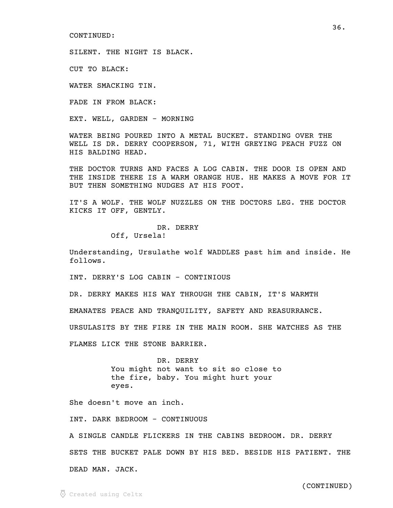SILENT. THE NIGHT IS BLACK.

CUT TO BLACK:

WATER SMACKING TIN.

FADE IN FROM BLACK:

EXT. WELL, GARDEN - MORNING

WATER BEING POURED INTO A METAL BUCKET. STANDING OVER THE WELL IS DR. DERRY COOPERSON, 71, WITH GREYING PEACH FUZZ ON HIS BALDING HEAD.

THE DOCTOR TURNS AND FACES A LOG CABIN. THE DOOR IS OPEN AND THE INSIDE THERE IS A WARM ORANGE HUE. HE MAKES A MOVE FOR IT BUT THEN SOMETHING NUDGES AT HIS FOOT.

IT'S A WOLF. THE WOLF NUZZLES ON THE DOCTORS LEG. THE DOCTOR KICKS IT OFF, GENTLY.

> DR. DERRY Off, Ursela!

Understanding, Ursulathe wolf WADDLES past him and inside. He follows.

INT. DERRY'S LOG CABIN - CONTINIOUS

DR. DERRY MAKES HIS WAY THROUGH THE CABIN, IT'S WARMTH

EMANATES PEACE AND TRANQUILITY, SAFETY AND REASURRANCE.

URSULASITS BY THE FIRE IN THE MAIN ROOM. SHE WATCHES AS THE

FLAMES LICK THE STONE BARRIER.

DR. DERRY You might not want to sit so close to the fire, baby. You might hurt your eyes.

She doesn't move an inch.

INT. DARK BEDROOM - CONTINUOUS

A SINGLE CANDLE FLICKERS IN THE CABINS BEDROOM. DR. DERRY SETS THE BUCKET PALE DOWN BY HIS BED. BESIDE HIS PATIENT. THE DEAD MAN. JACK.

(CONTINUED)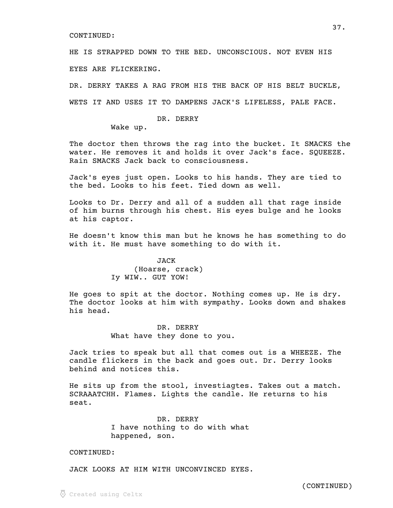HE IS STRAPPED DOWN TO THE BED. UNCONSCIOUS. NOT EVEN HIS EYES ARE FLICKERING.

DR. DERRY TAKES A RAG FROM HIS THE BACK OF HIS BELT BUCKLE, WETS IT AND USES IT TO DAMPENS JACK'S LIFELESS, PALE FACE.

### DR. DERRY

Wake up.

The doctor then throws the rag into the bucket. It SMACKS the water. He removes it and holds it over Jack's face. SQUEEZE. Rain SMACKS Jack back to consciousness.

Jack's eyes just open. Looks to his hands. They are tied to the bed. Looks to his feet. Tied down as well.

Looks to Dr. Derry and all of a sudden all that rage inside of him burns through his chest. His eyes bulge and he looks at his captor.

He doesn't know this man but he knows he has something to do with it. He must have something to do with it.

# JACK (Hoarse, crack) Iy WIW.. GUT YOW!

He goes to spit at the doctor. Nothing comes up. He is dry. The doctor looks at him with sympathy. Looks down and shakes his head.

> DR. DERRY What have they done to you.

Jack tries to speak but all that comes out is a WHEEZE. The candle flickers in the back and goes out. Dr. Derry looks behind and notices this.

He sits up from the stool, investiagtes. Takes out a match. SCRAAATCHH. Flames. Lights the candle. He returns to his seat.

> DR. DERRY I have nothing to do with what happened, son.

#### CONTINUED:

JACK LOOKS AT HIM WITH UNCONVINCED EYES.

 $\odot$  Created using Celtx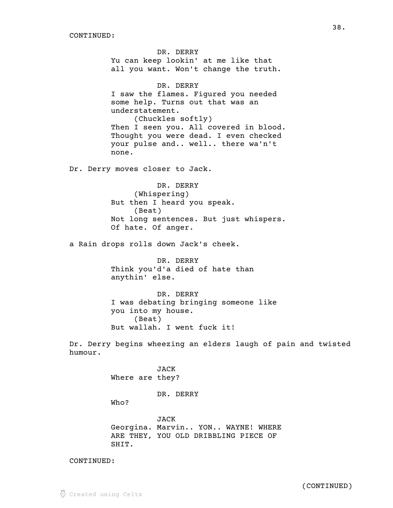DR. DERRY Yu can keep lookin' at me like that all you want. Won't change the truth. DR. DERRY I saw the flames. Figured you needed some help. Turns out that was an understatement. (Chuckles softly) Then I seen you. All covered in blood. Thought you were dead. I even checked your pulse and.. well.. there wa'n't none. Dr. Derry moves closer to Jack. DR. DERRY (Whispering) But then I heard you speak. (Beat) Not long sentences. But just whispers. Of hate. Of anger. a Rain drops rolls down Jack's cheek. DR. DERRY Think you'd'a died of hate than anythin' else. DR. DERRY I was debating bringing someone like you into my house. (Beat) But wallah. I went fuck it! Dr. Derry begins wheezing an elders laugh of pain and twisted humour. JACK Where are they? DR. DERRY Who? JACK Georgina. Marvin.. YON.. WAYNE! WHERE ARE THEY, YOU OLD DRIBBLING PIECE OF SHIT.

CONTINUED: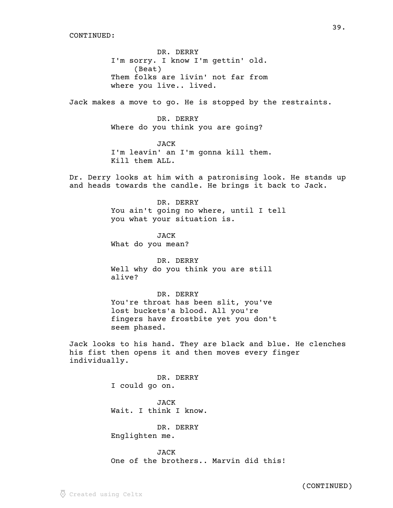DR. DERRY I'm sorry. I know I'm gettin' old. (Beat) Them folks are livin' not far from where you live.. lived.

Jack makes a move to go. He is stopped by the restraints.

DR. DERRY Where do you think you are going?

JACK I'm leavin' an I'm gonna kill them. Kill them ALL.

Dr. Derry looks at him with a patronising look. He stands up and heads towards the candle. He brings it back to Jack.

> DR. DERRY You ain't going no where, until I tell you what your situation is.

JACK What do you mean?

DR. DERRY Well why do you think you are still alive?

DR. DERRY You're throat has been slit, you've lost buckets'a blood. All you're fingers have frostbite yet you don't seem phased.

Jack looks to his hand. They are black and blue. He clenches his fist then opens it and then moves every finger individually.

> DR. DERRY I could go on.

**JACK** Wait. I think I know.

DR. DERRY

Englighten me.

JACK One of the brothers.. Marvin did this!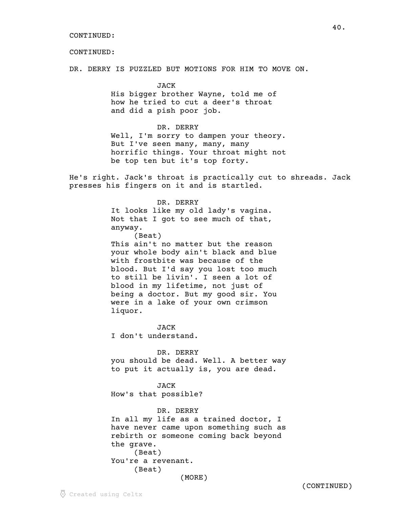DR. DERRY IS PUZZLED BUT MOTIONS FOR HIM TO MOVE ON.

JACK His bigger brother Wayne, told me of how he tried to cut a deer's throat and did a pish poor job.

DR. DERRY

Well, I'm sorry to dampen your theory. But I've seen many, many, many horrific things. Your throat might not be top ten but it's top forty.

He's right. Jack's throat is practically cut to shreads. Jack presses his fingers on it and is startled.

> DR. DERRY It looks like my old lady's vagina. Not that I got to see much of that, anyway. (Beat) This ain't no matter but the reason your whole body ain't black and blue with frostbite was because of the blood. But I'd say you lost too much to still be livin'. I seen a lot of blood in my lifetime, not just of being a doctor. But my good sir. You were in a lake of your own crimson

liquor.

**JACK** I don't understand.

DR. DERRY you should be dead. Well. A better way to put it actually is, you are dead.

JACK How's that possible?

DR. DERRY In all my life as a trained doctor, I have never came upon something such as rebirth or someone coming back beyond the grave. (Beat) You're a revenant. (Beat) (MORE)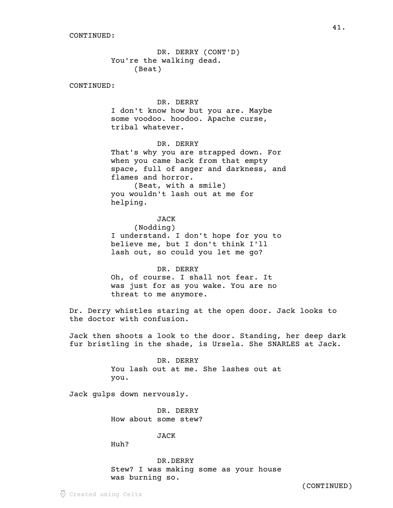DR. DERRY (CONT'D) You're the walking dead. (Beat)

CONTINUED:

### DR. DERRY

I don't know how but you are. Maybe some voodoo. hoodoo. Apache curse, tribal whatever.

DR. DERRY

That's why you are strapped down. For when you came back from that empty space, full of anger and darkness, and flames and horror. (Beat, with a smile)

you wouldn't lash out at me for helping.

## JACK

(Nodding) I understand. I don't hope for you to believe me, but I don't think I'll lash out, so could you let me go?

DR. DERRY Oh, of course. I shall not fear. It was just for as you wake. You are no threat to me anymore.

Dr. Derry whistles staring at the open door. Jack looks to the doctor with confusion.

Jack then shoots a look to the door. Standing, her deep dark fur bristling in the shade, is Ursela. She SNARLES at Jack.

> DR. DERRY You lash out at me. She lashes out at you.

Jack gulps down nervously.

DR. DERRY How about some stew?

JACK

Huh?

DR.DERRY Stew? I was making some as your house was burning so.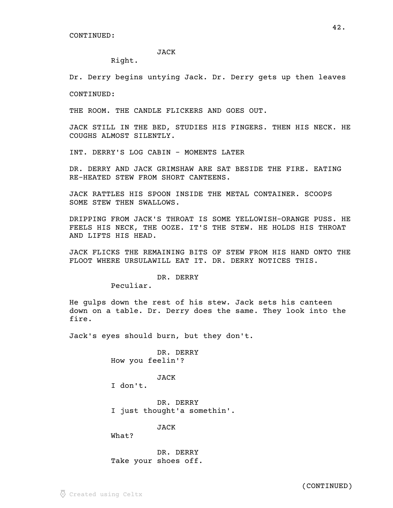#### JACK

Right.

Dr. Derry begins untying Jack. Dr. Derry gets up then leaves

CONTINUED:

THE ROOM. THE CANDLE FLICKERS AND GOES OUT.

JACK STILL IN THE BED, STUDIES HIS FINGERS. THEN HIS NECK. HE COUGHS ALMOST SILENTLY.

INT. DERRY'S LOG CABIN - MOMENTS LATER

DR. DERRY AND JACK GRIMSHAW ARE SAT BESIDE THE FIRE. EATING RE-HEATED STEW FROM SHORT CANTEENS.

JACK RATTLES HIS SPOON INSIDE THE METAL CONTAINER. SCOOPS SOME STEW THEN SWALLOWS.

DRIPPING FROM JACK'S THROAT IS SOME YELLOWISH-ORANGE PUSS. HE FEELS HIS NECK, THE OOZE. IT'S THE STEW. HE HOLDS HIS THROAT AND LIFTS HIS HEAD.

JACK FLICKS THE REMAINING BITS OF STEW FROM HIS HAND ONTO THE FLOOT WHERE URSULAWILL EAT IT. DR. DERRY NOTICES THIS.

### DR. DERRY

Peculiar.

He gulps down the rest of his stew. Jack sets his canteen down on a table. Dr. Derry does the same. They look into the fire.

Jack's eyes should burn, but they don't.

DR. DERRY How you feelin'?

### JACK

I don't.

DR. DERRY I just thought'a somethin'.

JACK

What?

DR. DERRY Take your shoes off.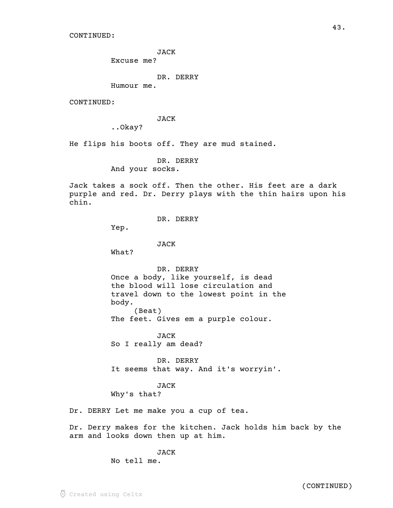JACK

Excuse me?

DR. DERRY

Humour me.

CONTINUED:

JACK

..Okay?

He flips his boots off. They are mud stained.

DR. DERRY And your socks.

Jack takes a sock off. Then the other. His feet are a dark purple and red. Dr. Derry plays with the thin hairs upon his chin.

DR. DERRY

Yep.

JACK

What?

DR. DERRY Once a body, like yourself, is dead the blood will lose circulation and travel down to the lowest point in the body. (Beat)

The feet. Gives em a purple colour.

JACK So I really am dead?

DR. DERRY It seems that way. And it's worryin'.

JACK

Why's that?

Dr. DERRY Let me make you a cup of tea.

Dr. Derry makes for the kitchen. Jack holds him back by the arm and looks down then up at him.

JACK

No tell me.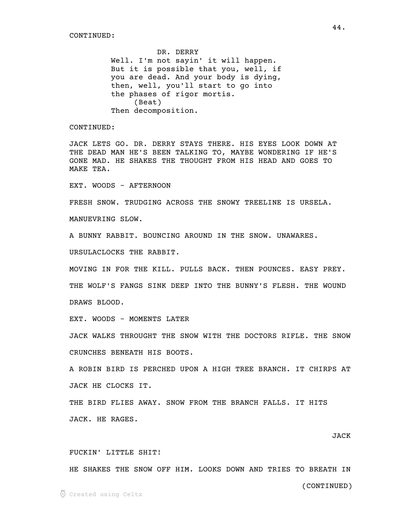DR. DERRY Well. I'm not sayin' it will happen. But it is possible that you, well, if you are dead. And your body is dying, then, well, you'll start to go into the phases of rigor mortis. (Beat) Then decomposition.

CONTINUED:

JACK LETS GO. DR. DERRY STAYS THERE. HIS EYES LOOK DOWN AT THE DEAD MAN HE'S BEEN TALKING TO, MAYBE WONDERING IF HE'S GONE MAD. HE SHAKES THE THOUGHT FROM HIS HEAD AND GOES TO MAKE TEA.

EXT. WOODS - AFTERNOON

FRESH SNOW. TRUDGING ACROSS THE SNOWY TREELINE IS URSELA.

MANUEVRING SLOW.

A BUNNY RABBIT. BOUNCING AROUND IN THE SNOW. UNAWARES.

URSULACLOCKS THE RABBIT.

MOVING IN FOR THE KILL. PULLS BACK. THEN POUNCES. EASY PREY.

THE WOLF'S FANGS SINK DEEP INTO THE BUNNY'S FLESH. THE WOUND DRAWS BLOOD.

EXT. WOODS - MOMENTS LATER

JACK WALKS THROUGHT THE SNOW WITH THE DOCTORS RIFLE. THE SNOW CRUNCHES BENEATH HIS BOOTS.

A ROBIN BIRD IS PERCHED UPON A HIGH TREE BRANCH. IT CHIRPS AT JACK HE CLOCKS IT.

THE BIRD FLIES AWAY. SNOW FROM THE BRANCH FALLS. IT HITS JACK. HE RAGES.

# JACK

#### FUCKIN' LITTLE SHIT!

HE SHAKES THE SNOW OFF HIM. LOOKS DOWN AND TRIES TO BREATH IN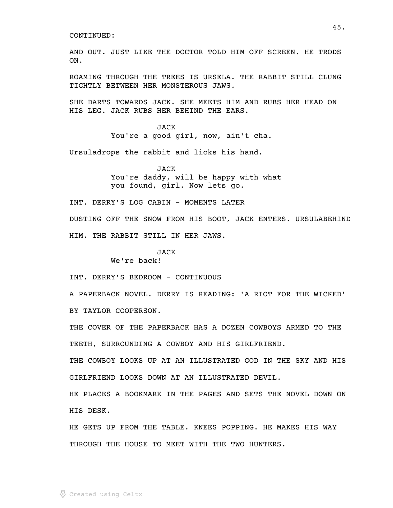AND OUT. JUST LIKE THE DOCTOR TOLD HIM OFF SCREEN. HE TRODS ON.

ROAMING THROUGH THE TREES IS URSELA. THE RABBIT STILL CLUNG TIGHTLY BETWEEN HER MONSTEROUS JAWS.

SHE DARTS TOWARDS JACK. SHE MEETS HIM AND RUBS HER HEAD ON HIS LEG. JACK RUBS HER BEHIND THE EARS.

> JACK You're a good girl, now, ain't cha.

Ursuladrops the rabbit and licks his hand.

JACK You're daddy, will be happy with what you found, girl. Now lets go.

INT. DERRY'S LOG CABIN - MOMENTS LATER

DUSTING OFF THE SNOW FROM HIS BOOT, JACK ENTERS. URSULABEHIND HIM. THE RABBIT STILL IN HER JAWS.

JACK

We're back!

INT. DERRY'S BEDROOM - CONTINUOUS

A PAPERBACK NOVEL. DERRY IS READING: 'A RIOT FOR THE WICKED' BY TAYLOR COOPERSON.

THE COVER OF THE PAPERBACK HAS A DOZEN COWBOYS ARMED TO THE TEETH, SURROUNDING A COWBOY AND HIS GIRLFRIEND.

THE COWBOY LOOKS UP AT AN ILLUSTRATED GOD IN THE SKY AND HIS GIRLFRIEND LOOKS DOWN AT AN ILLUSTRATED DEVIL.

HE PLACES A BOOKMARK IN THE PAGES AND SETS THE NOVEL DOWN ON HIS DESK.

HE GETS UP FROM THE TABLE. KNEES POPPING. HE MAKES HIS WAY THROUGH THE HOUSE TO MEET WITH THE TWO HUNTERS.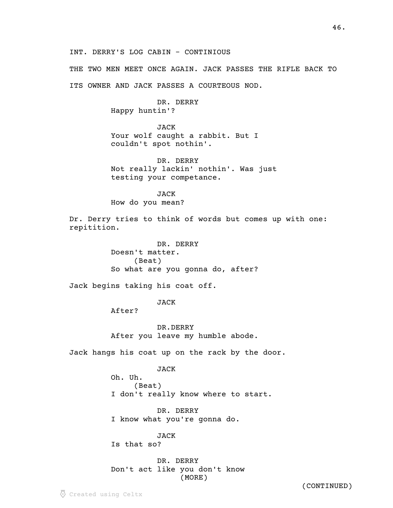INT. DERRY'S LOG CABIN - CONTINIOUS

THE TWO MEN MEET ONCE AGAIN. JACK PASSES THE RIFLE BACK TO

ITS OWNER AND JACK PASSES A COURTEOUS NOD.

DR. DERRY Happy huntin'?

JACK Your wolf caught a rabbit. But I couldn't spot nothin'.

DR. DERRY Not really lackin' nothin'. Was just testing your competance.

JACK How do you mean?

Dr. Derry tries to think of words but comes up with one: repitition.

> DR. DERRY Doesn't matter. (Beat) So what are you gonna do, after?

Jack begins taking his coat off.

JACK

After?

DR.DERRY After you leave my humble abode.

Jack hangs his coat up on the rack by the door.

JACK

Oh. Uh. (Beat) I don't really know where to start.

DR. DERRY I know what you're gonna do.

JACK Is that so?

DR. DERRY Don't act like you don't know (MORE)

(CONTINUED)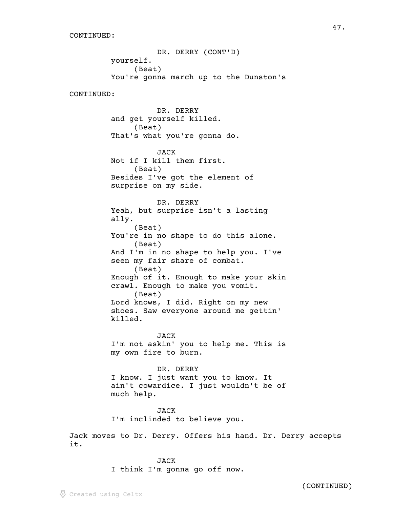DR. DERRY (CONT'D) yourself. (Beat) You're gonna march up to the Dunston's CONTINUED: DR. DERRY and get yourself killed. (Beat) That's what you're gonna do. JACK Not if I kill them first. (Beat) Besides I've got the element of surprise on my side. DR. DERRY Yeah, but surprise isn't a lasting ally. (Beat) You're in no shape to do this alone. (Beat) And I'm in no shape to help you. I've seen my fair share of combat. (Beat) Enough of it. Enough to make your skin crawl. Enough to make you vomit. (Beat) Lord knows, I did. Right on my new shoes. Saw everyone around me gettin' killed. JACK I'm not askin' you to help me. This is my own fire to burn. DR. DERRY I know. I just want you to know. It ain't cowardice. I just wouldn't be of much help. JACK I'm inclinded to believe you. Jack moves to Dr. Derry. Offers his hand. Dr. Derry accepts it.

> JACK I think I'm gonna go off now.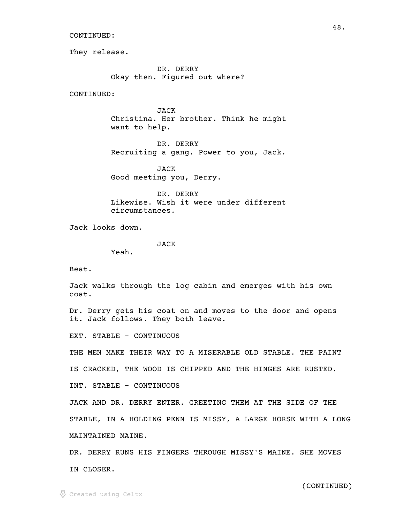They release.

DR. DERRY Okay then. Figured out where?

CONTINUED:

JACK Christina. Her brother. Think he might want to help.

DR. DERRY Recruiting a gang. Power to you, Jack.

JACK Good meeting you, Derry.

DR. DERRY Likewise. Wish it were under different circumstances.

Jack looks down.

JACK

Yeah.

Beat.

Jack walks through the log cabin and emerges with his own coat.

Dr. Derry gets his coat on and moves to the door and opens it. Jack follows. They both leave.

EXT. STABLE - CONTINUOUS

THE MEN MAKE THEIR WAY TO A MISERABLE OLD STABLE. THE PAINT

IS CRACKED, THE WOOD IS CHIPPED AND THE HINGES ARE RUSTED.

INT. STABLE - CONTINUOUS

JACK AND DR. DERRY ENTER. GREETING THEM AT THE SIDE OF THE STABLE, IN A HOLDING PENN IS MISSY, A LARGE HORSE WITH A LONG MAINTAINED MAINE.

DR. DERRY RUNS HIS FINGERS THROUGH MISSY'S MAINE. SHE MOVES IN CLOSER.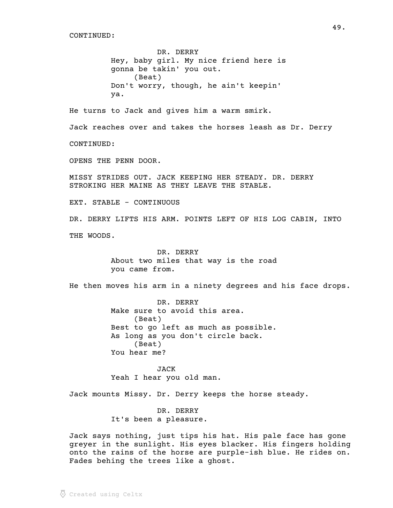DR. DERRY Hey, baby girl. My nice friend here is gonna be takin' you out. (Beat) Don't worry, though, he ain't keepin' ya.

He turns to Jack and gives him a warm smirk.

Jack reaches over and takes the horses leash as Dr. Derry

CONTINUED:

OPENS THE PENN DOOR.

MISSY STRIDES OUT. JACK KEEPING HER STEADY. DR. DERRY STROKING HER MAINE AS THEY LEAVE THE STABLE.

EXT. STABLE - CONTINUOUS

DR. DERRY LIFTS HIS ARM. POINTS LEFT OF HIS LOG CABIN, INTO THE WOODS.

> DR. DERRY About two miles that way is the road you came from.

He then moves his arm in a ninety degrees and his face drops.

DR. DERRY Make sure to avoid this area. (Beat) Best to go left as much as possible. As long as you don't circle back. (Beat) You hear me?

JACK Yeah I hear you old man.

Jack mounts Missy. Dr. Derry keeps the horse steady.

DR. DERRY It's been a pleasure.

Jack says nothing, just tips his hat. His pale face has gone greyer in the sunlight. His eyes blacker. His fingers holding onto the rains of the horse are purple-ish blue. He rides on. Fades behing the trees like a ghost.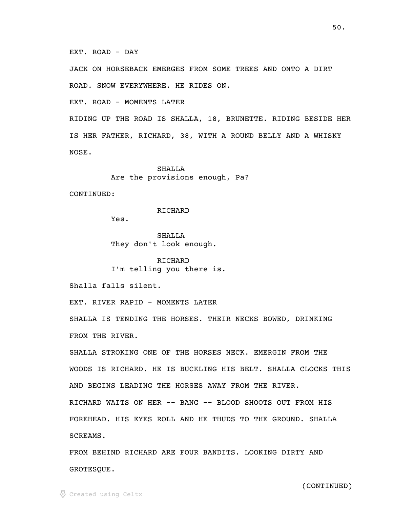#### EXT. ROAD - DAY

JACK ON HORSEBACK EMERGES FROM SOME TREES AND ONTO A DIRT

ROAD. SNOW EVERYWHERE. HE RIDES ON.

EXT. ROAD - MOMENTS LATER

RIDING UP THE ROAD IS SHALLA, 18, BRUNETTE. RIDING BESIDE HER IS HER FATHER, RICHARD, 38, WITH A ROUND BELLY AND A WHISKY NOSE.

> SHALLA Are the provisions enough, Pa?

CONTINUED:

RICHARD

Yes.

SHALLA They don't look enough.

RICHARD I'm telling you there is.

Shalla falls silent.

EXT. RIVER RAPID - MOMENTS LATER

SHALLA IS TENDING THE HORSES. THEIR NECKS BOWED, DRINKING FROM THE RIVER.

SHALLA STROKING ONE OF THE HORSES NECK. EMERGIN FROM THE WOODS IS RICHARD. HE IS BUCKLING HIS BELT. SHALLA CLOCKS THIS AND BEGINS LEADING THE HORSES AWAY FROM THE RIVER. RICHARD WAITS ON HER -- BANG -- BLOOD SHOOTS OUT FROM HIS FOREHEAD. HIS EYES ROLL AND HE THUDS TO THE GROUND. SHALLA SCREAMS.

FROM BEHIND RICHARD ARE FOUR BANDITS. LOOKING DIRTY AND GROTESQUE.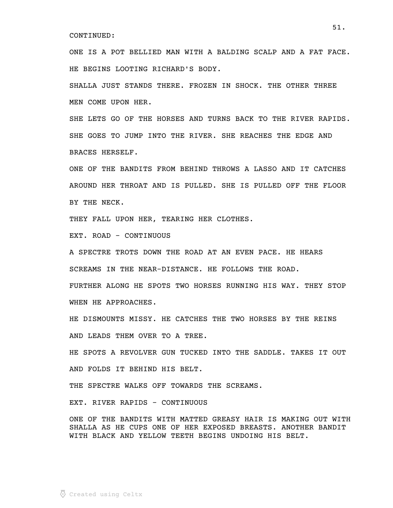ONE IS A POT BELLIED MAN WITH A BALDING SCALP AND A FAT FACE. HE BEGINS LOOTING RICHARD'S BODY.

SHALLA JUST STANDS THERE. FROZEN IN SHOCK. THE OTHER THREE MEN COME UPON HER.

SHE LETS GO OF THE HORSES AND TURNS BACK TO THE RIVER RAPIDS. SHE GOES TO JUMP INTO THE RIVER. SHE REACHES THE EDGE AND BRACES HERSELF.

ONE OF THE BANDITS FROM BEHIND THROWS A LASSO AND IT CATCHES AROUND HER THROAT AND IS PULLED. SHE IS PULLED OFF THE FLOOR BY THE NECK.

THEY FALL UPON HER, TEARING HER CLOTHES.

EXT. ROAD - CONTINUOUS

A SPECTRE TROTS DOWN THE ROAD AT AN EVEN PACE. HE HEARS SCREAMS IN THE NEAR-DISTANCE. HE FOLLOWS THE ROAD.

FURTHER ALONG HE SPOTS TWO HORSES RUNNING HIS WAY. THEY STOP WHEN HE APPROACHES.

HE DISMOUNTS MISSY. HE CATCHES THE TWO HORSES BY THE REINS AND LEADS THEM OVER TO A TREE.

HE SPOTS A REVOLVER GUN TUCKED INTO THE SADDLE. TAKES IT OUT AND FOLDS IT BEHIND HIS BELT.

THE SPECTRE WALKS OFF TOWARDS THE SCREAMS.

EXT. RIVER RAPIDS - CONTINUOUS

ONE OF THE BANDITS WITH MATTED GREASY HAIR IS MAKING OUT WITH SHALLA AS HE CUPS ONE OF HER EXPOSED BREASTS. ANOTHER BANDIT WITH BLACK AND YELLOW TEETH BEGINS UNDOING HIS BELT.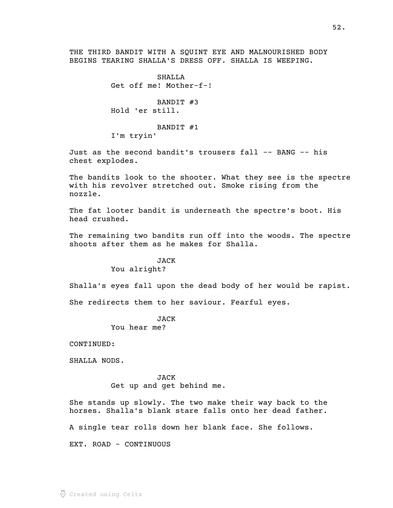THE THIRD BANDIT WITH A SQUINT EYE AND MALNOURISHED BODY BEGINS TEARING SHALLA'S DRESS OFF. SHALLA IS WEEPING.

> $SHAT.T.A$ Get off me! Mother-f-!

BANDIT #3 Hold 'er still.

BANDIT #1

I'm tryin'

Just as the second bandit's trousers fall -- BANG -- his chest explodes.

The bandits look to the shooter. What they see is the spectre with his revolver stretched out. Smoke rising from the nozzle.

The fat looter bandit is underneath the spectre's boot. His head crushed.

The remaining two bandits run off into the woods. The spectre shoots after them as he makes for Shalla.

> JACK You alright?

Shalla's eyes fall upon the dead body of her would be rapist.

She redirects them to her saviour. Fearful eyes.

JACK

You hear me?

CONTINUED:

SHALLA NODS.

JACK Get up and get behind me.

She stands up slowly. The two make their way back to the horses. Shalla's blank stare falls onto her dead father.

A single tear rolls down her blank face. She follows.

EXT. ROAD - CONTINUOUS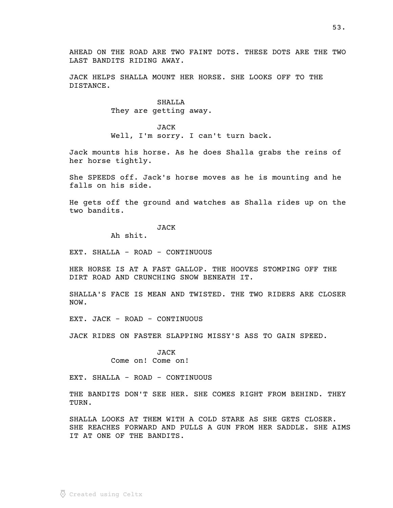AHEAD ON THE ROAD ARE TWO FAINT DOTS. THESE DOTS ARE THE TWO LAST BANDITS RIDING AWAY.

JACK HELPS SHALLA MOUNT HER HORSE. SHE LOOKS OFF TO THE DISTANCE.

> SHALLA They are getting away.

JACK Well, I'm sorry. I can't turn back.

Jack mounts his horse. As he does Shalla grabs the reins of her horse tightly.

She SPEEDS off. Jack's horse moves as he is mounting and he falls on his side.

He gets off the ground and watches as Shalla rides up on the two bandits.

### **JACK**

Ah shit.

EXT. SHALLA - ROAD - CONTINUOUS

HER HORSE IS AT A FAST GALLOP. THE HOOVES STOMPING OFF THE DIRT ROAD AND CRUNCHING SNOW BENEATH IT.

SHALLA'S FACE IS MEAN AND TWISTED. THE TWO RIDERS ARE CLOSER NOW.

EXT. JACK - ROAD - CONTINUOUS

JACK RIDES ON FASTER SLAPPING MISSY'S ASS TO GAIN SPEED.

JACK Come on! Come on!

EXT. SHALLA - ROAD - CONTINUOUS

THE BANDITS DON'T SEE HER. SHE COMES RIGHT FROM BEHIND. THEY TURN.

SHALLA LOOKS AT THEM WITH A COLD STARE AS SHE GETS CLOSER. SHE REACHES FORWARD AND PULLS A GUN FROM HER SADDLE. SHE AIMS IT AT ONE OF THE BANDITS.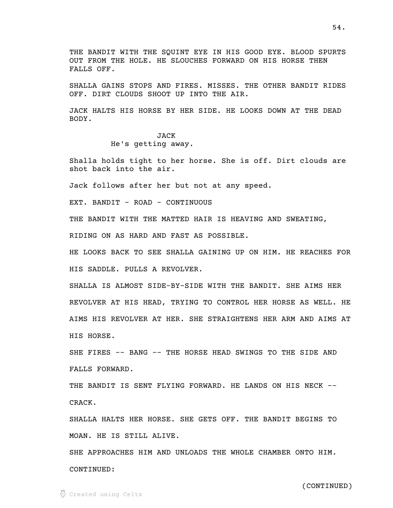THE BANDIT WITH THE SOUINT EYE IN HIS GOOD EYE. BLOOD SPURTS OUT FROM THE HOLE. HE SLOUCHES FORWARD ON HIS HORSE THEN FALLS OFF.

SHALLA GAINS STOPS AND FIRES. MISSES. THE OTHER BANDIT RIDES OFF. DIRT CLOUDS SHOOT UP INTO THE AIR.

JACK HALTS HIS HORSE BY HER SIDE. HE LOOKS DOWN AT THE DEAD BODY.

# JACK He's getting away.

Shalla holds tight to her horse. She is off. Dirt clouds are shot back into the air.

Jack follows after her but not at any speed.

EXT. BANDIT - ROAD - CONTINUOUS

THE BANDIT WITH THE MATTED HAIR IS HEAVING AND SWEATING,

RIDING ON AS HARD AND FAST AS POSSIBLE.

HE LOOKS BACK TO SEE SHALLA GAINING UP ON HIM. HE REACHES FOR HIS SADDLE. PULLS A REVOLVER.

SHALLA IS ALMOST SIDE-BY-SIDE WITH THE BANDIT. SHE AIMS HER REVOLVER AT HIS HEAD, TRYING TO CONTROL HER HORSE AS WELL. HE AIMS HIS REVOLVER AT HER. SHE STRAIGHTENS HER ARM AND AIMS AT HIS HORSE.

SHE FIRES -- BANG -- THE HORSE HEAD SWINGS TO THE SIDE AND FALLS FORWARD.

THE BANDIT IS SENT FLYING FORWARD. HE LANDS ON HIS NECK -- CRACK.

SHALLA HALTS HER HORSE. SHE GETS OFF. THE BANDIT BEGINS TO MOAN. HE IS STILL ALIVE.

SHE APPROACHES HIM AND UNLOADS THE WHOLE CHAMBER ONTO HIM. CONTINUED: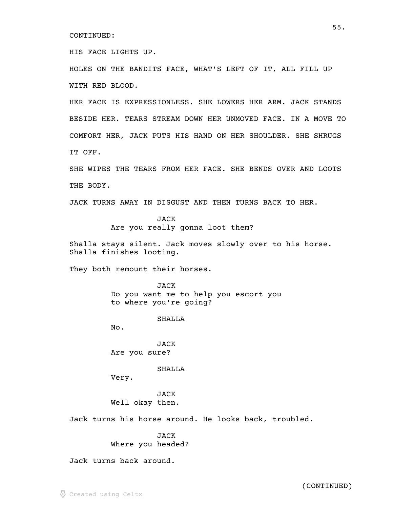HIS FACE LIGHTS UP.

HOLES ON THE BANDITS FACE, WHAT'S LEFT OF IT, ALL FILL UP WITH RED BLOOD.

HER FACE IS EXPRESSIONLESS. SHE LOWERS HER ARM. JACK STANDS BESIDE HER. TEARS STREAM DOWN HER UNMOVED FACE. IN A MOVE TO COMFORT HER, JACK PUTS HIS HAND ON HER SHOULDER. SHE SHRUGS IT OFF.

SHE WIPES THE TEARS FROM HER FACE. SHE BENDS OVER AND LOOTS THE BODY.

JACK TURNS AWAY IN DISGUST AND THEN TURNS BACK TO HER.

JACK Are you really gonna loot them?

Shalla stays silent. Jack moves slowly over to his horse. Shalla finishes looting.

They both remount their horses.

JACK Do you want me to help you escort you to where you're going?

SHALLA

No.

JACK Are you sure?

SHALLA

Very.

JACK Well okay then.

Jack turns his horse around. He looks back, troubled.

JACK Where you headed?

Jack turns back around.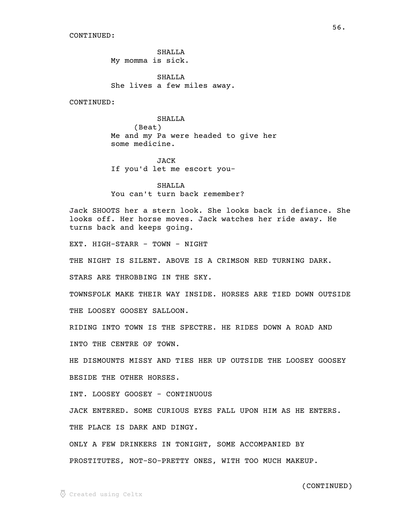SHALLA My momma is sick.

SHALLA She lives a few miles away.

CONTINUED:

# SHALLA

(Beat) Me and my Pa were headed to give her some medicine.

JACK If you'd let me escort you-

SHALLA You can't turn back remember?

Jack SHOOTS her a stern look. She looks back in defiance. She looks off. Her horse moves. Jack watches her ride away. He turns back and keeps going.

EXT. HIGH-STARR - TOWN - NIGHT

THE NIGHT IS SILENT. ABOVE IS A CRIMSON RED TURNING DARK.

STARS ARE THROBBING IN THE SKY.

TOWNSFOLK MAKE THEIR WAY INSIDE. HORSES ARE TIED DOWN OUTSIDE

THE LOOSEY GOOSEY SALLOON.

RIDING INTO TOWN IS THE SPECTRE. HE RIDES DOWN A ROAD AND

INTO THE CENTRE OF TOWN.

HE DISMOUNTS MISSY AND TIES HER UP OUTSIDE THE LOOSEY GOOSEY BESIDE THE OTHER HORSES.

INT. LOOSEY GOOSEY - CONTINUOUS

JACK ENTERED. SOME CURIOUS EYES FALL UPON HIM AS HE ENTERS.

THE PLACE IS DARK AND DINGY.

ONLY A FEW DRINKERS IN TONIGHT, SOME ACCOMPANIED BY

PROSTITUTES, NOT-SO-PRETTY ONES, WITH TOO MUCH MAKEUP.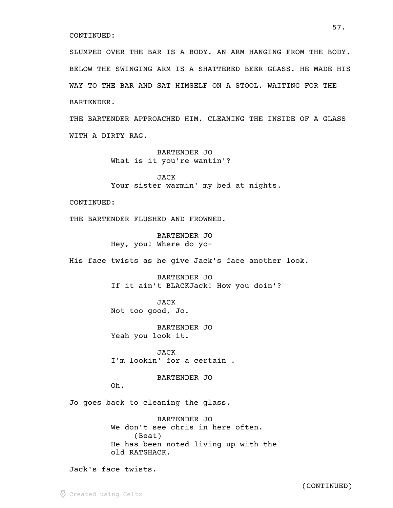SLUMPED OVER THE BAR IS A BODY. AN ARM HANGING FROM THE BODY. BELOW THE SWINGING ARM IS A SHATTERED BEER GLASS. HE MADE HIS WAY TO THE BAR AND SAT HIMSELF ON A STOOL. WAITING FOR THE BARTENDER.

THE BARTENDER APPROACHED HIM. CLEANING THE INSIDE OF A GLASS WITH A DIRTY RAG.

> BARTENDER JO What is it you're wantin'?

JACK Your sister warmin' my bed at nights.

CONTINUED:

THE BARTENDER FLUSHED AND FROWNED.

BARTENDER JO Hey, you! Where do yo-

His face twists as he give Jack's face another look.

BARTENDER JO If it ain't BLACKJack! How you doin'?

JACK Not too good, Jo.

BARTENDER JO Yeah you look it.

JACK I'm lookin' for a certain .

BARTENDER JO

Oh.

Jo goes back to cleaning the glass.

BARTENDER JO We don't see chris in here often. (Beat) He has been noted living up with the old RATSHACK.

Jack's face twists.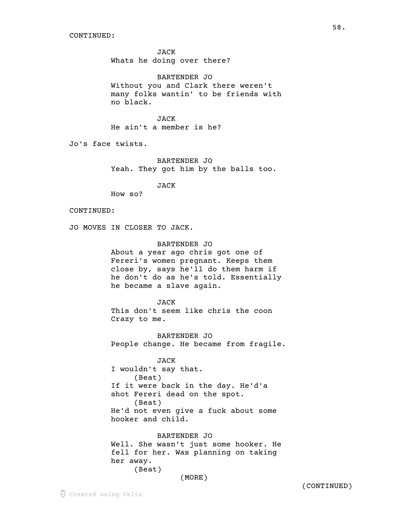JACK Whats he doing over there?

BARTENDER JO Without you and Clark there weren't many folks wantin' to be friends with no black.

JACK He ain't a member is he?

Jo's face twists.

BARTENDER JO Yeah. They got him by the balls too.

JACK

How so?

### CONTINUED:

JO MOVES IN CLOSER TO JACK.

#### BARTENDER JO

About a year ago chris got one of Fereri's women pregnant. Keeps them close by, says he'll do them harm if he don't do as he's told. Essentially he became a slave again.

JACK

This don't seem like chris the coon Crazy to me.

BARTENDER JO People change. He became from fragile.

JACK I wouldn't say that. (Beat) If it were back in the day. He'd'a shot Fereri dead on the spot. (Beat) He'd not even give a fuck about some hooker and child.

BARTENDER JO Well. She wasn't just some hooker. He fell for her. Was planning on taking

her away.

```
(Beat)
```
(MORE)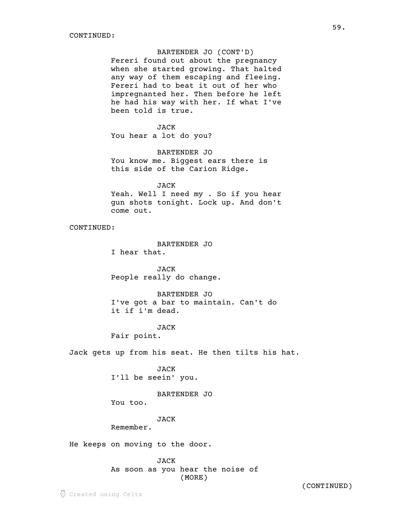### BARTENDER JO (CONT'D)

Fereri found out about the pregnancy when she started growing. That halted any way of them escaping and fleeing. Fereri had to beat it out of her who impregnanted her. Then before he left he had his way with her. If what I've been told is true.

#### JACK

You hear a lot do you?

BARTENDER JO You know me. Biggest ears there is this side of the Carion Ridge.

#### JACK

Yeah. Well I need my . So if you hear gun shots tonight. Lock up. And don't come out.

CONTINUED:

BARTENDER JO

I hear that.

JACK People really do change.

BARTENDER JO I've got a bar to maintain. Can't do it if i'm dead.

#### **JACK**

Fair point.

Jack gets up from his seat. He then tilts his hat.

JACK I'll be seein' you.

BARTENDER JO

You too.

### JACK

Remember.

He keeps on moving to the door.

JACK As soon as you hear the noise of (MORE)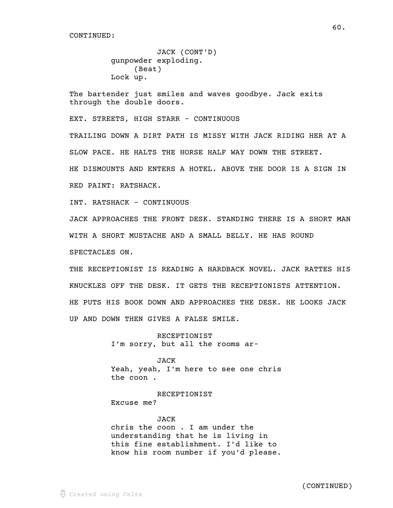```
JACK (CONT'D) 
gunpowder exploding.
     (Beat)
Lock up.
```
The bartender just smiles and waves goodbye. Jack exits through the double doors.

EXT. STREETS, HIGH STARR - CONTINUOUS

TRAILING DOWN A DIRT PATH IS MISSY WITH JACK RIDING HER AT A SLOW PACE. HE HALTS THE HORSE HALF WAY DOWN THE STREET. HE DISMOUNTS AND ENTERS A HOTEL. ABOVE THE DOOR IS A SIGN IN RED PAINT: RATSHACK.

INT. RATSHACK - CONTINUOUS

JACK APPROACHES THE FRONT DESK. STANDING THERE IS A SHORT MAN WITH A SHORT MUSTACHE AND A SMALL BELLY. HE HAS ROUND SPECTACLES ON.

THE RECEPTIONIST IS READING A HARDBACK NOVEL. JACK RATTES HIS KNUCKLES OFF THE DESK. IT GETS THE RECEPTIONISTS ATTENTION. HE PUTS HIS BOOK DOWN AND APPROACHES THE DESK. HE LOOKS JACK UP AND DOWN THEN GIVES A FALSE SMILE.

> RECEPTIONIST I'm sorry, but all the rooms ar-

JACK Yeah, yeah, I'm here to see one chris the coon .

RECEPTIONIST Excuse me?

JACK chris the coon . I am under the understanding that he is living in this fine establishment. I'd like to know his room number if you'd please.

 $60.$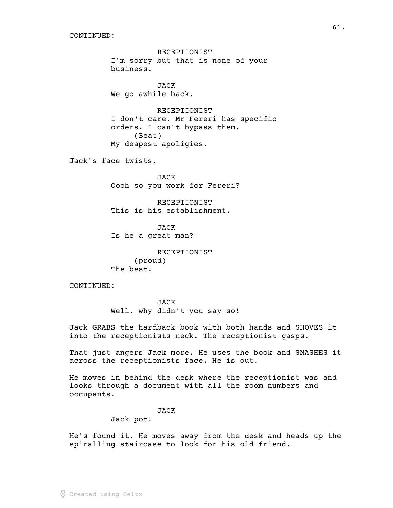RECEPTIONIST I'm sorry but that is none of your business.

JACK We go awhile back.

RECEPTIONIST I don't care. Mr Fereri has specific orders. I can't bypass them. (Beat) My deapest apoligies.

Jack's face twists.

JACK Oooh so you work for Fereri?

RECEPTIONIST This is his establishment.

**JACK** Is he a great man?

RECEPTIONIST (proud) The best.

CONTINUED:

JACK Well, why didn't you say so!

Jack GRABS the hardback book with both hands and SHOVES it into the receptionists neck. The receptionist gasps.

That just angers Jack more. He uses the book and SMASHES it across the receptionists face. He is out.

He moves in behind the desk where the receptionist was and looks through a document with all the room numbers and occupants.

#### JACK

Jack pot!

He's found it. He moves away from the desk and heads up the spiralling staircase to look for his old friend.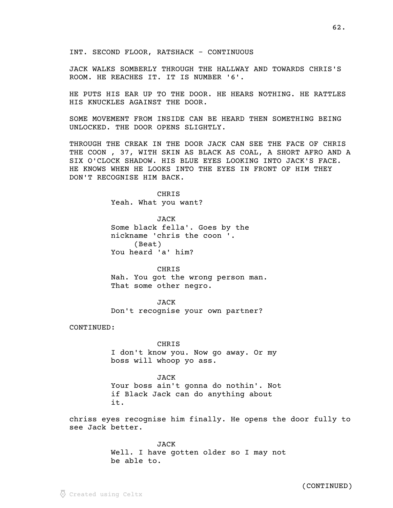JACK WALKS SOMBERLY THROUGH THE HALLWAY AND TOWARDS CHRIS'S ROOM. HE REACHES IT. IT IS NUMBER '6'.

HE PUTS HIS EAR UP TO THE DOOR. HE HEARS NOTHING. HE RATTLES HIS KNUCKLES AGAINST THE DOOR.

SOME MOVEMENT FROM INSIDE CAN BE HEARD THEN SOMETHING BEING UNLOCKED. THE DOOR OPENS SLIGHTLY.

THROUGH THE CREAK IN THE DOOR JACK CAN SEE THE FACE OF CHRIS THE COON , 37, WITH SKIN AS BLACK AS COAL, A SHORT AFRO AND A SIX O'CLOCK SHADOW. HIS BLUE EYES LOOKING INTO JACK'S FACE. HE KNOWS WHEN HE LOOKS INTO THE EYES IN FRONT OF HIM THEY DON'T RECOGNISE HIM BACK.

> CHRIS Yeah. What you want?

JACK Some black fella'. Goes by the nickname 'chris the coon '. (Beat) You heard 'a' him?

CHRIS Nah. You got the wrong person man. That some other negro.

JACK Don't recognise your own partner?

CONTINUED:

### **CHRIS**

I don't know you. Now go away. Or my boss will whoop yo ass.

JACK

Your boss ain't gonna do nothin'. Not if Black Jack can do anything about it.

chriss eyes recognise him finally. He opens the door fully to see Jack better.

> JACK Well. I have gotten older so I may not be able to.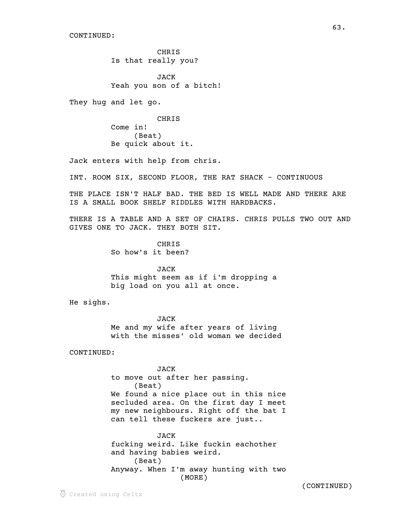**CHRIS** Is that really you?

JACK Yeah you son of a bitch!

They hug and let go.

CHRIS Come in! (Beat) Be quick about it.

Jack enters with help from chris.

INT. ROOM SIX, SECOND FLOOR, THE RAT SHACK - CONTINUOUS

THE PLACE ISN'T HALF BAD. THE BED IS WELL MADE AND THERE ARE IS A SMALL BOOK SHELF RIDDLES WITH HARDBACKS.

 $\overline{63}$ .

THERE IS A TABLE AND A SET OF CHAIRS. CHRIS PULLS TWO OUT AND GIVES ONE TO JACK. THEY BOTH SIT.

> CHRIS So how's it been?

JACK This might seem as if i'm dropping a big load on you all at once.

He sighs.

JACK Me and my wife after years of living with the misses' old woman we decided

CONTINUED:

JACK to move out after her passing. (Beat) We found a nice place out in this nice secluded area. On the first day I meet my new neighbours. Right off the bat I can tell these fuckers are just..

JACK fucking weird. Like fuckin eachother and having babies weird. (Beat) Anyway. When I'm away hunting with two (MORE)

 $\odot$  Created using Celtx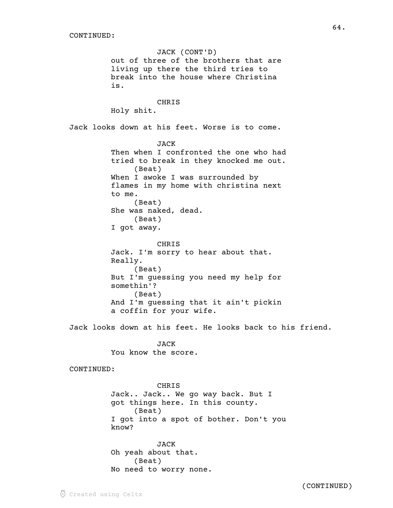JACK (CONT'D) out of three of the brothers that are living up there the third tries to break into the house where Christina is. CHRIS Holy shit. Jack looks down at his feet. Worse is to come. JACK Then when I confronted the one who had tried to break in they knocked me out. (Beat) When I awoke I was surrounded by flames in my home with christina next to me. (Beat) She was naked, dead. (Beat) I got away. CHRIS Jack. I'm sorry to hear about that. Really. (Beat) But I'm guessing you need my help for somethin'? (Beat) And I'm guessing that it ain't pickin a coffin for your wife. Jack looks down at his feet. He looks back to his friend. JACK You know the score. CONTINUED: CHRIS Jack.. Jack.. We go way back. But I got things here. In this county. (Beat) I got into a spot of bother. Don't you know? JACK

Oh yeah about that. (Beat) No need to worry none.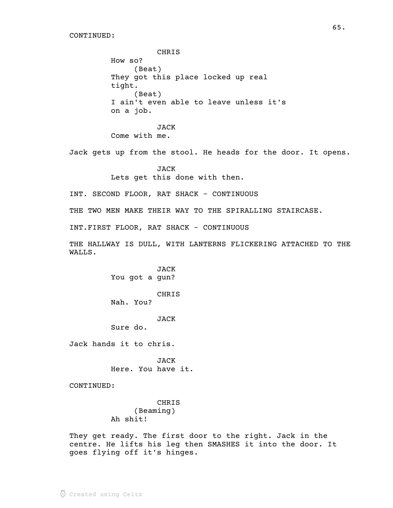CHRIS How so? (Beat) They got this place locked up real tight. (Beat) I ain't even able to leave unless it's on a job. JACK Come with me. Jack gets up from the stool. He heads for the door. It opens. JACK Lets get this done with then. INT. SECOND FLOOR, RAT SHACK - CONTINUOUS THE TWO MEN MAKE THEIR WAY TO THE SPIRALLING STAIRCASE. INT.FIRST FLOOR, RAT SHACK - CONTINUOUS THE HALLWAY IS DULL, WITH LANTERNS FLICKERING ATTACHED TO THE WALLS. JACK You got a gun? CHRIS Nah. You? JACK Sure do. Jack hands it to chris. JACK Here. You have it. CONTINUED: CHRIS (Beaming) Ah shit!

They get ready. The first door to the right. Jack in the centre. He lifts his leg then SMASHES it into the door. It goes flying off it's hinges.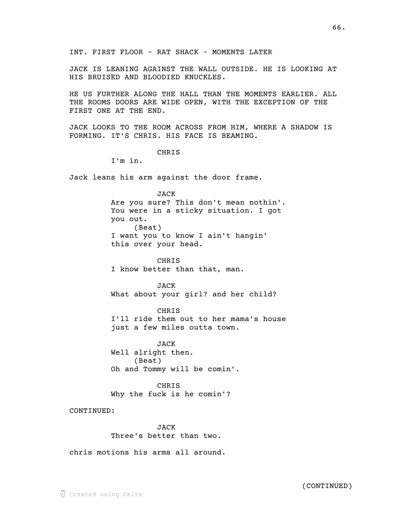INT. FIRST FLOOR - RAT SHACK - MOMENTS LATER

JACK IS LEANING AGAINST THE WALL OUTSIDE. HE IS LOOKING AT HIS BRUISED AND BLOODIED KNUCKLES.

HE US FURTHER ALONG THE HALL THAN THE MOMENTS EARLIER. ALL THE ROOMS DOORS ARE WIDE OPEN, WITH THE EXCEPTION OF THE FIRST ONE AT THE END.

JACK LOOKS TO THE ROOM ACROSS FROM HIM, WHERE A SHADOW IS FORMING. IT'S CHRIS. HIS FACE IS BEAMING.

# **CHRIS**

I'm in.

Jack leans his arm against the door frame.

### JACK

Are you sure? This don't mean nothin'. You were in a sticky situation. I got you out. (Beat) I want you to know I ain't hangin' this over your head.

# CHRIS

I know better than that, man.

JACK What about your girl? and her child?

CHRIS I'll ride them out to her mama's house just a few miles outta town.

JACK Well alright then. (Beat) Oh and Tommy will be comin'.

CHRIS Why the fuck is he comin'?

CONTINUED:

JACK Three's better than two.

chris motions his arms all around.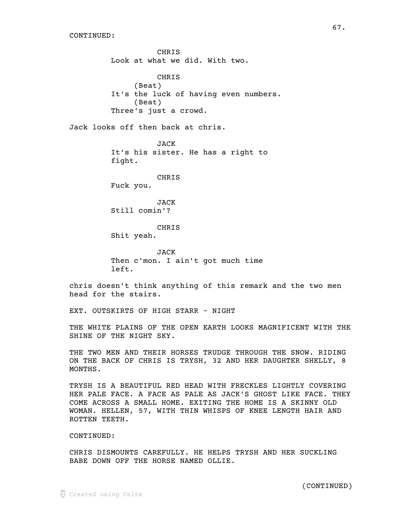CHRIS Look at what we did. With two. CHRIS (Beat) It's the luck of having even numbers. (Beat) Three's just a crowd. Jack looks off then back at chris. JACK It's his sister. He has a right to fight. CHRIS Fuck you. JACK Still comin'? CHRIS Shit yeah. JACK Then c'mon. I ain't got much time left. chris doesn't think anything of this remark and the two men head for the stairs. EXT. OUTSKIRTS OF HIGH STARR - NIGHT THE WHITE PLAINS OF THE OPEN EARTH LOOKS MAGNIFICENT WITH THE SHINE OF THE NIGHT SKY.

THE TWO MEN AND THEIR HORSES TRUDGE THROUGH THE SNOW. RIDING ON THE BACK OF CHRIS IS TRYSH, 32 AND HER DAUGHTER SHELLY, 8 MONTHS.

TRYSH IS A BEAUTIFUL RED HEAD WITH FRECKLES LIGHTLY COVERING HER PALE FACE. A FACE AS PALE AS JACK'S GHOST LIKE FACE. THEY COME ACROSS A SMALL HOME. EXITING THE HOME IS A SKINNY OLD WOMAN. HELLEN, 57, WITH THIN WHISPS OF KNEE LENGTH HAIR AND ROTTEN TEETH.

### CONTINUED:

CHRIS DISMOUNTS CAREFULLY. HE HELPS TRYSH AND HER SUCKLING BABE DOWN OFF THE HORSE NAMED OLLIE.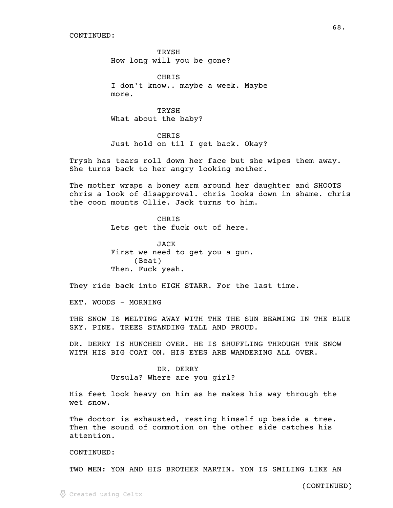**TRYSH** How long will you be gone?

CHRIS I don't know.. maybe a week. Maybe more.

TRYSH What about the baby?

CHRIS Just hold on til I get back. Okay?

Trysh has tears roll down her face but she wipes them away. She turns back to her angry looking mother.

The mother wraps a boney arm around her daughter and SHOOTS chris a look of disapproval. chris looks down in shame. chris the coon mounts Ollie. Jack turns to him.

> **CHRIS** Lets get the fuck out of here.

JACK First we need to get you a gun. (Beat) Then. Fuck yeah.

They ride back into HIGH STARR. For the last time.

EXT. WOODS - MORNING

THE SNOW IS MELTING AWAY WITH THE THE SUN BEAMING IN THE BLUE SKY. PINE. TREES STANDING TALL AND PROUD.

DR. DERRY IS HUNCHED OVER. HE IS SHUFFLING THROUGH THE SNOW WITH HIS BIG COAT ON. HIS EYES ARE WANDERING ALL OVER.

> DR. DERRY Ursula? Where are you girl?

His feet look heavy on him as he makes his way through the wet snow.

The doctor is exhausted, resting himself up beside a tree. Then the sound of commotion on the other side catches his attention.

CONTINUED:

TWO MEN: YON AND HIS BROTHER MARTIN. YON IS SMILING LIKE AN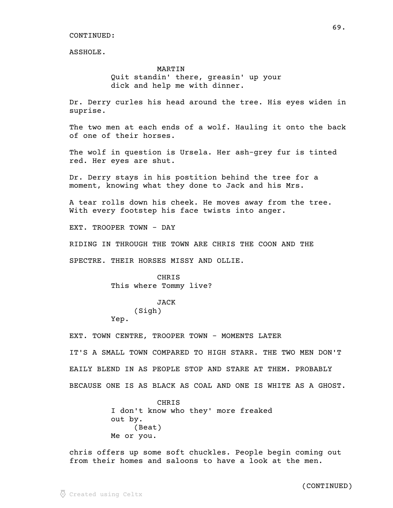ASSHOLE.

# MARTIN Quit standin' there, greasin' up your dick and help me with dinner.

Dr. Derry curles his head around the tree. His eyes widen in suprise.

The two men at each ends of a wolf. Hauling it onto the back of one of their horses.

The wolf in question is Ursela. Her ash-grey fur is tinted red. Her eyes are shut.

Dr. Derry stays in his postition behind the tree for a moment, knowing what they done to Jack and his Mrs.

A tear rolls down his cheek. He moves away from the tree. With every footstep his face twists into anger.

EXT. TROOPER TOWN - DAY

RIDING IN THROUGH THE TOWN ARE CHRIS THE COON AND THE

SPECTRE. THEIR HORSES MISSY AND OLLIE.

**CHRIS** This where Tommy live?

> JACK (Sigh)

Yep.

EXT. TOWN CENTRE, TROOPER TOWN - MOMENTS LATER

IT'S A SMALL TOWN COMPARED TO HIGH STARR. THE TWO MEN DON'T EAILY BLEND IN AS PEOPLE STOP AND STARE AT THEM. PROBABLY BECAUSE ONE IS AS BLACK AS COAL AND ONE IS WHITE AS A GHOST.

> **CHRIS** I don't know who they' more freaked out by. (Beat) Me or you.

chris offers up some soft chuckles. People begin coming out from their homes and saloons to have a look at the men.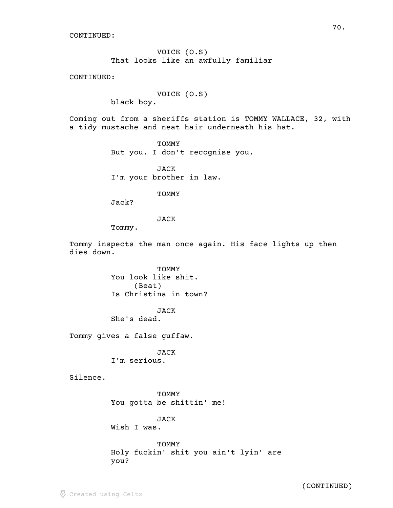VOICE (O.S) That looks like an awfully familiar

CONTINUED:

VOICE (O.S)

black boy.

Coming out from a sheriffs station is TOMMY WALLACE, 32, with a tidy mustache and neat hair underneath his hat.

> TOMMY But you. I don't recognise you.

JACK I'm your brother in law.

TOMMY

Jack?

JACK

Tommy.

Tommy inspects the man once again. His face lights up then dies down.

> TOMMY You look like shit. (Beat) Is Christina in town?

JACK She's dead.

Tommy gives a false guffaw.

JACK I'm serious.

Silence.

TOMMY You gotta be shittin' me!

JACK Wish I was.

TOMMY Holy fuckin' shit you ain't lyin' are you?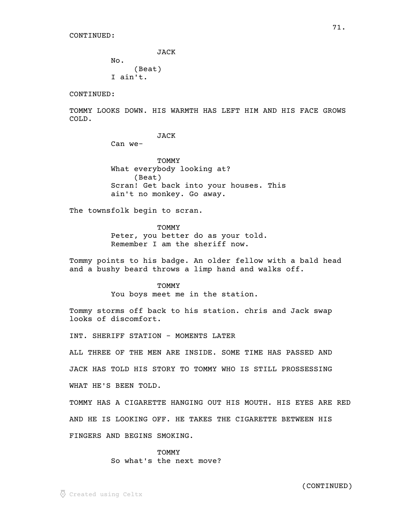JACK

No. (Beat) I ain't.

CONTINUED:

TOMMY LOOKS DOWN. HIS WARMTH HAS LEFT HIM AND HIS FACE GROWS COLD.

71.

JACK

Can we-

TOMMY What everybody looking at? (Beat) Scran! Get back into your houses. This ain't no monkey. Go away.

The townsfolk begin to scran.

**TOMMY** Peter, you better do as your told. Remember I am the sheriff now.

Tommy points to his badge. An older fellow with a bald head and a bushy beard throws a limp hand and walks off.

> TOMMY You boys meet me in the station.

Tommy storms off back to his station. chris and Jack swap looks of discomfort.

INT. SHERIFF STATION - MOMENTS LATER

ALL THREE OF THE MEN ARE INSIDE. SOME TIME HAS PASSED AND

JACK HAS TOLD HIS STORY TO TOMMY WHO IS STILL PROSSESSING

WHAT HE'S BEEN TOLD.

TOMMY HAS A CIGARETTE HANGING OUT HIS MOUTH. HIS EYES ARE RED AND HE IS LOOKING OFF. HE TAKES THE CIGARETTE BETWEEN HIS

FINGERS AND BEGINS SMOKING.

#### **TOMMY**

So what's the next move?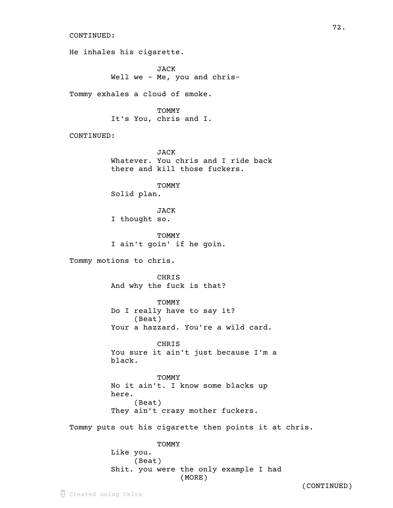He inhales his cigarette.

JACK Well we - Me, you and chris-

Tommy exhales a cloud of smoke.

**TOMMY** It's You, chris and I.

CONTINUED:

JACK Whatever. You chris and I ride back there and kill those fuckers.

TOMMY Solid plan.

JACK I thought so.

TOMMY I ain't goin' if he goin.

Tommy motions to chris.

CHRIS And why the fuck is that?

**TOMMY** Do I really have to say it? (Beat) Your a hazzard. You're a wild card.

CHRIS You sure it ain't just because I'm a black.

**TOMMY** No it ain't. I know some blacks up here. (Beat) They ain't crazy mother fuckers.

Tommy puts out his cigarette then points it at chris.

TOMMY

Like you. (Beat) Shit. you were the only example I had (MORE)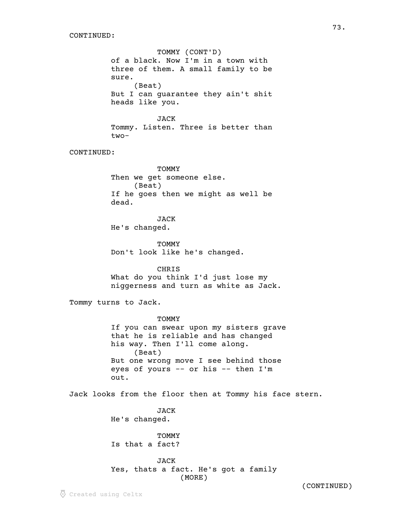TOMMY (CONT'D) of a black. Now I'm in a town with three of them. A small family to be sure. (Beat) But I can guarantee they ain't shit heads like you. JACK Tommy. Listen. Three is better than two-CONTINUED: TOMMY Then we get someone else. (Beat) If he goes then we might as well be dead. JACK He's changed. TOMMY Don't look like he's changed. CHRIS What do you think I'd just lose my niggerness and turn as white as Jack. Tommy turns to Jack. **TOMMY** If you can swear upon my sisters grave that he is reliable and has changed his way. Then I'll come along. (Beat) But one wrong move I see behind those eyes of yours -- or his -- then I'm out. Jack looks from the floor then at Tommy his face stern. JACK He's changed. **TOMMY** Is that a fact? JACK Yes, thats a fact. He's got a family (MORE)

(CONTINUED)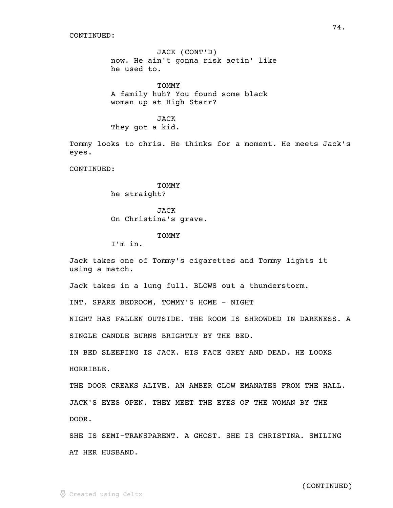JACK (CONT'D) now. He ain't gonna risk actin' like he used to.

TOMMY A family huh? You found some black woman up at High Starr?

JACK They got a kid.

Tommy looks to chris. He thinks for a moment. He meets Jack's eyes.

CONTINUED:

TOMMY he straight?

JACK On Christina's grave.

#### TOMMY

I'm in.

Jack takes one of Tommy's cigarettes and Tommy lights it using a match.

Jack takes in a lung full. BLOWS out a thunderstorm.

INT. SPARE BEDROOM, TOMMY'S HOME - NIGHT

NIGHT HAS FALLEN OUTSIDE. THE ROOM IS SHROWDED IN DARKNESS. A

SINGLE CANDLE BURNS BRIGHTLY BY THE BED.

IN BED SLEEPING IS JACK. HIS FACE GREY AND DEAD. HE LOOKS HORRIBLE.

THE DOOR CREAKS ALIVE. AN AMBER GLOW EMANATES FROM THE HALL. JACK'S EYES OPEN. THEY MEET THE EYES OF THE WOMAN BY THE DOOR.

SHE IS SEMI-TRANSPARENT. A GHOST. SHE IS CHRISTINA. SMILING AT HER HUSBAND.

(CONTINUED)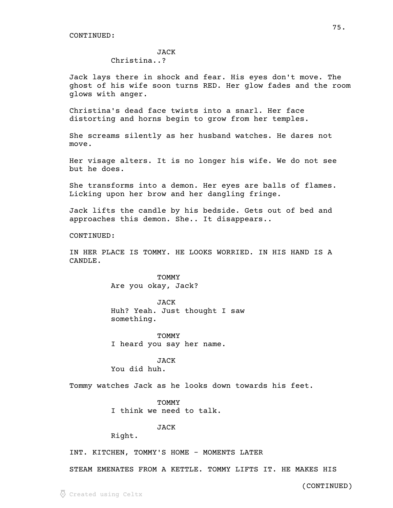#### JACK

## Christina..?

Jack lays there in shock and fear. His eyes don't move. The ghost of his wife soon turns RED. Her glow fades and the room glows with anger.

Christina's dead face twists into a snarl. Her face distorting and horns begin to grow from her temples.

She screams silently as her husband watches. He dares not move.

Her visage alters. It is no longer his wife. We do not see but he does.

She transforms into a demon. Her eyes are balls of flames. Licking upon her brow and her dangling fringe.

Jack lifts the candle by his bedside. Gets out of bed and approaches this demon. She.. It disappears..

CONTINUED:

IN HER PLACE IS TOMMY. HE LOOKS WORRIED. IN HIS HAND IS A CANDLE.

> **TOMMY** Are you okay, Jack?

JACK Huh? Yeah. Just thought I saw something.

TOMMY I heard you say her name.

JACK You did huh.

Tommy watches Jack as he looks down towards his feet.

**TOMMY** 

I think we need to talk.

JACK

Right.

INT. KITCHEN, TOMMY'S HOME - MOMENTS LATER

STEAM EMENATES FROM A KETTLE. TOMMY LIFTS IT. HE MAKES HIS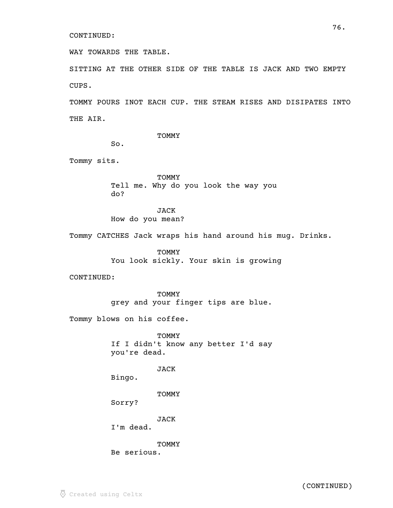WAY TOWARDS THE TABLE.

SITTING AT THE OTHER SIDE OF THE TABLE IS JACK AND TWO EMPTY CUPS.

TOMMY POURS INOT EACH CUP. THE STEAM RISES AND DISIPATES INTO THE AIR.

TOMMY

So.

Tommy sits.

TOMMY Tell me. Why do you look the way you do?

JACK How do you mean?

Tommy CATCHES Jack wraps his hand around his mug. Drinks.

TOMMY You look sickly. Your skin is growing

CONTINUED:

TOMMY grey and your finger tips are blue.

Tommy blows on his coffee.

TOMMY If I didn't know any better I'd say you're dead.

JACK

Bingo.

TOMMY

Sorry?

JACK

I'm dead.

TOMMY Be serious.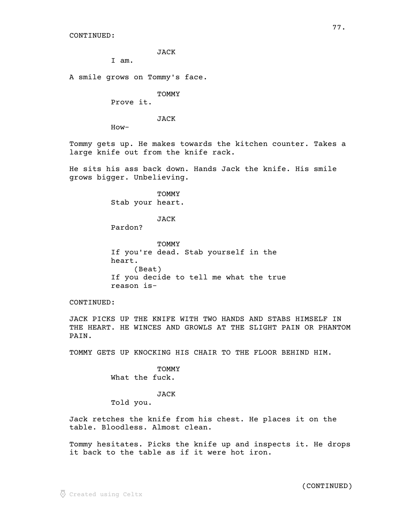JACK

I am.

A smile grows on Tommy's face.

TOMMY

Prove it.

JACK

How-

Tommy gets up. He makes towards the kitchen counter. Takes a large knife out from the knife rack.

He sits his ass back down. Hands Jack the knife. His smile grows bigger. Unbelieving.

> TOMMY Stab your heart.

# JACK

Pardon?

TOMMY If you're dead. Stab yourself in the heart. (Beat) If you decide to tell me what the true reason is-

CONTINUED:

JACK PICKS UP THE KNIFE WITH TWO HANDS AND STABS HIMSELF IN THE HEART. HE WINCES AND GROWLS AT THE SLIGHT PAIN OR PHANTOM PAIN.

TOMMY GETS UP KNOCKING HIS CHAIR TO THE FLOOR BEHIND HIM.

TOMMY What the fuck.

### JACK

Told you.

Jack retches the knife from his chest. He places it on the table. Bloodless. Almost clean.

Tommy hesitates. Picks the knife up and inspects it. He drops it back to the table as if it were hot iron.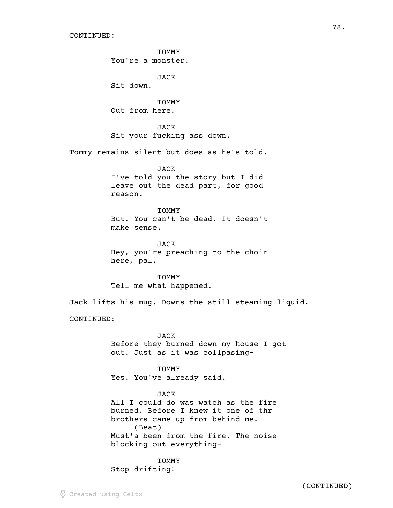**TOMMY** 

You're a monster.

JACK

Sit down.

**TOMMY** Out from here.

JACK Sit your fucking ass down.

Tommy remains silent but does as he's told.

## JACK

I've told you the story but I did leave out the dead part, for good reason.

TOMMY But. You can't be dead. It doesn't make sense.

JACK Hey, you're preaching to the choir here, pal.

**TOMMY** Tell me what happened.

Jack lifts his mug. Downs the still steaming liquid.

CONTINUED:

JACK Before they burned down my house I got out. Just as it was collpasing-

TOMMY Yes. You've already said.

JACK All I could do was watch as the fire burned. Before I knew it one of thr brothers came up from behind me. (Beat) Must'a been from the fire. The noise blocking out everything-

**TOMMY** Stop drifting!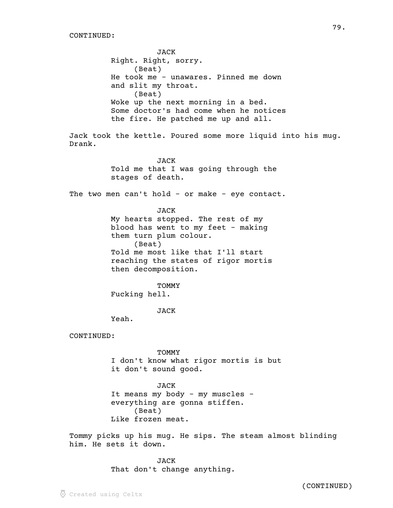JACK Right. Right, sorry. (Beat) He took me - unawares. Pinned me down and slit my throat. (Beat) Woke up the next morning in a bed. Some doctor's had come when he notices the fire. He patched me up and all. Jack took the kettle. Poured some more liquid into his mug. Drank. JACK Told me that I was going through the stages of death. The two men can't hold - or make - eye contact. JACK My hearts stopped. The rest of my blood has went to my feet - making them turn plum colour. (Beat) Told me most like that I'll start reaching the states of rigor mortis then decomposition. TOMMY Fucking hell. JACK Yeah. CONTINUED: **TOMMY** I don't know what rigor mortis is but it don't sound good. JACK It means my body - my muscles everything are gonna stiffen. (Beat) Like frozen meat. Tommy picks up his mug. He sips. The steam almost blinding him. He sets it down.

> JACK That don't change anything.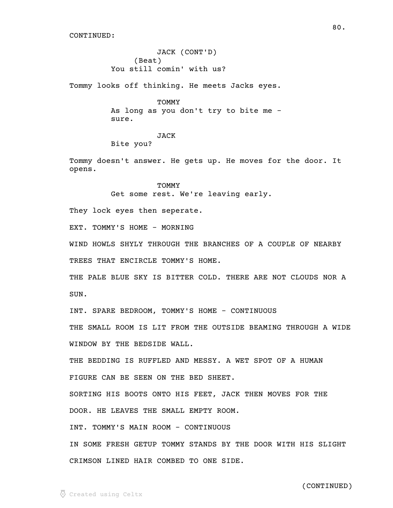JACK (CONT'D) (Beat) You still comin' with us?

Tommy looks off thinking. He meets Jacks eyes.

**TOMMY** As long as you don't try to bite me sure.

JACK Bite you?

Tommy doesn't answer. He gets up. He moves for the door. It opens.

> TOMMY Get some rest. We're leaving early.

They lock eyes then seperate.

EXT. TOMMY'S HOME - MORNING

WIND HOWLS SHYLY THROUGH THE BRANCHES OF A COUPLE OF NEARBY TREES THAT ENCIRCLE TOMMY'S HOME.

THE PALE BLUE SKY IS BITTER COLD. THERE ARE NOT CLOUDS NOR A SUN.

INT. SPARE BEDROOM, TOMMY'S HOME - CONTINUOUS

THE SMALL ROOM IS LIT FROM THE OUTSIDE BEAMING THROUGH A WIDE WINDOW BY THE BEDSIDE WALL.

THE BEDDING IS RUFFLED AND MESSY. A WET SPOT OF A HUMAN FIGURE CAN BE SEEN ON THE BED SHEET.

SORTING HIS BOOTS ONTO HIS FEET, JACK THEN MOVES FOR THE DOOR. HE LEAVES THE SMALL EMPTY ROOM.

INT. TOMMY'S MAIN ROOM - CONTINUOUS

IN SOME FRESH GETUP TOMMY STANDS BY THE DOOR WITH HIS SLIGHT CRIMSON LINED HAIR COMBED TO ONE SIDE.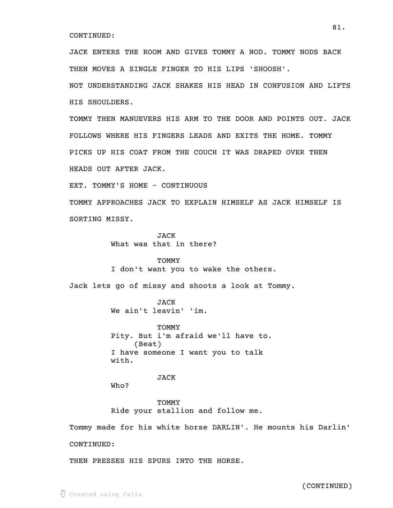JACK ENTERS THE ROOM AND GIVES TOMMY A NOD. TOMMY NODS BACK THEN MOVES A SINGLE FINGER TO HIS LIPS 'SHOOSH'.

NOT UNDERSTANDING JACK SHAKES HIS HEAD IN CONFUSION AND LIFTS HIS SHOULDERS.

TOMMY THEN MANUEVERS HIS ARM TO THE DOOR AND POINTS OUT. JACK FOLLOWS WHERE HIS FINGERS LEADS AND EXITS THE HOME. TOMMY PICKS UP HIS COAT FROM THE COUCH IT WAS DRAPED OVER THEN HEADS OUT AFTER JACK.

EXT. TOMMY'S HOME - CONTINUOUS

TOMMY APPROACHES JACK TO EXPLAIN HIMSELF AS JACK HIMSELF IS SORTING MISSY.

> JACK What was that in there?

### TOMMY

I don't want you to wake the others.

Jack lets go of missy and shoots a look at Tommy.

JACK We ain't leavin' 'im.

**TOMMY** Pity. But i'm afraid we'll have to. (Beat) I have someone I want you to talk with.

## JACK

Who?

**TOMMY** Ride your stallion and follow me.

Tommy made for his white horse DARLIN'. He mounts his Darlin'

CONTINUED:

THEN PRESSES HIS SPURS INTO THE HORSE.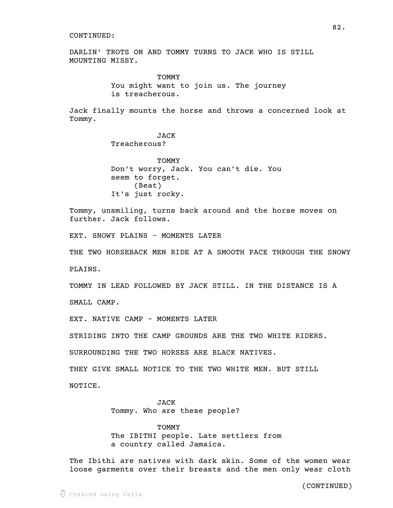DARLIN' TROTS ON AND TOMMY TURNS TO JACK WHO IS STILL MOUNTING MISSY.

> **TOMMY** You might want to join us. The journey is treacherous.

Jack finally mounts the horse and throws a concerned look at Tommy.

> JACK Treacherous?

TOMMY Don't worry, Jack. You can't die. You seem to forget. (Beat) It's just rocky.

Tommy, unsmiling, turns back around and the horse moves on further. Jack follows.

EXT. SNOWY PLAINS - MOMENTS LATER

THE TWO HORSEBACK MEN RIDE AT A SMOOTH PACE THROUGH THE SNOWY PLAINS.

TOMMY IN LEAD FOLLOWED BY JACK STILL. IN THE DISTANCE IS A

SMALL CAMP.

EXT. NATIVE CAMP - MOMENTS LATER

STRIDING INTO THE CAMP GROUNDS ARE THE TWO WHITE RIDERS.

SURROUNDING THE TWO HORSES ARE BLACK NATIVES.

THEY GIVE SMALL NOTICE TO THE TWO WHITE MEN. BUT STILL

NOTICE.

JACK Tommy. Who are these people?

**TOMMY** The IBITHI people. Late settlers from a country called Jamaica.

The Ibithi are natives with dark skin. Some of the women wear loose garments over their breasts and the men only wear cloth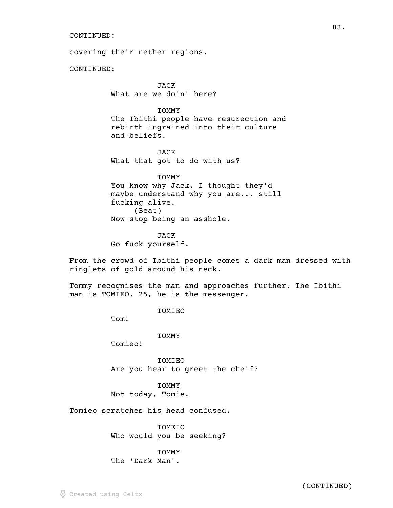covering their nether regions.

CONTINUED:

JACK What are we doin' here?

**TOMMY** 

The Ibithi people have resurection and rebirth ingrained into their culture and beliefs.

JACK What that got to do with us?

TOMMY You know why Jack. I thought they'd maybe understand why you are... still fucking alive. (Beat) Now stop being an asshole.

JACK Go fuck yourself.

From the crowd of Ibithi people comes a dark man dressed with ringlets of gold around his neck.

Tommy recognises the man and approaches further. The Ibithi man is TOMIEO, 25, he is the messenger.

TOMIEO

Tom!

TOMMY

Tomieo!

TOMIEO Are you hear to greet the cheif?

TOMMY Not today, Tomie.

Tomieo scratches his head confused.

TOMEIO Who would you be seeking?

**TOMMY** The 'Dark Man'.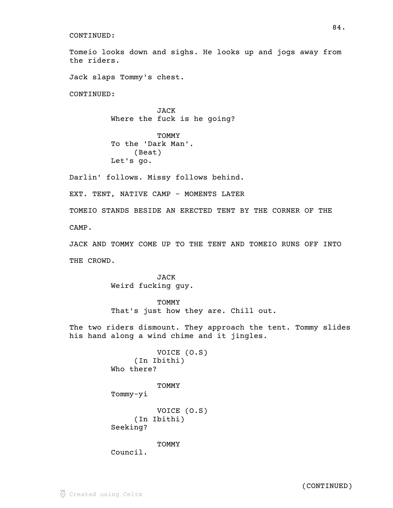Tomeio looks down and sighs. He looks up and jogs away from the riders.

Jack slaps Tommy's chest.

CONTINUED:

JACK Where the fuck is he going?

**TOMMY** To the 'Dark Man'. (Beat) Let's go.

Darlin' follows. Missy follows behind.

EXT. TENT, NATIVE CAMP - MOMENTS LATER

TOMEIO STANDS BESIDE AN ERECTED TENT BY THE CORNER OF THE CAMP.

JACK AND TOMMY COME UP TO THE TENT AND TOMEIO RUNS OFF INTO THE CROWD.

> JACK Weird fucking guy.

## **TOMMY**

That's just how they are. Chill out.

The two riders dismount. They approach the tent. Tommy slides his hand along a wind chime and it jingles.

```
VOICE (O.S)
     (In Ibithi)
Who there?
```
TOMMY Tommy-yi

VOICE (O.S) (In Ibithi) Seeking?

TOMMY

Council.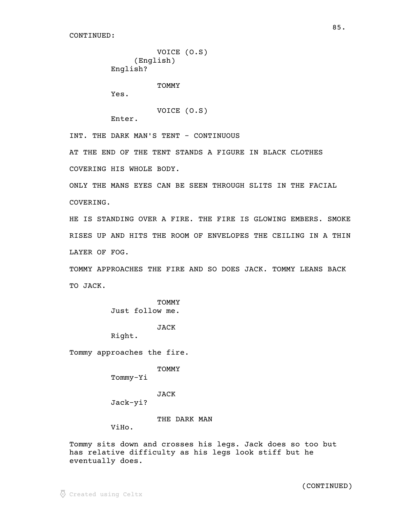```
VOICE (O.S)
     (English)
English?
```
TOMMY

Yes.

```
VOICE (O.S)
```
Enter.

INT. THE DARK MAN'S TENT - CONTINUOUS

AT THE END OF THE TENT STANDS A FIGURE IN BLACK CLOTHES COVERING HIS WHOLE BODY.

ONLY THE MANS EYES CAN BE SEEN THROUGH SLITS IN THE FACIAL COVERING.

HE IS STANDING OVER A FIRE. THE FIRE IS GLOWING EMBERS. SMOKE RISES UP AND HITS THE ROOM OF ENVELOPES THE CEILING IN A THIN LAYER OF FOG.

TOMMY APPROACHES THE FIRE AND SO DOES JACK. TOMMY LEANS BACK TO JACK.

> **TOMMY** Just follow me.

> > JACK

Right.

Tommy approaches the fire.

TOMMY

Tommy-Yi

JACK

Jack-yi?

THE DARK MAN

ViHo.

Tommy sits down and crosses his legs. Jack does so too but has relative difficulty as his legs look stiff but he eventually does.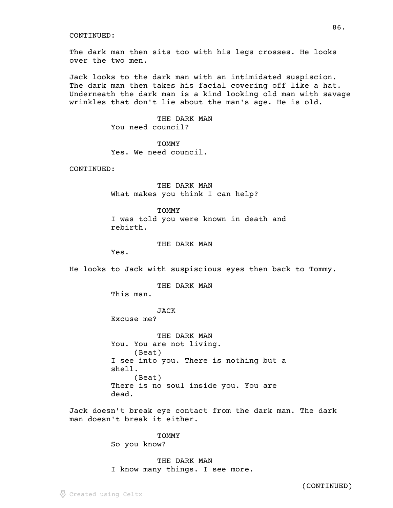The dark man then sits too with his legs crosses. He looks over the two men.

Jack looks to the dark man with an intimidated suspiscion. The dark man then takes his facial covering off like a hat. Underneath the dark man is a kind looking old man with savage wrinkles that don't lie about the man's age. He is old.

86.

THE DARK MAN You need council?

**TOMMY** Yes. We need council.

CONTINUED:

THE DARK MAN What makes you think I can help?

TOMMY I was told you were known in death and rebirth.

## THE DARK MAN

Yes.

He looks to Jack with suspiscious eyes then back to Tommy.

THE DARK MAN

This man.

JACK Excuse me?

THE DARK MAN You. You are not living. (Beat) I see into you. There is nothing but a shell. (Beat) There is no soul inside you. You are dead.

Jack doesn't break eye contact from the dark man. The dark man doesn't break it either.

> **TOMMY** So you know?

THE DARK MAN I know many things. I see more.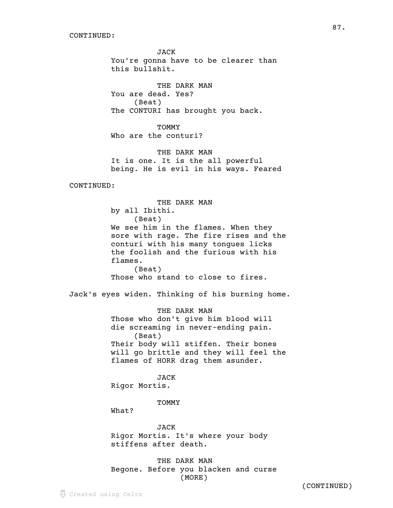JACK You're gonna have to be clearer than this bullshit.

87.

THE DARK MAN You are dead. Yes? (Beat) The CONTURI has brought you back.

**TOMMY** Who are the conturi?

THE DARK MAN It is one. It is the all powerful being. He is evil in his ways. Feared

CONTINUED:

THE DARK MAN by all Ibithi. (Beat) We see him in the flames. When they sore with rage. The fire rises and the conturi with his many tongues licks the foolish and the furious with his flames. (Beat) Those who stand to close to fires.

Jack's eyes widen. Thinking of his burning home.

THE DARK MAN Those who don't give him blood will die screaming in never-ending pain. (Beat) Their body will stiffen. Their bones will go brittle and they will feel the flames of HORR drag them asunder.

JACK

Rigor Mortis.

TOMMY

What?

JACK Rigor Mortis. It's where your body stiffens after death.

THE DARK MAN Begone. Before you blacken and curse (MORE)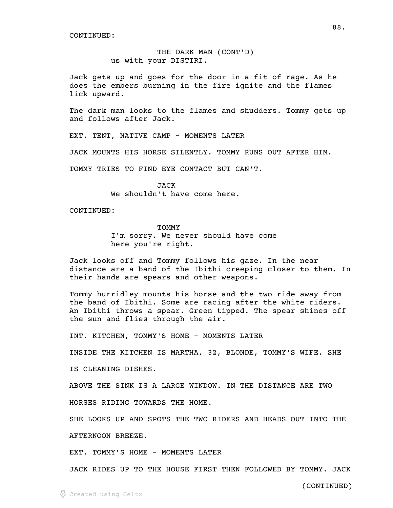THE DARK MAN (CONT'D) us with your DISTIRI.

Jack gets up and goes for the door in a fit of rage. As he does the embers burning in the fire ignite and the flames lick upward.

The dark man looks to the flames and shudders. Tommy gets up and follows after Jack.

EXT. TENT, NATIVE CAMP - MOMENTS LATER

JACK MOUNTS HIS HORSE SILENTLY. TOMMY RUNS OUT AFTER HIM.

TOMMY TRIES TO FIND EYE CONTACT BUT CAN'T.

JACK We shouldn't have come here.

CONTINUED:

**TOMMY** I'm sorry. We never should have come here you're right.

Jack looks off and Tommy follows his gaze. In the near distance are a band of the Ibithi creeping closer to them. In their hands are spears and other weapons.

Tommy hurridley mounts his horse and the two ride away from the band of Ibithi. Some are racing after the white riders. An Ibithi throws a spear. Green tipped. The spear shines off the sun and flies through the air.

INT. KITCHEN, TOMMY'S HOME - MOMENTS LATER

INSIDE THE KITCHEN IS MARTHA, 32, BLONDE, TOMMY'S WIFE. SHE

IS CLEANING DISHES.

ABOVE THE SINK IS A LARGE WINDOW. IN THE DISTANCE ARE TWO HORSES RIDING TOWARDS THE HOME.

SHE LOOKS UP AND SPOTS THE TWO RIDERS AND HEADS OUT INTO THE

AFTERNOON BREEZE.

EXT. TOMMY'S HOME - MOMENTS LATER

JACK RIDES UP TO THE HOUSE FIRST THEN FOLLOWED BY TOMMY. JACK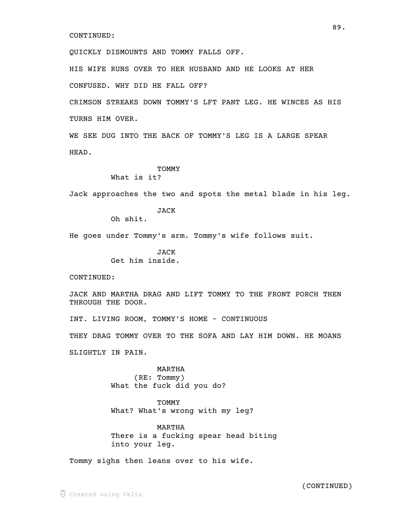QUICKLY DISMOUNTS AND TOMMY FALLS OFF.

HIS WIFE RUNS OVER TO HER HUSBAND AND HE LOOKS AT HER

CONFUSED. WHY DID HE FALL OFF?

CRIMSON STREAKS DOWN TOMMY'S LFT PANT LEG. HE WINCES AS HIS TURNS HIM OVER.

WE SEE DUG INTO THE BACK OF TOMMY'S LEG IS A LARGE SPEAR HEAD.

## TOMMY

What is it?

Jack approaches the two and spots the metal blade in his leg.

JACK

Oh shit.

He goes under Tommy's arm. Tommy's wife follows suit.

**JACK** Get him inside.

CONTINUED:

JACK AND MARTHA DRAG AND LIFT TOMMY TO THE FRONT PORCH THEN THROUGH THE DOOR.

INT. LIVING ROOM, TOMMY'S HOME - CONTINUOUS

THEY DRAG TOMMY OVER TO THE SOFA AND LAY HIM DOWN. HE MOANS

SLIGHTLY IN PAIN.

MARTHA (RE: Tommy) What the fuck did you do?

**TOMMY** What? What's wrong with my leg?

MARTHA There is a fucking spear head biting into your leg.

Tommy sighs then leans over to his wife.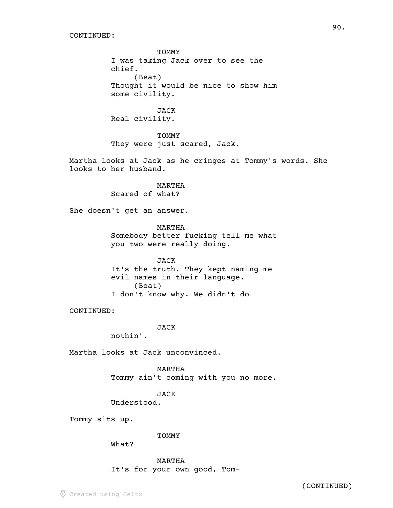**TOMMY** I was taking Jack over to see the chief. (Beat) Thought it would be nice to show him some civility.

JACK Real civility.

TOMMY They were just scared, Jack.

Martha looks at Jack as he cringes at Tommy's words. She looks to her husband.

> MARTHA Scared of what?

She doesn't get an answer.

MARTHA Somebody better fucking tell me what you two were really doing.

JACK It's the truth. They kept naming me evil names in their language. (Beat) I don't know why. We didn't do

CONTINUED:

**JACK** 

nothin'.

Martha looks at Jack unconvinced.

MARTHA Tommy ain't coming with you no more.

JACK

Understood.

Tommy sits up.

TOMMY

What?

MARTHA It's for your own good, Tom-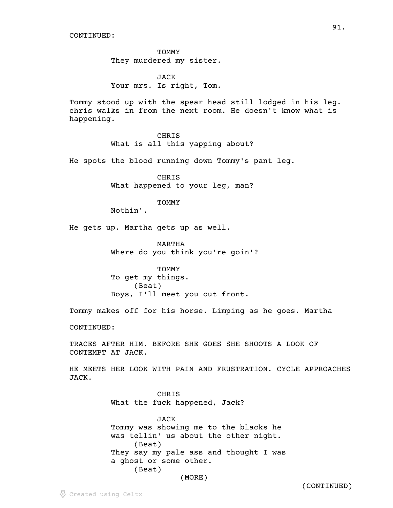**TOMMY** They murdered my sister.

JACK Your mrs. Is right, Tom.

Tommy stood up with the spear head still lodged in his leg. chris walks in from the next room. He doesn't know what is happening.

> CHRIS What is all this yapping about?

He spots the blood running down Tommy's pant leg.

CHRIS What happened to your leg, man?

**TOMMY** 

Nothin'.

He gets up. Martha gets up as well.

MARTHA Where do you think you're goin'?

TOMMY To get my things. (Beat) Boys, I'll meet you out front.

Tommy makes off for his horse. Limping as he goes. Martha

CONTINUED:

TRACES AFTER HIM. BEFORE SHE GOES SHE SHOOTS A LOOK OF CONTEMPT AT JACK.

HE MEETS HER LOOK WITH PAIN AND FRUSTRATION. CYCLE APPROACHES JACK.

> CHRIS What the fuck happened, Jack?

JACK Tommy was showing me to the blacks he was tellin' us about the other night. (Beat) They say my pale ass and thought I was a ghost or some other. (Beat) (MORE)

Created using Celtx

(CONTINUED)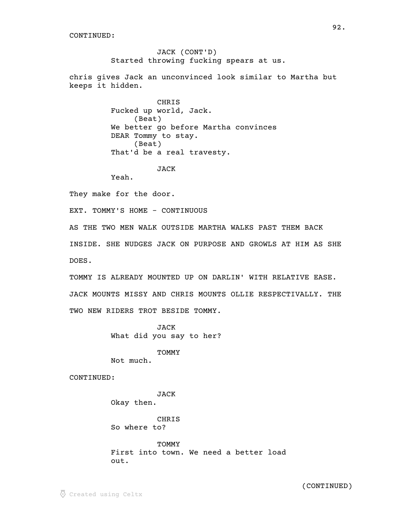JACK (CONT'D) Started throwing fucking spears at us.

chris gives Jack an unconvinced look similar to Martha but keeps it hidden.

> CHRIS Fucked up world, Jack. (Beat) We better go before Martha convinces DEAR Tommy to stay. (Beat) That'd be a real travesty.

> > JACK

Yeah.

They make for the door.

EXT. TOMMY'S HOME - CONTINUOUS

AS THE TWO MEN WALK OUTSIDE MARTHA WALKS PAST THEM BACK INSIDE. SHE NUDGES JACK ON PURPOSE AND GROWLS AT HIM AS SHE DOES.

TOMMY IS ALREADY MOUNTED UP ON DARLIN' WITH RELATIVE EASE. JACK MOUNTS MISSY AND CHRIS MOUNTS OLLIE RESPECTIVALLY. THE TWO NEW RIDERS TROT BESIDE TOMMY.

> JACK What did you say to her?

> > **TOMMY**

Not much.

CONTINUED:

JACK Okay then.

CHRIS So where to?

**TOMMY** First into town. We need a better load out.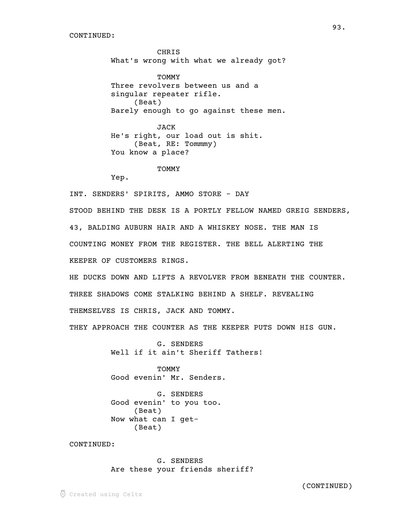**CHRIS** What's wrong with what we already got?

**TOMMY** Three revolvers between us and a singular repeater rifle. (Beat) Barely enough to go against these men.

JACK He's right, our load out is shit. (Beat, RE: Tommmy) You know a place?

**TOMMY** 

Yep.

INT. SENDERS' SPIRITS, AMMO STORE - DAY

STOOD BEHIND THE DESK IS A PORTLY FELLOW NAMED GREIG SENDERS, 43, BALDING AUBURN HAIR AND A WHISKEY NOSE. THE MAN IS COUNTING MONEY FROM THE REGISTER. THE BELL ALERTING THE KEEPER OF CUSTOMERS RINGS.

HE DUCKS DOWN AND LIFTS A REVOLVER FROM BENEATH THE COUNTER. THREE SHADOWS COME STALKING BEHIND A SHELF. REVEALING THEMSELVES IS CHRIS, JACK AND TOMMY.

THEY APPROACH THE COUNTER AS THE KEEPER PUTS DOWN HIS GUN.

G. SENDERS Well if it ain't Sheriff Tathers!

TOMMY Good evenin' Mr. Senders.

G. SENDERS Good evenin' to you too. (Beat) Now what can I get- (Beat)

CONTINUED:

G. SENDERS Are these your friends sheriff?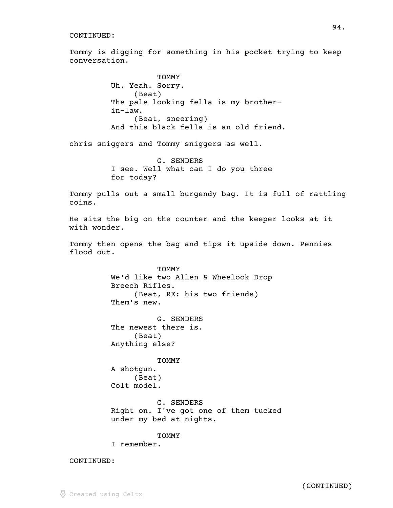Tommy is digging for something in his pocket trying to keep conversation.

> **TOMMY** Uh. Yeah. Sorry. (Beat) The pale looking fella is my brotherin-law. (Beat, sneering) And this black fella is an old friend.

chris sniggers and Tommy sniggers as well.

G. SENDERS I see. Well what can I do you three for today?

Tommy pulls out a small burgendy bag. It is full of rattling coins.

He sits the big on the counter and the keeper looks at it with wonder.

Tommy then opens the bag and tips it upside down. Pennies flood out.

> TOMMY We'd like two Allen & Wheelock Drop Breech Rifles. (Beat, RE: his two friends) Them's new.

G. SENDERS The newest there is. (Beat) Anything else?

TOMMY

A shotgun. (Beat) Colt model.

G. SENDERS Right on. I've got one of them tucked under my bed at nights.

**TOMMY** 

I remember.

CONTINUED: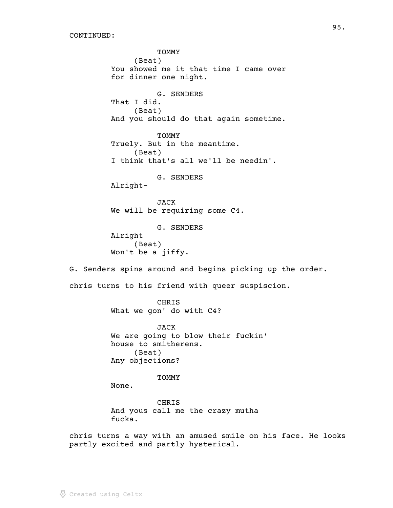TOMMY (Beat) You showed me it that time I came over for dinner one night. G. SENDERS That I did. (Beat) And you should do that again sometime. **TOMMY** Truely. But in the meantime. (Beat) I think that's all we'll be needin'. G. SENDERS Alright-JACK We will be requiring some C4. G. SENDERS Alright (Beat) Won't be a jiffy. G. Senders spins around and begins picking up the order. chris turns to his friend with queer suspiscion. **CHRIS** What we gon' do with C4? JACK We are going to blow their fuckin' house to smitherens. (Beat) Any objections? TOMMY None. CHRIS And yous call me the crazy mutha fucka. chris turns a way with an amused smile on his face. He looks partly excited and partly hysterical.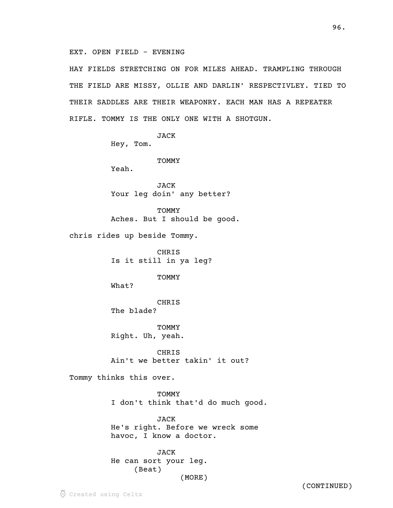EXT. OPEN FIELD - EVENING

HAY FIELDS STRETCHING ON FOR MILES AHEAD. TRAMPLING THROUGH THE FIELD ARE MISSY, OLLIE AND DARLIN' RESPECTIVLEY. TIED TO THEIR SADDLES ARE THEIR WEAPONRY. EACH MAN HAS A REPEATER RIFLE. TOMMY IS THE ONLY ONE WITH A SHOTGUN.

JACK

Hey, Tom.

TOMMY

Yeah.

JACK Your leg doin' any better?

TOMMY Aches. But I should be good.

chris rides up beside Tommy.

CHRIS Is it still in ya leg?

**TOMMY** 

What?

CHRIS The blade?

**TOMMY** Right. Uh, yeah.

**CHRIS** Ain't we better takin' it out?

Tommy thinks this over.

TOMMY I don't think that'd do much good.

JACK He's right. Before we wreck some havoc, I know a doctor.

JACK He can sort your leg. (Beat) (MORE)

96.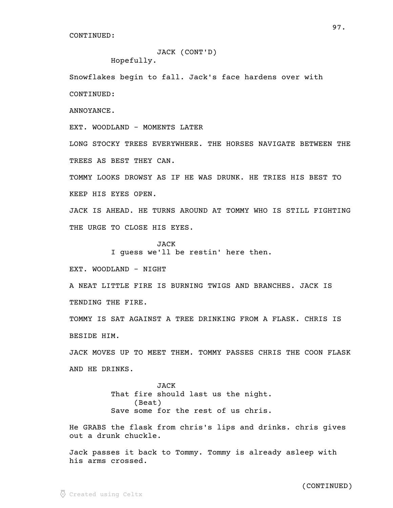## JACK (CONT'D)

Hopefully.

Snowflakes begin to fall. Jack's face hardens over with CONTINUED:

ANNOYANCE.

EXT. WOODLAND - MOMENTS LATER

LONG STOCKY TREES EVERYWHERE. THE HORSES NAVIGATE BETWEEN THE TREES AS BEST THEY CAN.

TOMMY LOOKS DROWSY AS IF HE WAS DRUNK. HE TRIES HIS BEST TO KEEP HIS EYES OPEN.

JACK IS AHEAD. HE TURNS AROUND AT TOMMY WHO IS STILL FIGHTING THE URGE TO CLOSE HIS EYES.

> JACK I guess we'll be restin' here then.

EXT. WOODLAND - NIGHT

A NEAT LITTLE FIRE IS BURNING TWIGS AND BRANCHES. JACK IS TENDING THE FIRE.

TOMMY IS SAT AGAINST A TREE DRINKING FROM A FLASK. CHRIS IS BESIDE HIM.

JACK MOVES UP TO MEET THEM. TOMMY PASSES CHRIS THE COON FLASK AND HE DRINKS.

> JACK That fire should last us the night. (Beat) Save some for the rest of us chris.

He GRABS the flask from chris's lips and drinks. chris gives out a drunk chuckle.

Jack passes it back to Tommy. Tommy is already asleep with his arms crossed.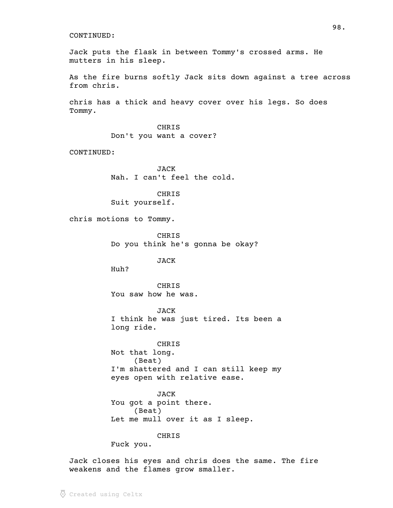Jack puts the flask in between Tommy's crossed arms. He mutters in his sleep.

As the fire burns softly Jack sits down against a tree across from chris.

chris has a thick and heavy cover over his legs. So does Tommy.

> **CHRIS** Don't you want a cover?

CONTINUED:

JACK Nah. I can't feel the cold.

CHRIS Suit yourself.

chris motions to Tommy.

CHRIS Do you think he's gonna be okay?

JACK

Huh?

CHRIS You saw how he was.

JACK I think he was just tired. Its been a long ride.

CHRIS Not that long. (Beat) I'm shattered and I can still keep my eyes open with relative ease.

JACK You got a point there. (Beat) Let me mull over it as I sleep.

CHRIS

Fuck you.

Jack closes his eyes and chris does the same. The fire weakens and the flames grow smaller.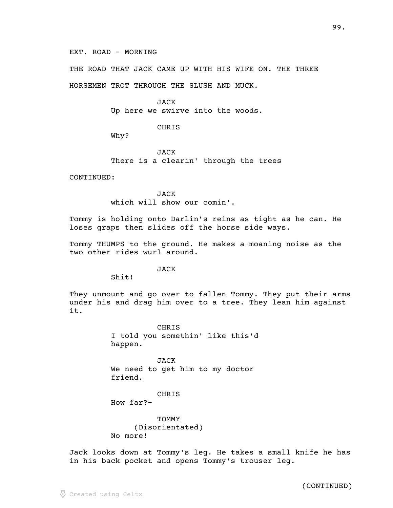THE ROAD THAT JACK CAME UP WITH HIS WIFE ON. THE THREE

HORSEMEN TROT THROUGH THE SLUSH AND MUCK.

**JACK** Up here we swirve into the woods.

**CHRIS** 

Why?

JACK There is a clearin' through the trees

CONTINUED:

JACK which will show our comin'.

Tommy is holding onto Darlin's reins as tight as he can. He loses graps then slides off the horse side ways.

Tommy THUMPS to the ground. He makes a moaning noise as the two other rides wurl around.

JACK

Shit!

They unmount and go over to fallen Tommy. They put their arms under his and drag him over to a tree. They lean him against it.

> **CHRIS** I told you somethin' like this'd happen.

JACK We need to get him to my doctor friend.

CHRIS How far?-

TOMMY (Disorientated) No more!

Jack looks down at Tommy's leg. He takes a small knife he has in his back pocket and opens Tommy's trouser leg.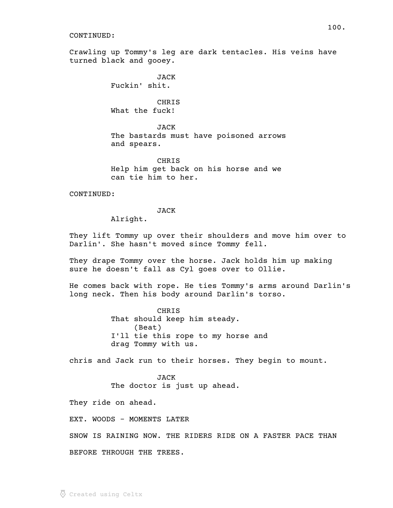Crawling up Tommy's leg are dark tentacles. His veins have turned black and gooey.

> JACK Fuckin' shit.

**CHRIS** What the fuck!

JACK The bastards must have poisoned arrows and spears.

CHRIS Help him get back on his horse and we can tie him to her.

CONTINUED:

## JACK

Alright.

They lift Tommy up over their shoulders and move him over to Darlin'. She hasn't moved since Tommy fell.

They drape Tommy over the horse. Jack holds him up making sure he doesn't fall as Cyl goes over to Ollie.

He comes back with rope. He ties Tommy's arms around Darlin's long neck. Then his body around Darlin's torso.

> CHRIS That should keep him steady. (Beat) I'll tie this rope to my horse and drag Tommy with us.

chris and Jack run to their horses. They begin to mount.

JACK The doctor is just up ahead.

They ride on ahead.

EXT. WOODS - MOMENTS LATER

SNOW IS RAINING NOW. THE RIDERS RIDE ON A FASTER PACE THAN BEFORE THROUGH THE TREES.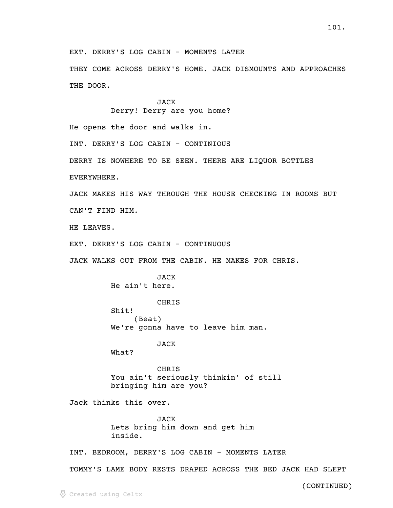EXT. DERRY'S LOG CABIN - MOMENTS LATER

THEY COME ACROSS DERRY'S HOME. JACK DISMOUNTS AND APPROACHES THE DOOR.

> JACK Derry! Derry are you home?

He opens the door and walks in.

INT. DERRY'S LOG CABIN - CONTINIOUS

DERRY IS NOWHERE TO BE SEEN. THERE ARE LIQUOR BOTTLES

EVERYWHERE.

JACK MAKES HIS WAY THROUGH THE HOUSE CHECKING IN ROOMS BUT CAN'T FIND HIM.

HE LEAVES.

EXT. DERRY'S LOG CABIN - CONTINUOUS

JACK WALKS OUT FROM THE CABIN. HE MAKES FOR CHRIS.

JACK He ain't here.

CHRIS Shit! (Beat) We're gonna have to leave him man.

JACK

What?

CHRIS You ain't seriously thinkin' of still bringing him are you?

Jack thinks this over.

JACK Lets bring him down and get him inside.

INT. BEDROOM, DERRY'S LOG CABIN - MOMENTS LATER

TOMMY'S LAME BODY RESTS DRAPED ACROSS THE BED JACK HAD SLEPT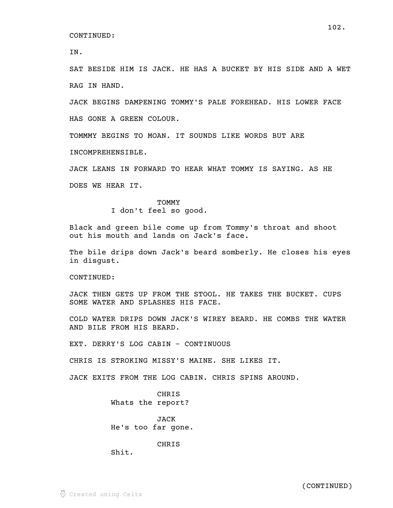IN.

SAT BESIDE HIM IS JACK. HE HAS A BUCKET BY HIS SIDE AND A WET RAG IN HAND.

JACK BEGINS DAMPENING TOMMY'S PALE FOREHEAD. HIS LOWER FACE HAS GONE A GREEN COLOUR.

TOMMMY BEGINS TO MOAN. IT SOUNDS LIKE WORDS BUT ARE INCOMPREHENSIBLE.

JACK LEANS IN FORWARD TO HEAR WHAT TOMMY IS SAYING. AS HE DOES WE HEAR IT.

> **TOMMY** I don't feel so good.

Black and green bile come up from Tommy's throat and shoot out his mouth and lands on Jack's face.

The bile drips down Jack's beard somberly. He closes his eyes in disgust.

CONTINUED:

JACK THEN GETS UP FROM THE STOOL. HE TAKES THE BUCKET. CUPS SOME WATER AND SPLASHES HIS FACE.

COLD WATER DRIPS DOWN JACK'S WIREY BEARD. HE COMBS THE WATER AND BILE FROM HIS BEARD.

EXT. DERRY'S LOG CABIN - CONTINUOUS

CHRIS IS STROKING MISSY'S MAINE. SHE LIKES IT.

JACK EXITS FROM THE LOG CABIN. CHRIS SPINS AROUND.

CHRIS Whats the report?

JACK He's too far gone.

CHRIS

Shit.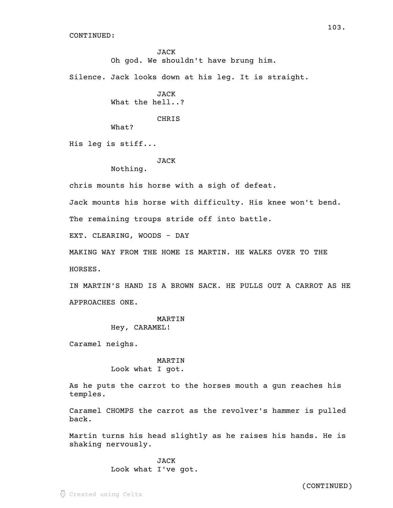JACK Oh god. We shouldn't have brung him.

Silence. Jack looks down at his leg. It is straight.

JACK What the hell..?

CHRIS

What?

His leg is stiff...

JACK

Nothing.

chris mounts his horse with a sigh of defeat.

Jack mounts his horse with difficulty. His knee won't bend.

The remaining troups stride off into battle.

EXT. CLEARING, WOODS - DAY

MAKING WAY FROM THE HOME IS MARTIN. HE WALKS OVER TO THE HORSES.

IN MARTIN'S HAND IS A BROWN SACK. HE PULLS OUT A CARROT AS HE APPROACHES ONE.

## MARTIN

Hey, CARAMEL!

Caramel neighs.

MARTIN Look what I got.

As he puts the carrot to the horses mouth a gun reaches his temples.

Caramel CHOMPS the carrot as the revolver's hammer is pulled back.

Martin turns his head slightly as he raises his hands. He is shaking nervously.

> JACK Look what I've got.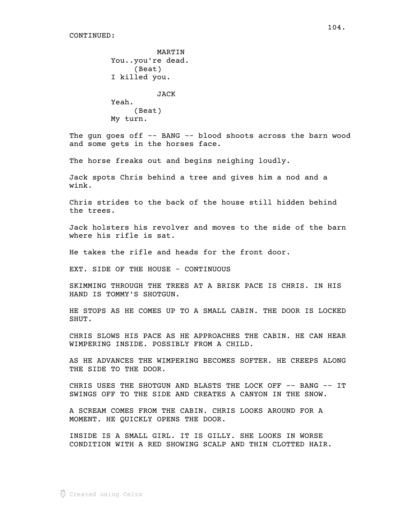```
MARTIN
You..you're dead.
     (Beat)
I killed you.
          JACK
Yeah.
     (Beat)
My turn.
```
The gun goes off -- BANG -- blood shoots across the barn wood and some gets in the horses face.

The horse freaks out and begins neighing loudly.

Jack spots Chris behind a tree and gives him a nod and a wink.

Chris strides to the back of the house still hidden behind the trees.

Jack holsters his revolver and moves to the side of the barn where his rifle is sat.

He takes the rifle and heads for the front door.

EXT. SIDE OF THE HOUSE - CONTINUOUS

SKIMMING THROUGH THE TREES AT A BRISK PACE IS CHRIS. IN HIS HAND IS TOMMY'S SHOTGUN.

HE STOPS AS HE COMES UP TO A SMALL CABIN. THE DOOR IS LOCKED SHUT.

CHRIS SLOWS HIS PACE AS HE APPROACHES THE CABIN. HE CAN HEAR WIMPERING INSIDE. POSSIBLY FROM A CHILD.

AS HE ADVANCES THE WIMPERING BECOMES SOFTER. HE CREEPS ALONG THE SIDE TO THE DOOR.

CHRIS USES THE SHOTGUN AND BLASTS THE LOCK OFF -- BANG -- IT SWINGS OFF TO THE SIDE AND CREATES A CANYON IN THE SNOW.

A SCREAM COMES FROM THE CABIN. CHRIS LOOKS AROUND FOR A MOMENT. HE QUICKLY OPENS THE DOOR.

INSIDE IS A SMALL GIRL. IT IS GILLY. SHE LOOKS IN WORSE CONDITION WITH A RED SHOWING SCALP AND THIN CLOTTED HAIR.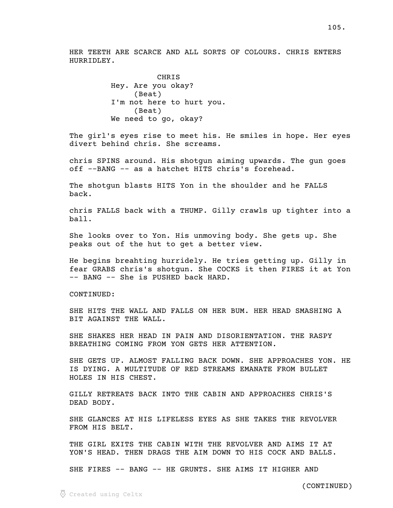HER TEETH ARE SCARCE AND ALL SORTS OF COLOURS. CHRIS ENTERS HURRIDLEY.

> **CHRIS** Hey. Are you okay? (Beat) I'm not here to hurt you. (Beat) We need to go, okay?

The girl's eyes rise to meet his. He smiles in hope. Her eyes divert behind chris. She screams.

chris SPINS around. His shotgun aiming upwards. The gun goes off --BANG -- as a hatchet HITS chris's forehead.

The shotgun blasts HITS Yon in the shoulder and he FALLS back.

chris FALLS back with a THUMP. Gilly crawls up tighter into a ball.

She looks over to Yon. His unmoving body. She gets up. She peaks out of the hut to get a better view.

He begins breahting hurridely. He tries getting up. Gilly in fear GRABS chris's shotgun. She COCKS it then FIRES it at Yon -- BANG -- She is PUSHED back HARD.

CONTINUED:

SHE HITS THE WALL AND FALLS ON HER BUM. HER HEAD SMASHING A BIT AGAINST THE WALL.

SHE SHAKES HER HEAD IN PAIN AND DISORIENTATION. THE RASPY BREATHING COMING FROM YON GETS HER ATTENTION.

SHE GETS UP. ALMOST FALLING BACK DOWN. SHE APPROACHES YON. HE IS DYING. A MULTITUDE OF RED STREAMS EMANATE FROM BULLET HOLES IN HIS CHEST.

GILLY RETREATS BACK INTO THE CABIN AND APPROACHES CHRIS'S DEAD BODY.

SHE GLANCES AT HIS LIFELESS EYES AS SHE TAKES THE REVOLVER FROM HIS BELT.

THE GIRL EXITS THE CABIN WITH THE REVOLVER AND AIMS IT AT YON'S HEAD. THEN DRAGS THE AIM DOWN TO HIS COCK AND BALLS.

SHE FIRES -- BANG -- HE GRUNTS. SHE AIMS IT HIGHER AND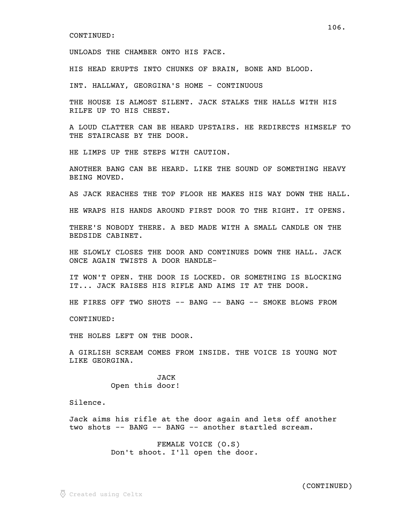UNLOADS THE CHAMBER ONTO HIS FACE.

HIS HEAD ERUPTS INTO CHUNKS OF BRAIN, BONE AND BLOOD.

INT. HALLWAY, GEORGINA'S HOME - CONTINUOUS

THE HOUSE IS ALMOST SILENT. JACK STALKS THE HALLS WITH HIS RILFE UP TO HIS CHEST.

A LOUD CLATTER CAN BE HEARD UPSTAIRS. HE REDIRECTS HIMSELF TO THE STAIRCASE BY THE DOOR.

HE LIMPS UP THE STEPS WITH CAUTION.

ANOTHER BANG CAN BE HEARD. LIKE THE SOUND OF SOMETHING HEAVY BEING MOVED.

AS JACK REACHES THE TOP FLOOR HE MAKES HIS WAY DOWN THE HALL.

HE WRAPS HIS HANDS AROUND FIRST DOOR TO THE RIGHT. IT OPENS.

THERE'S NOBODY THERE. A BED MADE WITH A SMALL CANDLE ON THE BEDSIDE CABINET.

HE SLOWLY CLOSES THE DOOR AND CONTINUES DOWN THE HALL. JACK ONCE AGAIN TWISTS A DOOR HANDLE-

IT WON'T OPEN. THE DOOR IS LOCKED. OR SOMETHING IS BLOCKING IT... JACK RAISES HIS RIFLE AND AIMS IT AT THE DOOR.

HE FIRES OFF TWO SHOTS -- BANG -- BANG -- SMOKE BLOWS FROM

CONTINUED:

THE HOLES LEFT ON THE DOOR.

A GIRLISH SCREAM COMES FROM INSIDE. THE VOICE IS YOUNG NOT LIKE GEORGINA.

> JACK Open this door!

Silence.

Jack aims his rifle at the door again and lets off another two shots -- BANG -- BANG -- another startled scream.

> FEMALE VOICE (O.S) Don't shoot. I'll open the door.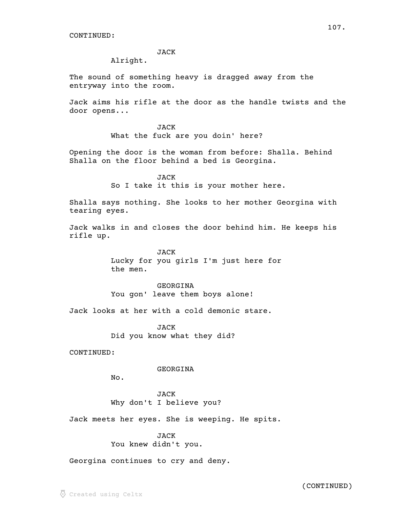## JACK

Alright.

The sound of something heavy is dragged away from the entryway into the room.

Jack aims his rifle at the door as the handle twists and the door opens...

> JACK What the fuck are you doin' here?

Opening the door is the woman from before: Shalla. Behind Shalla on the floor behind a bed is Georgina.

> JACK So I take it this is your mother here.

Shalla says nothing. She looks to her mother Georgina with tearing eyes.

Jack walks in and closes the door behind him. He keeps his rifle up.

> **JACK** Lucky for you girls I'm just here for the men.

GEORGINA You gon' leave them boys alone!

Jack looks at her with a cold demonic stare.

**JACK** Did you know what they did?

CONTINUED:

GEORGINA

No.

JACK Why don't I believe you?

Jack meets her eyes. She is weeping. He spits.

JACK You knew didn't you.

Georgina continues to cry and deny.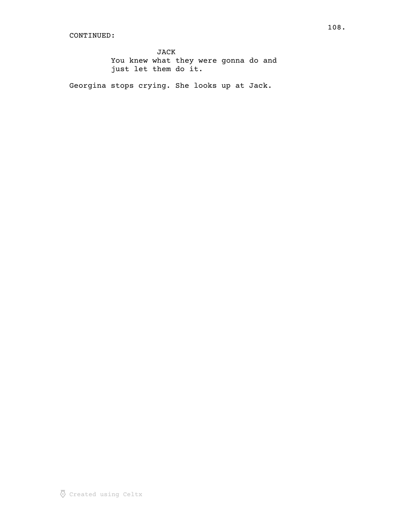JACK You knew what they were gonna do and just let them do it.

Georgina stops crying. She looks up at Jack.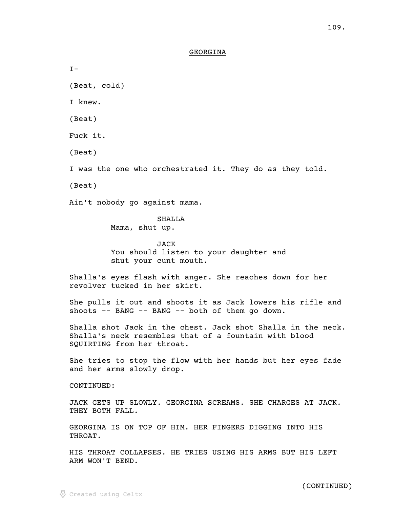# GEORGINA \_\_\_\_\_\_\_\_

 $I -$ 

(Beat, cold)

I knew.

(Beat)

Fuck it.

(Beat)

I was the one who orchestrated it. They do as they told.

(Beat)

Ain't nobody go against mama.

SHALLA

Mama, shut up.

JACK You should listen to your daughter and shut your cunt mouth.

Shalla's eyes flash with anger. She reaches down for her revolver tucked in her skirt.

She pulls it out and shoots it as Jack lowers his rifle and shoots -- BANG -- BANG -- both of them go down.

Shalla shot Jack in the chest. Jack shot Shalla in the neck. Shalla's neck resembles that of a fountain with blood SQUIRTING from her throat.

She tries to stop the flow with her hands but her eyes fade and her arms slowly drop.

CONTINUED:

JACK GETS UP SLOWLY. GEORGINA SCREAMS. SHE CHARGES AT JACK. THEY BOTH FALL.

GEORGINA IS ON TOP OF HIM. HER FINGERS DIGGING INTO HIS THROAT.

HIS THROAT COLLAPSES. HE TRIES USING HIS ARMS BUT HIS LEFT ARM WON'T BEND.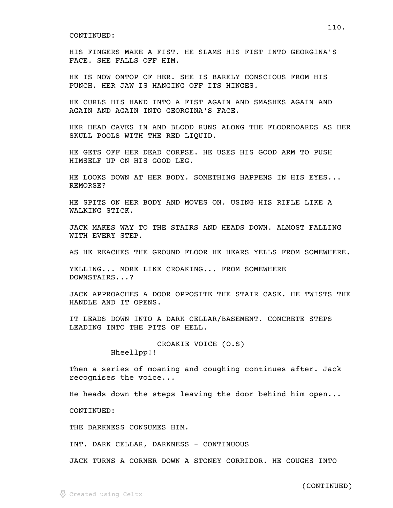HIS FINGERS MAKE A FIST. HE SLAMS HIS FIST INTO GEORGINA'S FACE. SHE FALLS OFF HIM.

HE IS NOW ONTOP OF HER. SHE IS BARELY CONSCIOUS FROM HIS PUNCH. HER JAW IS HANGING OFF ITS HINGES.

HE CURLS HIS HAND INTO A FIST AGAIN AND SMASHES AGAIN AND AGAIN AND AGAIN INTO GEORGINA'S FACE.

HER HEAD CAVES IN AND BLOOD RUNS ALONG THE FLOORBOARDS AS HER SKULL POOLS WITH THE RED LIQUID.

HE GETS OFF HER DEAD CORPSE. HE USES HIS GOOD ARM TO PUSH HIMSELF UP ON HIS GOOD LEG.

HE LOOKS DOWN AT HER BODY. SOMETHING HAPPENS IN HIS EYES... REMORSE?

HE SPITS ON HER BODY AND MOVES ON. USING HIS RIFLE LIKE A WALKING STICK.

JACK MAKES WAY TO THE STAIRS AND HEADS DOWN. ALMOST FALLING WITH EVERY STEP.

AS HE REACHES THE GROUND FLOOR HE HEARS YELLS FROM SOMEWHERE.

YELLING... MORE LIKE CROAKING... FROM SOMEWHERE DOWNSTAIRS...?

JACK APPROACHES A DOOR OPPOSITE THE STAIR CASE. HE TWISTS THE HANDLE AND IT OPENS.

IT LEADS DOWN INTO A DARK CELLAR/BASEMENT. CONCRETE STEPS LEADING INTO THE PITS OF HELL.

> CROAKIE VOICE (O.S) Hheellpp!!

Then a series of moaning and coughing continues after. Jack recognises the voice...

He heads down the steps leaving the door behind him open...

CONTINUED:

THE DARKNESS CONSUMES HIM.

INT. DARK CELLAR, DARKNESS - CONTINUOUS

JACK TURNS A CORNER DOWN A STONEY CORRIDOR. HE COUGHS INTO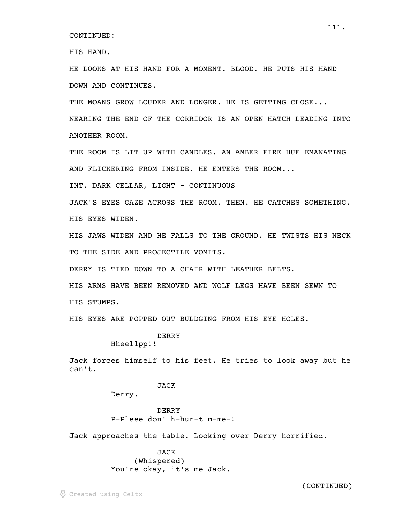HIS HAND.

HE LOOKS AT HIS HAND FOR A MOMENT. BLOOD. HE PUTS HIS HAND DOWN AND CONTINUES.

THE MOANS GROW LOUDER AND LONGER. HE IS GETTING CLOSE...

NEARING THE END OF THE CORRIDOR IS AN OPEN HATCH LEADING INTO ANOTHER ROOM.

THE ROOM IS LIT UP WITH CANDLES. AN AMBER FIRE HUE EMANATING AND FLICKERING FROM INSIDE. HE ENTERS THE ROOM...

INT. DARK CELLAR, LIGHT - CONTINUOUS

JACK'S EYES GAZE ACROSS THE ROOM. THEN. HE CATCHES SOMETHING. HIS EYES WIDEN.

HIS JAWS WIDEN AND HE FALLS TO THE GROUND. HE TWISTS HIS NECK TO THE SIDE AND PROJECTILE VOMITS.

DERRY IS TIED DOWN TO A CHAIR WITH LEATHER BELTS.

HIS ARMS HAVE BEEN REMOVED AND WOLF LEGS HAVE BEEN SEWN TO HIS STUMPS.

HIS EYES ARE POPPED OUT BULDGING FROM HIS EYE HOLES.

DERRY

Hheellpp!!

Jack forces himself to his feet. He tries to look away but he can't.

# JACK

Derry.

DERRY P-Pleee don' h-hur-t m-me-!

Jack approaches the table. Looking over Derry horrified.

JACK (Whispered) You're okay, it's me Jack.

(CONTINUED)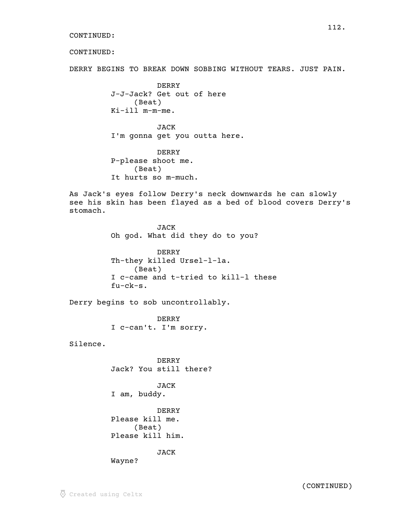CONTINUED:

DERRY BEGINS TO BREAK DOWN SOBBING WITHOUT TEARS. JUST PAIN.

DERRY J-J-Jack? Get out of here (Beat) Ki-ill m-m-me.

JACK I'm gonna get you outta here.

DERRY P-please shoot me. (Beat) It hurts so m-much.

As Jack's eyes follow Derry's neck downwards he can slowly see his skin has been flayed as a bed of blood covers Derry's stomach.

> JACK Oh god. What did they do to you? DERRY Th-they killed Ursel-l-la. (Beat) I c-came and t-tried to kill-l these fu-ck-s.

Derry begins to sob uncontrollably.

DERRY I c-can't. I'm sorry.

Silence.

DERRY Jack? You still there?

JACK I am, buddy.

DERRY Please kill me. (Beat) Please kill him.

JACK

Wayne?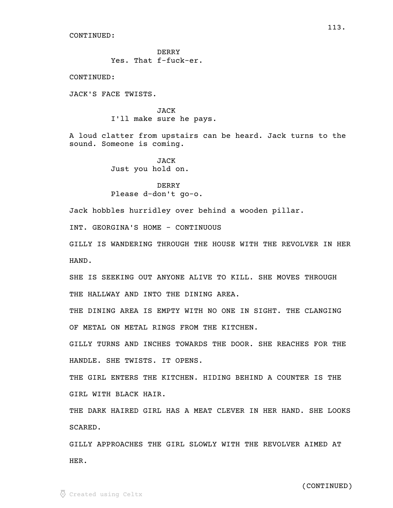DERRY Yes. That f-fuck-er.

CONTINUED:

JACK'S FACE TWISTS.

JACK I'll make sure he pays.

A loud clatter from upstairs can be heard. Jack turns to the sound. Someone is coming.

> JACK Just you hold on.

# DERRY Please d-don't go-o.

Jack hobbles hurridley over behind a wooden pillar.

INT. GEORGINA'S HOME - CONTINUOUS

GILLY IS WANDERING THROUGH THE HOUSE WITH THE REVOLVER IN HER HAND.

SHE IS SEEKING OUT ANYONE ALIVE TO KILL. SHE MOVES THROUGH THE HALLWAY AND INTO THE DINING AREA.

THE DINING AREA IS EMPTY WITH NO ONE IN SIGHT. THE CLANGING OF METAL ON METAL RINGS FROM THE KITCHEN.

GILLY TURNS AND INCHES TOWARDS THE DOOR. SHE REACHES FOR THE HANDLE. SHE TWISTS. IT OPENS.

THE GIRL ENTERS THE KITCHEN. HIDING BEHIND A COUNTER IS THE GIRL WITH BLACK HAIR.

THE DARK HAIRED GIRL HAS A MEAT CLEVER IN HER HAND. SHE LOOKS SCARED.

GILLY APPROACHES THE GIRL SLOWLY WITH THE REVOLVER AIMED AT HER.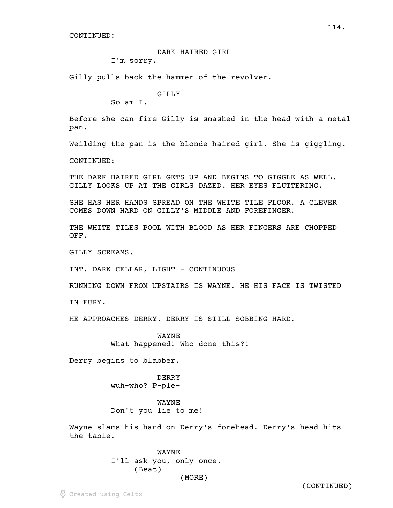DARK HAIRED GIRL

I'm sorry.

Gilly pulls back the hammer of the revolver.

GILLY

So am I.

Before she can fire Gilly is smashed in the head with a metal pan.

Weilding the pan is the blonde haired girl. She is giggling.

CONTINUED:

THE DARK HAIRED GIRL GETS UP AND BEGINS TO GIGGLE AS WELL. GILLY LOOKS UP AT THE GIRLS DAZED. HER EYES FLUTTERING.

SHE HAS HER HANDS SPREAD ON THE WHITE TILE FLOOR. A CLEVER COMES DOWN HARD ON GILLY'S MIDDLE AND FOREFINGER.

THE WHITE TILES POOL WITH BLOOD AS HER FINGERS ARE CHOPPED OFF.

GILLY SCREAMS.

INT. DARK CELLAR, LIGHT - CONTINUOUS

RUNNING DOWN FROM UPSTAIRS IS WAYNE. HE HIS FACE IS TWISTED

IN FURY.

HE APPROACHES DERRY. DERRY IS STILL SOBBING HARD.

WAYNE What happened! Who done this?!

Derry begins to blabber.

DERRY wuh-who? P-ple-

WAYNE Don't you lie to me!

Wayne slams his hand on Derry's forehead. Derry's head hits the table.

> WAYNE I'll ask you, only once. (Beat) (MORE)

> > (CONTINUED)

114.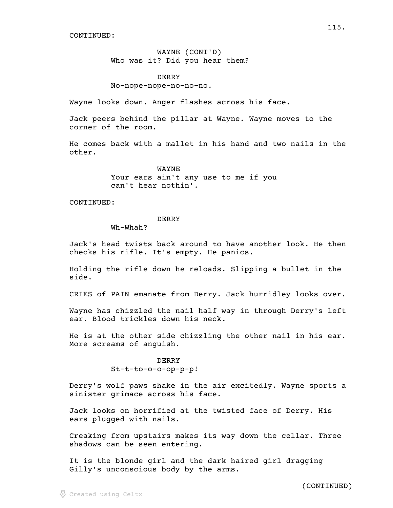WAYNE (CONT'D) Who was it? Did you hear them?

DERRY No-nope-nope-no-no-no.

Wayne looks down. Anger flashes across his face.

Jack peers behind the pillar at Wayne. Wayne moves to the corner of the room.

He comes back with a mallet in his hand and two nails in the other.

> WAYNE Your ears ain't any use to me if you can't hear nothin'.

### CONTINUED:

## DERRY

Wh-Whah?

Jack's head twists back around to have another look. He then checks his rifle. It's empty. He panics.

Holding the rifle down he reloads. Slipping a bullet in the side.

CRIES of PAIN emanate from Derry. Jack hurridley looks over.

Wayne has chizzled the nail half way in through Derry's left ear. Blood trickles down his neck.

He is at the other side chizzling the other nail in his ear. More screams of anguish.

> DERRY St-t-to-o-o-op-p-p!

Derry's wolf paws shake in the air excitedly. Wayne sports a sinister grimace across his face.

Jack looks on horrified at the twisted face of Derry. His ears plugged with nails.

Creaking from upstairs makes its way down the cellar. Three shadows can be seen entering.

It is the blonde girl and the dark haired girl dragging Gilly's unconscious body by the arms.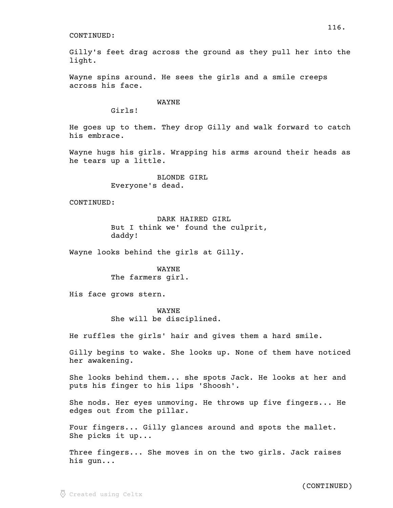Gilly's feet drag across the ground as they pull her into the light.

Wayne spins around. He sees the girls and a smile creeps across his face.

WAYNE

Girls!

He goes up to them. They drop Gilly and walk forward to catch his embrace.

Wayne hugs his girls. Wrapping his arms around their heads as he tears up a little.

> BLONDE GIRL Everyone's dead.

CONTINUED:

DARK HAIRED GIRL But I think we' found the culprit, daddy!

Wayne looks behind the girls at Gilly.

WAYNE The farmers girl.

His face grows stern.

WAYNE She will be disciplined.

He ruffles the girls' hair and gives them a hard smile.

Gilly begins to wake. She looks up. None of them have noticed her awakening.

She looks behind them... she spots Jack. He looks at her and puts his finger to his lips 'Shoosh'.

She nods. Her eyes unmoving. He throws up five fingers... He edges out from the pillar.

Four fingers... Gilly glances around and spots the mallet. She picks it up...

Three fingers... She moves in on the two girls. Jack raises his gun...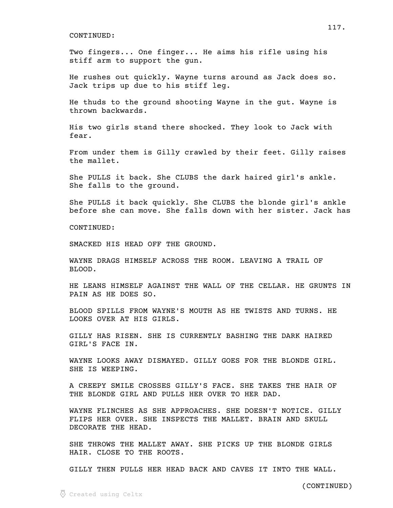Two fingers... One finger... He aims his rifle using his stiff arm to support the gun.

He rushes out quickly. Wayne turns around as Jack does so. Jack trips up due to his stiff leg.

He thuds to the ground shooting Wayne in the gut. Wayne is thrown backwards.

His two girls stand there shocked. They look to Jack with fear.

From under them is Gilly crawled by their feet. Gilly raises the mallet.

She PULLS it back. She CLUBS the dark haired girl's ankle. She falls to the ground.

She PULLS it back quickly. She CLUBS the blonde girl's ankle before she can move. She falls down with her sister. Jack has

CONTINUED:

SMACKED HIS HEAD OFF THE GROUND.

WAYNE DRAGS HIMSELF ACROSS THE ROOM. LEAVING A TRAIL OF BLOOD.

HE LEANS HIMSELF AGAINST THE WALL OF THE CELLAR. HE GRUNTS IN PAIN AS HE DOES SO.

BLOOD SPILLS FROM WAYNE'S MOUTH AS HE TWISTS AND TURNS. HE LOOKS OVER AT HIS GIRLS.

GILLY HAS RISEN. SHE IS CURRENTLY BASHING THE DARK HAIRED GIRL'S FACE IN.

WAYNE LOOKS AWAY DISMAYED. GILLY GOES FOR THE BLONDE GIRL. SHE IS WEEPING.

A CREEPY SMILE CROSSES GILLY'S FACE. SHE TAKES THE HAIR OF THE BLONDE GIRL AND PULLS HER OVER TO HER DAD.

WAYNE FLINCHES AS SHE APPROACHES. SHE DOESN'T NOTICE. GILLY FLIPS HER OVER. SHE INSPECTS THE MALLET. BRAIN AND SKULL DECORATE THE HEAD.

SHE THROWS THE MALLET AWAY. SHE PICKS UP THE BLONDE GIRLS HAIR. CLOSE TO THE ROOTS.

GILLY THEN PULLS HER HEAD BACK AND CAVES IT INTO THE WALL.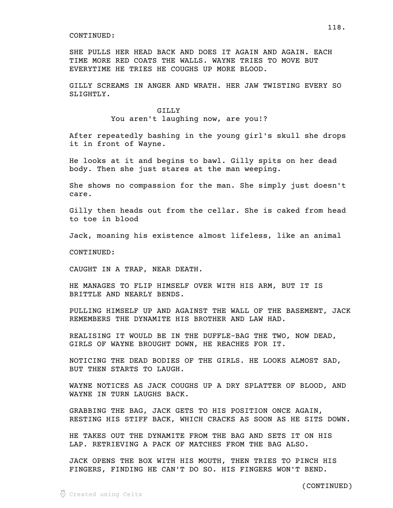SHE PULLS HER HEAD BACK AND DOES IT AGAIN AND AGAIN. EACH TIME MORE RED COATS THE WALLS. WAYNE TRIES TO MOVE BUT EVERYTIME HE TRIES HE COUGHS UP MORE BLOOD.

GILLY SCREAMS IN ANGER AND WRATH. HER JAW TWISTING EVERY SO SLIGHTLY.

> GILLY You aren't laughing now, are you!?

After repeatedly bashing in the young girl's skull she drops it in front of Wayne.

He looks at it and begins to bawl. Gilly spits on her dead body. Then she just stares at the man weeping.

She shows no compassion for the man. She simply just doesn't care.

Gilly then heads out from the cellar. She is caked from head to toe in blood

Jack, moaning his existence almost lifeless, like an animal

CONTINUED:

CAUGHT IN A TRAP, NEAR DEATH.

HE MANAGES TO FLIP HIMSELF OVER WITH HIS ARM, BUT IT IS BRITTLE AND NEARLY BENDS.

PULLING HIMSELF UP AND AGAINST THE WALL OF THE BASEMENT, JACK REMEMBERS THE DYNAMITE HIS BROTHER AND LAW HAD.

REALISING IT WOULD BE IN THE DUFFLE-BAG THE TWO, NOW DEAD, GIRLS OF WAYNE BROUGHT DOWN, HE REACHES FOR IT.

NOTICING THE DEAD BODIES OF THE GIRLS. HE LOOKS ALMOST SAD, BUT THEN STARTS TO LAUGH.

WAYNE NOTICES AS JACK COUGHS UP A DRY SPLATTER OF BLOOD, AND WAYNE IN TURN LAUGHS BACK.

GRABBING THE BAG, JACK GETS TO HIS POSITION ONCE AGAIN, RESTING HIS STIFF BACK, WHICH CRACKS AS SOON AS HE SITS DOWN.

HE TAKES OUT THE DYNAMITE FROM THE BAG AND SETS IT ON HIS LAP. RETRIEVING A PACK OF MATCHES FROM THE BAG ALSO.

JACK OPENS THE BOX WITH HIS MOUTH, THEN TRIES TO PINCH HIS FINGERS, FINDING HE CAN'T DO SO. HIS FINGERS WON'T BEND.